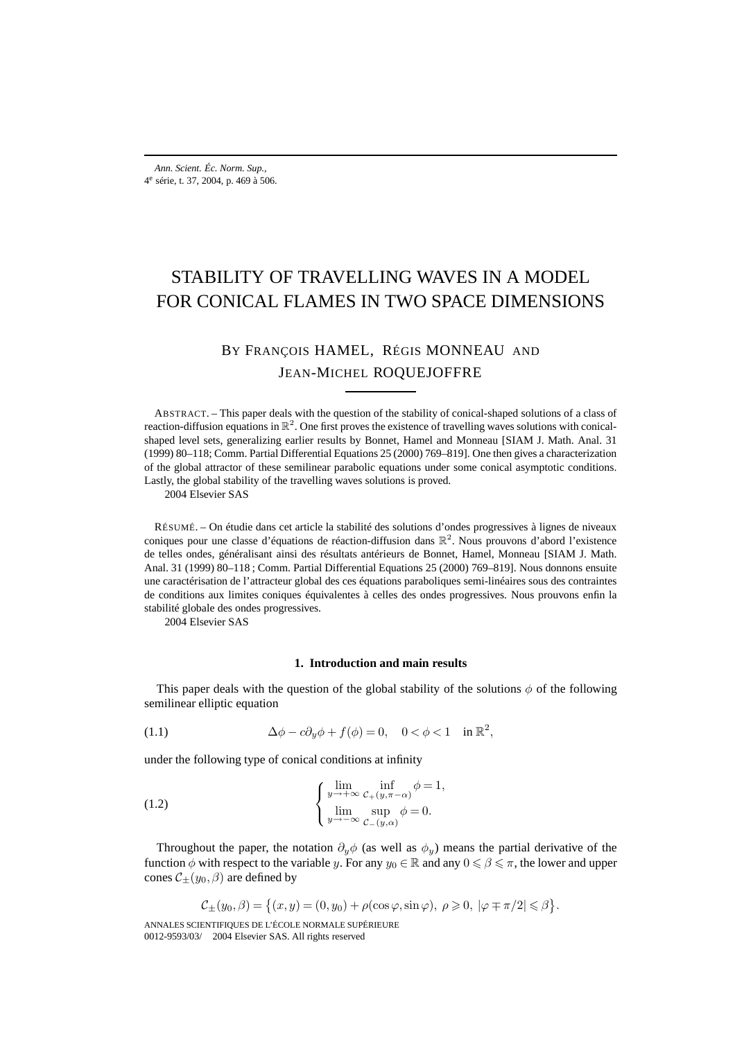# STABILITY OF TRAVELLING WAVES IN A MODEL FOR CONICAL FLAMES IN TWO SPACE DIMENSIONS

## BY FRANÇOIS HAMEL, RÉGIS MONNEAU AND JEAN-MICHEL ROQUEJOFFRE

ABSTRACT. – This paper deals with the question of the stability of conical-shaped solutions of a class of reaction-diffusion equations in  $\mathbb{R}^2$ . One first proves the existence of travelling waves solutions with conicalshaped level sets, generalizing earlier results by Bonnet, Hamel and Monneau [SIAM J. Math. Anal. 31 (1999) 80–118; Comm. Partial Differential Equations 25 (2000) 769–819]. One then gives a characterization of the global attractor of these semilinear parabolic equations under some conical asymptotic conditions. Lastly, the global stability of the travelling waves solutions is proved.

2004 Elsevier SAS

RÉSUMÉ. – On étudie dans cet article la stabilité des solutions d'ondes progressives à lignes de niveaux coniques pour une classe d'équations de réaction-diffusion dans  $\mathbb{R}^2$ . Nous prouvons d'abord l'existence de telles ondes, généralisant ainsi des résultats antérieurs de Bonnet, Hamel, Monneau [SIAM J. Math. Anal. 31 (1999) 80–118 ; Comm. Partial Differential Equations 25 (2000) 769–819]. Nous donnons ensuite une caractérisation de l'attracteur global des ces équations paraboliques semi-linéaires sous des contraintes de conditions aux limites coniques équivalentes à celles des ondes progressives. Nous prouvons enfin la stabilité globale des ondes progressives.

2004 Elsevier SAS

## **1. Introduction and main results**

This paper deals with the question of the global stability of the solutions  $\phi$  of the following semilinear elliptic equation

(1.1) 
$$
\Delta \phi - c \partial_y \phi + f(\phi) = 0, \quad 0 < \phi < 1 \quad \text{in } \mathbb{R}^2,
$$

under the following type of conical conditions at infinity

(1.2) 
$$
\begin{cases} \lim_{y \to +\infty} \inf_{\substack{C_+(y,\pi-\alpha) \\ y \to -\infty}} \phi = 1, \\ \lim_{y \to -\infty} \sup_{\substack{C_-(y,\alpha) \\ C_-(y,\alpha)}} \phi = 0. \end{cases}
$$

Throughout the paper, the notation  $\partial_y \phi$  (as well as  $\phi_y$ ) means the partial derivative of the function  $\phi$  with respect to the variable y. For any  $y_0 \in \mathbb{R}$  and any  $0 \le \beta \le \pi$ , the lower and upper cones  $C_{\pm}(y_0, \beta)$  are defined by

$$
\mathcal{C}_{\pm}(y_0,\beta) = \left\{ (x,y) = (0,y_0) + \rho(\cos\varphi,\sin\varphi), \ \rho \geq 0, \ |\varphi \mp \pi/2| \leq \beta \right\}.
$$

ANNALES SCIENTIFIQUES DE L'ÉCOLE NORMALE SUPÉRIEURE 0012-9593/03/© 2004 Elsevier SAS. All rights reserved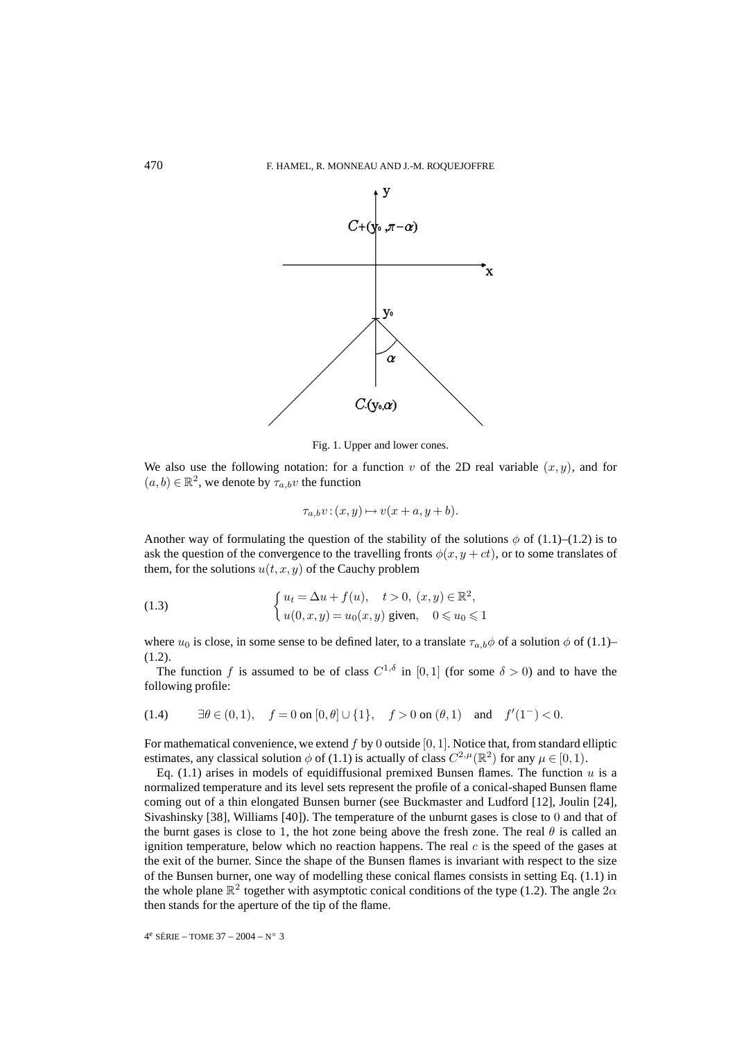

Fig. 1. Upper and lower cones.

We also use the following notation: for a function v of the 2D real variable  $(x, y)$ , and for  $(a, b) \in \mathbb{R}^2$ , we denote by  $\tau_{a,b}v$  the function

$$
\tau_{a,b}v:(x,y)\mapsto v(x+a,y+b).
$$

Another way of formulating the question of the stability of the solutions  $\phi$  of (1.1)–(1.2) is to ask the question of the convergence to the travelling fronts  $\phi(x, y + ct)$ , or to some translates of them, for the solutions  $u(t, x, y)$  of the Cauchy problem

(1.3) 
$$
\begin{cases} u_t = \Delta u + f(u), & t > 0, (x, y) \in \mathbb{R}^2, \\ u(0, x, y) = u_0(x, y) \text{ given, } & 0 \le u_0 \le 1 \end{cases}
$$

where  $u_0$  is close, in some sense to be defined later, to a translate  $\tau_{a,b}\phi$  of a solution  $\phi$  of (1.1)– (1.2).

The function f is assumed to be of class  $C^{1,\delta}$  in [0,1] (for some  $\delta > 0$ ) and to have the following profile:

(1.4) 
$$
\exists \theta \in (0,1), \quad f = 0 \text{ on } [0,\theta] \cup \{1\}, \quad f > 0 \text{ on } (\theta,1) \quad \text{and} \quad f'(1^{-}) < 0.
$$

For mathematical convenience, we extend  $f$  by 0 outside [0, 1]. Notice that, from standard elliptic estimates, any classical solution  $\phi$  of (1.1) is actually of class  $C^{2,\mu}(\mathbb{R}^2)$  for any  $\mu \in [0,1)$ .

Eq.  $(1.1)$  arises in models of equidiffusional premixed Bunsen flames. The function u is a normalized temperature and its level sets represent the profile of a conical-shaped Bunsen flame coming out of a thin elongated Bunsen burner (see Buckmaster and Ludford [12], Joulin [24], Sivashinsky [38], Williams [40]). The temperature of the unburnt gases is close to 0 and that of the burnt gases is close to 1, the hot zone being above the fresh zone. The real  $\theta$  is called an ignition temperature, below which no reaction happens. The real  $c$  is the speed of the gases at the exit of the burner. Since the shape of the Bunsen flames is invariant with respect to the size of the Bunsen burner, one way of modelling these conical flames consists in setting Eq. (1.1) in the whole plane  $\mathbb{R}^2$  together with asymptotic conical conditions of the type (1.2). The angle  $2\alpha$ then stands for the aperture of the tip of the flame.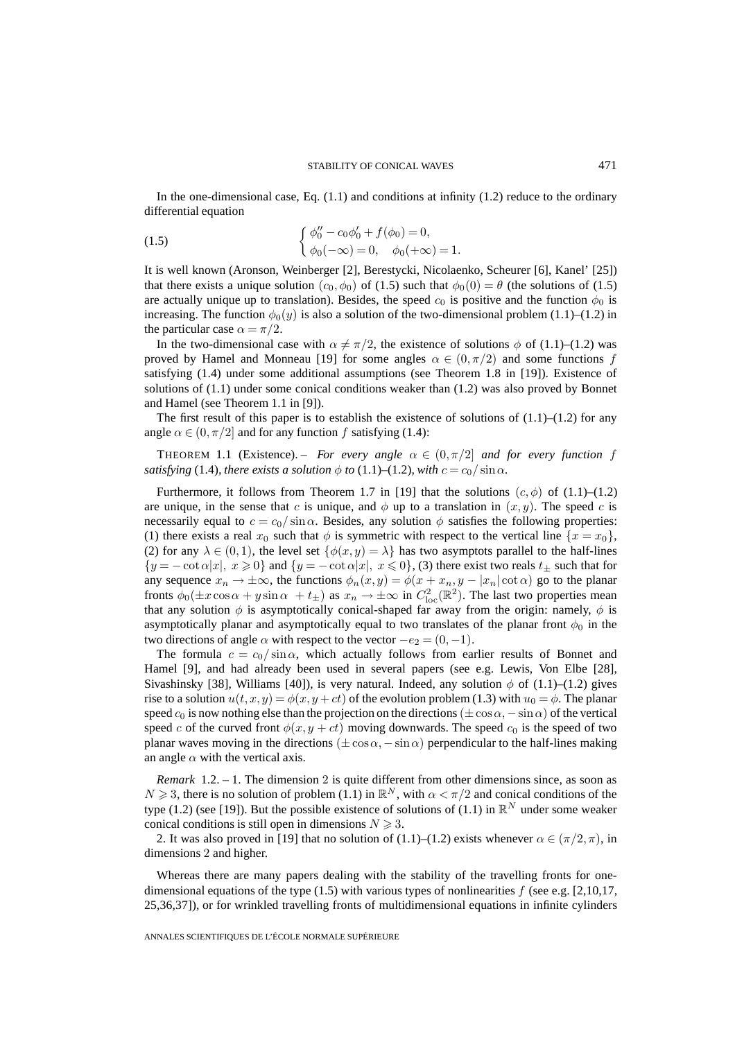In the one-dimensional case, Eq. (1.1) and conditions at infinity (1.2) reduce to the ordinary differential equation

(1.5) 
$$
\begin{cases} \phi_0'' - c_0 \phi_0' + f(\phi_0) = 0, \\ \phi_0(-\infty) = 0, \quad \phi_0(+\infty) = 1. \end{cases}
$$

It is well known (Aronson, Weinberger [2], Berestycki, Nicolaenko, Scheurer [6], Kanel' [25]) that there exists a unique solution  $(c_0, \phi_0)$  of (1.5) such that  $\phi_0(0) = \theta$  (the solutions of (1.5) are actually unique up to translation). Besides, the speed  $c_0$  is positive and the function  $\phi_0$  is increasing. The function  $\phi_0(y)$  is also a solution of the two-dimensional problem (1.1)–(1.2) in the particular case  $\alpha = \pi/2$ .

In the two-dimensional case with  $\alpha \neq \pi/2$ , the existence of solutions  $\phi$  of (1.1)–(1.2) was proved by Hamel and Monneau [19] for some angles  $\alpha \in (0, \pi/2)$  and some functions f satisfying (1.4) under some additional assumptions (see Theorem 1.8 in [19]). Existence of solutions of (1.1) under some conical conditions weaker than (1.2) was also proved by Bonnet and Hamel (see Theorem 1.1 in [9]).

The first result of this paper is to establish the existence of solutions of  $(1.1)$ – $(1.2)$  for any angle  $\alpha \in (0, \pi/2]$  and for any function f satisfying (1.4):

THEOREM 1.1 (Existence). – *For every angle*  $\alpha \in (0, \pi/2]$  *and for every function f satisfying* (1.4)*, there exists a solution*  $\phi$  *to* (1.1)–(1.2)*, with*  $c = c_0 / \sin \alpha$ *.* 

Furthermore, it follows from Theorem 1.7 in [19] that the solutions  $(c, \phi)$  of (1.1)–(1.2) are unique, in the sense that c is unique, and  $\phi$  up to a translation in  $(x, y)$ . The speed c is necessarily equal to  $c = c_0 / \sin \alpha$ . Besides, any solution  $\phi$  satisfies the following properties: (1) there exists a real  $x_0$  such that  $\phi$  is symmetric with respect to the vertical line  $\{x = x_0\}$ , (2) for any  $\lambda \in (0,1)$ , the level set  $\{\phi(x,y) = \lambda\}$  has two asymptots parallel to the half-lines  ${y = -\cot \alpha |x|, x \ge 0}$  and  ${y = -\cot \alpha |x|, x \le 0}$ , (3) there exist two reals  $t_{\pm}$  such that for any sequence  $x_n \to \pm \infty$ , the functions  $\phi_n(x, y) = \phi(x + x_n, y - |x_n| \cot \alpha)$  go to the planar fronts  $\phi_0(\pm x \cos \alpha + y \sin \alpha + t_{\pm})$  as  $x_n \to \pm \infty$  in  $C^2_{loc}(\mathbb{R}^2)$ . The last two properties mean that any solution  $\phi$  is asymptotically conical-shaped far away from the origin: namely,  $\phi$  is asymptotically planar and asymptotically equal to two translates of the planar front  $\phi_0$  in the two directions of angle  $\alpha$  with respect to the vector  $-e_2 = (0, -1)$ .

The formula  $c = c_0 / \sin \alpha$ , which actually follows from earlier results of Bonnet and Hamel [9], and had already been used in several papers (see e.g. Lewis, Von Elbe [28], Sivashinsky [38], Williams [40]), is very natural. Indeed, any solution  $\phi$  of (1.1)–(1.2) gives rise to a solution  $u(t, x, y) = \phi(x, y + ct)$  of the evolution problem (1.3) with  $u_0 = \phi$ . The planar speed  $c_0$  is now nothing else than the projection on the directions ( $\pm \cos \alpha$ ,  $-\sin \alpha$ ) of the vertical speed c of the curved front  $\phi(x, y + ct)$  moving downwards. The speed  $c_0$  is the speed of two planar waves moving in the directions ( $\pm \cos \alpha$ ,  $-\sin \alpha$ ) perpendicular to the half-lines making an angle  $\alpha$  with the vertical axis.

*Remark* 1.2. – 1. The dimension 2 is quite different from other dimensions since, as soon as  $N \geq 3$ , there is no solution of problem (1.1) in  $\mathbb{R}^N$ , with  $\alpha < \pi/2$  and conical conditions of the type (1.2) (see [19]). But the possible existence of solutions of (1.1) in  $\mathbb{R}^N$  under some weaker conical conditions is still open in dimensions  $N \geq 3$ .

2. It was also proved in [19] that no solution of (1.1)–(1.2) exists whenever  $\alpha \in (\pi/2, \pi)$ , in dimensions 2 and higher.

Whereas there are many papers dealing with the stability of the travelling fronts for onedimensional equations of the type  $(1.5)$  with various types of nonlinearities f (see e.g. [2,10,17, 25,36,37]), or for wrinkled travelling fronts of multidimensional equations in infinite cylinders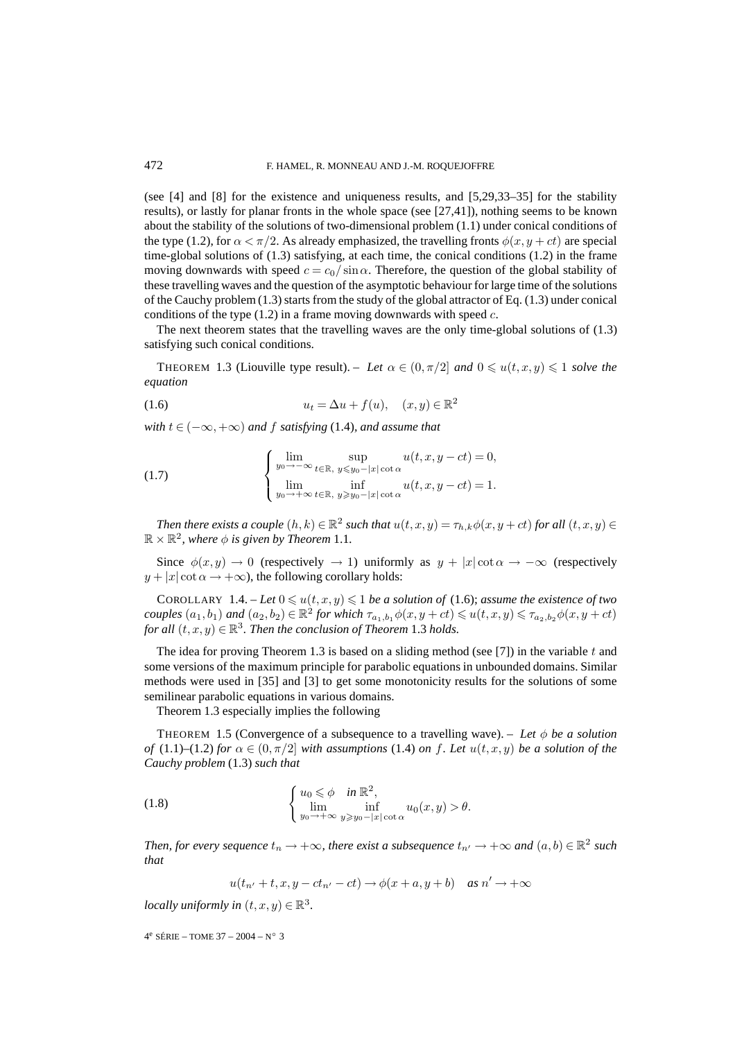(see [4] and [8] for the existence and uniqueness results, and [5,29,33–35] for the stability results), or lastly for planar fronts in the whole space (see [27,41]), nothing seems to be known about the stability of the solutions of two-dimensional problem (1.1) under conical conditions of the type (1.2), for  $\alpha < \pi/2$ . As already emphasized, the travelling fronts  $\phi(x, y + ct)$  are special time-global solutions of (1.3) satisfying, at each time, the conical conditions (1.2) in the frame moving downwards with speed  $c = c_0 / \sin \alpha$ . Therefore, the question of the global stability of these travelling waves and the question of the asymptotic behaviour for large time of the solutions of the Cauchy problem (1.3) starts from the study of the global attractor of Eq. (1.3) under conical conditions of the type  $(1.2)$  in a frame moving downwards with speed c.

The next theorem states that the travelling waves are the only time-global solutions of (1.3) satisfying such conical conditions.

THEOREM 1.3 (Liouville type result). – Let  $\alpha \in (0, \pi/2]$  and  $0 \leq u(t, x, y) \leq 1$  solve the *equation*

$$
(1.6) \t\t u_t = \Delta u + f(u), \quad (x, y) \in \mathbb{R}^2
$$

*with*  $t \in (-\infty, +\infty)$  *and*  $f$  *satisfying* (1.4)*, and assume that* 

(1.7) 
$$
\begin{cases} \lim_{y_0 \to -\infty} \sup_{t \in \mathbb{R}, y \leq y_0 - |x| \cot \alpha} u(t, x, y - ct) = 0, \\ \lim_{y_0 \to +\infty} \inf_{t \in \mathbb{R}, y \geq y_0 - |x| \cot \alpha} u(t, x, y - ct) = 1. \end{cases}
$$

*Then there exists a couple*  $(h, k) \in \mathbb{R}^2$  *such that*  $u(t, x, y) = \tau_{h,k} \phi(x, y + ct)$  *for all*  $(t, x, y) \in$  $\mathbb{R} \times \mathbb{R}^2$ , where  $\phi$  is given by Theorem 1.1.

Since  $\phi(x, y) \to 0$  (respectively  $\to 1$ ) uniformly as  $y + |x| \cot \alpha \to -\infty$  (respectively  $y + |x| \cot \alpha \rightarrow +\infty$ , the following corollary holds:

COROLLARY 1.4. – Let  $0 \leq u(t, x, y) \leq 1$  be a solution of (1.6); assume the existence of two *couples*  $(a_1, b_1)$  *and*  $(a_2, b_2) \in \mathbb{R}^2$  *for which*  $\tau_{a_1, b_1} \phi(x, y + ct) \leq u(t, x, y) \leq \tau_{a_2, b_2} \phi(x, y + ct)$ *for all*  $(t, x, y) \in \mathbb{R}^3$ . *Then the conclusion of Theorem* 1.3 *holds.* 

The idea for proving Theorem 1.3 is based on a sliding method (see  $[7]$ ) in the variable t and some versions of the maximum principle for parabolic equations in unbounded domains. Similar methods were used in [35] and [3] to get some monotonicity results for the solutions of some semilinear parabolic equations in various domains.

Theorem 1.3 especially implies the following

THEOREM 1.5 (Convergence of a subsequence to a travelling wave). – *Let* φ *be a solution of* (1.1)–(1.2) *for*  $\alpha \in (0, \pi/2]$  *with assumptions* (1.4) *on* f. Let  $u(t, x, y)$  *be a solution of the Cauchy problem* (1.3) *such that*

(1.8) 
$$
\begin{cases} u_0 \leq \phi & \text{in } \mathbb{R}^2, \\ \lim_{y_0 \to +\infty} \inf_{y \geq y_0 - |x| \cot \alpha} u_0(x, y) > \theta. \end{cases}
$$

*Then, for every sequence*  $t_n \to +\infty$ *, there exist a subsequence*  $t_{n'} \to +\infty$  and  $(a, b) \in \mathbb{R}^2$  such *that*

$$
u(t_{n'} + t, x, y - ct_{n'} - ct) \rightarrow \phi(x + a, y + b) \quad \text{as } n' \rightarrow +\infty
$$

*locally uniformly in*  $(t, x, y) \in \mathbb{R}^3$ .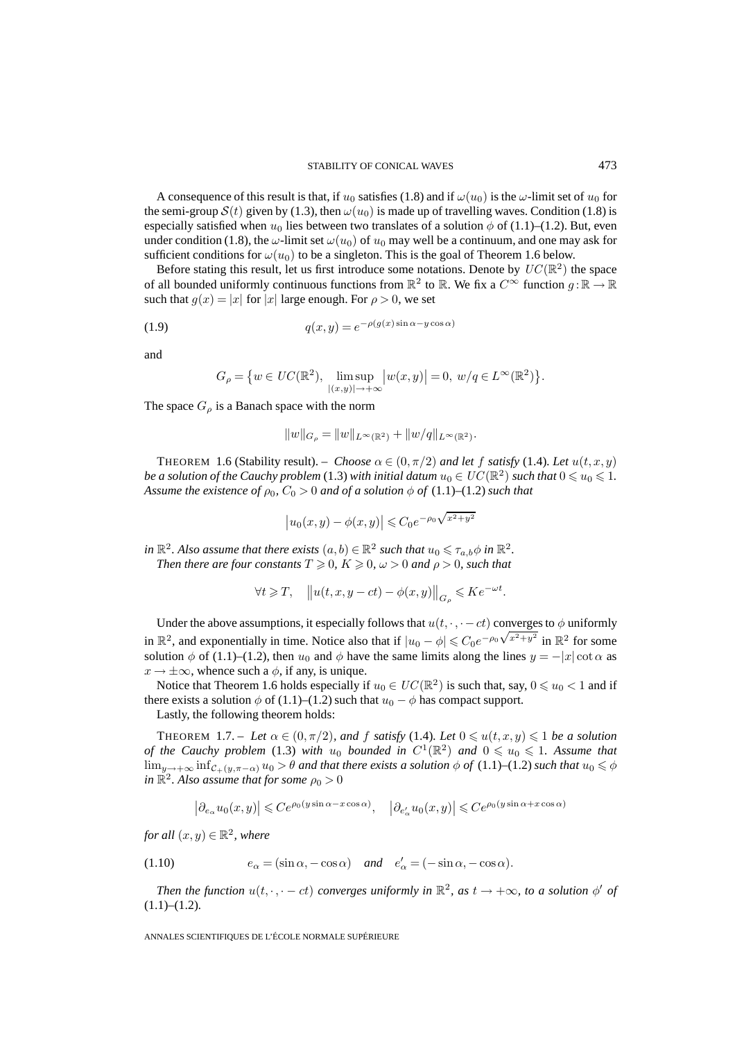A consequence of this result is that, if  $u_0$  satisfies (1.8) and if  $\omega(u_0)$  is the  $\omega$ -limit set of  $u_0$  for the semi-group  $S(t)$  given by (1.3), then  $\omega(u_0)$  is made up of travelling waves. Condition (1.8) is especially satisfied when  $u_0$  lies between two translates of a solution  $\phi$  of (1.1)–(1.2). But, even under condition (1.8), the  $\omega$ -limit set  $\omega(u_0)$  of  $u_0$  may well be a continuum, and one may ask for sufficient conditions for  $\omega(u_0)$  to be a singleton. This is the goal of Theorem 1.6 below.

Before stating this result, let us first introduce some notations. Denote by  $UC(\mathbb{R}^2)$  the space of all bounded uniformly continuous functions from  $\mathbb{R}^2$  to  $\mathbb{R}$ . We fix a  $C^{\infty}$  function  $g : \mathbb{R} \to \mathbb{R}$ such that  $g(x) = |x|$  for  $|x|$  large enough. For  $\rho > 0$ , we set

(1.9) 
$$
q(x,y) = e^{-\rho(g(x)\sin\alpha - y\cos\alpha)}
$$

and

$$
G_{\rho} = \{ w \in UC(\mathbb{R}^2), \limsup_{|(x,y)| \to +\infty} |w(x,y)| = 0, w/q \in L^{\infty}(\mathbb{R}^2) \}.
$$

The space  $G_{\rho}$  is a Banach space with the norm

$$
||w||_{G_{\rho}} = ||w||_{L^{\infty}(\mathbb{R}^2)} + ||w/q||_{L^{\infty}(\mathbb{R}^2)}.
$$

THEOREM 1.6 (Stability result). – *Choose*  $\alpha \in (0, \pi/2)$  *and let* f *satisfy* (1.4)*. Let*  $u(t, x, y)$ *be a solution of the Cauchy problem* (1.3) *with initial datum*  $u_0 \in UC(\mathbb{R}^2)$  *such that*  $0 \leq u_0 \leq 1$ *. Assume the existence of*  $\rho_0$ ,  $C_0 > 0$  *and of a solution*  $\phi$  *of* (1.1)–(1.2) *such that* 

$$
\left| u_0(x,y) - \phi(x,y) \right| \leqslant C_0 e^{-\rho_0 \sqrt{x^2 + y^2}}
$$

*in*  $\mathbb{R}^2$ . Also assume that there exists  $(a, b) \in \mathbb{R}^2$  *such that*  $u_0 \leq \tau_{a,b} \phi$  *in*  $\mathbb{R}^2$ *.* Then there are four constants  $T \geqslant 0, K \geqslant 0, \, \omega > 0$  and  $\rho > 0$ , such that

$$
\forall t\geqslant T,\quad \left\Vert u(t,x,y-ct)-\phi(x,y)\right\Vert_{G_{\rho}}\leqslant Ke^{-\omega t}.
$$

Under the above assumptions, it especially follows that  $u(t, \cdot, \cdot -ct)$  converges to  $\phi$  uniformly in  $\mathbb{R}^2$ , and exponentially in time. Notice also that if  $|u_0 - \phi| \leq C_0 e^{-\rho_0 \sqrt{x^2 + y^2}}$  in  $\mathbb{R}^2$  for some solution  $\phi$  of (1.1)–(1.2), then  $u_0$  and  $\phi$  have the same limits along the lines  $y = -|x| \cot \alpha$  as  $x \rightarrow \pm \infty$ , whence such a  $\phi$ , if any, is unique.

Notice that Theorem 1.6 holds especially if  $u_0 \in UC(\mathbb{R}^2)$  is such that, say,  $0 \leq u_0 < 1$  and if there exists a solution  $\phi$  of (1.1)–(1.2) such that  $u_0 - \phi$  has compact support.

Lastly, the following theorem holds:

THEOREM 1.7. – Let  $\alpha \in (0, \pi/2)$ *, and* f *satisfy* (1.4)*. Let*  $0 \leq u(t, x, y) \leq 1$  *be a solution of the Cauchy problem* (1.3) *with*  $u_0$  *bounded in*  $C^1(\mathbb{R}^2)$  *and*  $0 \le u_0 \le 1$ *. Assume that*  $\lim_{y\to+\infty} \inf_{\mathcal{C}_+(y,\pi-\alpha)} u_0 > \theta$  *and that there exists a solution*  $\phi$  *of* (1.1)–(1.2) *such that*  $u_0 \leq \phi$ *in*  $\mathbb{R}^2$ . Also assume that for some  $\rho_0 > 0$ 

$$
\left|\partial_{e_\alpha} u_0(x,y)\right| \leqslant Ce^{\rho_0(y\sin\alpha - x\cos\alpha)}, \quad \left|\partial_{e'_\alpha} u_0(x,y)\right| \leqslant Ce^{\rho_0(y\sin\alpha + x\cos\alpha)}
$$

*for all*  $(x, y) \in \mathbb{R}^2$ , where

(1.10) 
$$
e_{\alpha} = (\sin \alpha, -\cos \alpha) \quad \text{and} \quad e'_{\alpha} = (-\sin \alpha, -\cos \alpha).
$$

*Then the function*  $u(t, \cdot, \cdot - ct)$  *converges uniformly in*  $\mathbb{R}^2$ *, as*  $t \to +\infty$ *, to a solution*  $\phi'$  *of* (1.1)–(1.2)*.*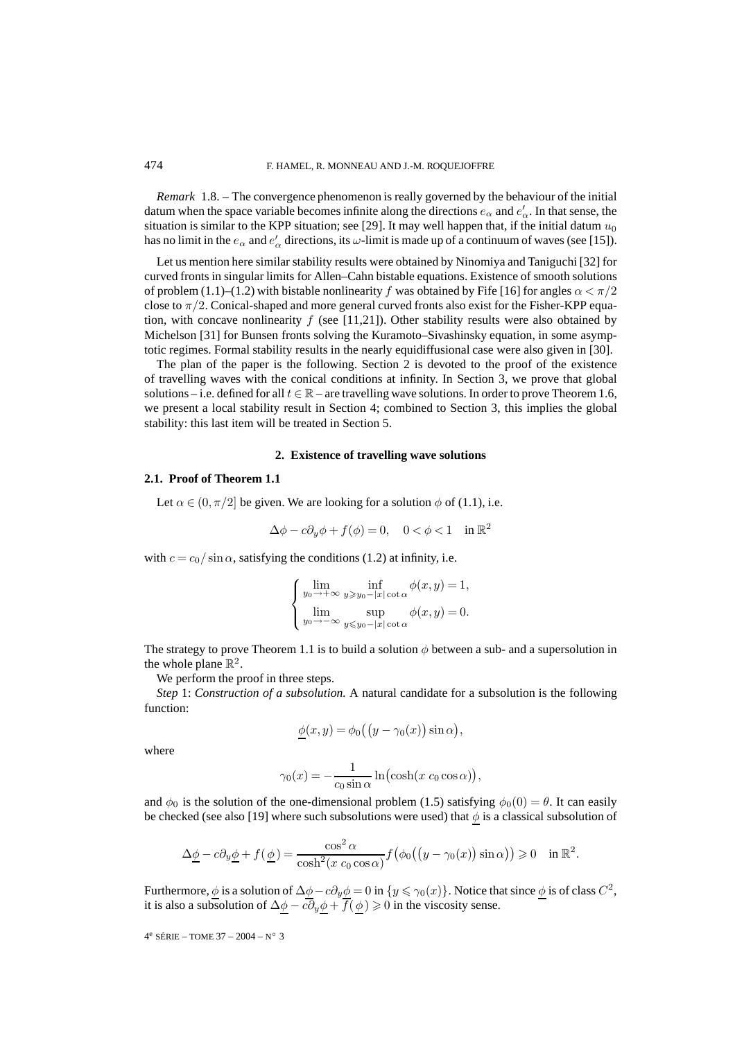*Remark* 1.8. – The convergence phenomenon is really governed by the behaviour of the initial datum when the space variable becomes infinite along the directions  $e_{\alpha}$  and  $e'_{\alpha}$ . In that sense, the situation is similar to the KPP situation; see [29]. It may well happen that, if the initial datum  $u_0$ has no limit in the  $e_{\alpha}$  and  $e'_{\alpha}$  directions, its  $\omega$ -limit is made up of a continuum of waves (see [15]).

Let us mention here similar stability results were obtained by Ninomiya and Taniguchi [32] for curved fronts in singular limits for Allen–Cahn bistable equations. Existence of smooth solutions of problem (1.1)–(1.2) with bistable nonlinearity f was obtained by Fife [16] for angles  $\alpha < \pi/2$ close to  $\pi/2$ . Conical-shaped and more general curved fronts also exist for the Fisher-KPP equation, with concave nonlinearity  $f$  (see [11,21]). Other stability results were also obtained by Michelson [31] for Bunsen fronts solving the Kuramoto–Sivashinsky equation, in some asymptotic regimes. Formal stability results in the nearly equidiffusional case were also given in [30].

The plan of the paper is the following. Section 2 is devoted to the proof of the existence of travelling waves with the conical conditions at infinity. In Section 3, we prove that global solutions – i.e. defined for all  $t \in \mathbb{R}$  – are travelling wave solutions. In order to prove Theorem 1.6, we present a local stability result in Section 4; combined to Section 3, this implies the global stability: this last item will be treated in Section 5.

#### **2. Existence of travelling wave solutions**

#### **2.1. Proof of Theorem 1.1**

Let  $\alpha \in (0, \pi/2]$  be given. We are looking for a solution  $\phi$  of (1.1), i.e.

$$
\Delta \phi - c \partial_y \phi + f(\phi) = 0, \quad 0 < \phi < 1 \quad \text{in } \mathbb{R}^2
$$

with  $c = c_0 / \sin \alpha$ , satisfying the conditions (1.2) at infinity, i.e.

$$
\begin{cases} \lim_{y_0 \to +\infty} \inf_{y \ge y_0 - |x| \cot \alpha} \phi(x, y) = 1, \\ \lim_{y_0 \to -\infty} \sup_{y \le y_0 - |x| \cot \alpha} \phi(x, y) = 0. \end{cases}
$$

The strategy to prove Theorem 1.1 is to build a solution  $\phi$  between a sub- and a supersolution in the whole plane  $\mathbb{R}^2$ .

We perform the proof in three steps.

*Step* 1: *Construction of a subsolution.* A natural candidate for a subsolution is the following function:

$$
\underline{\phi}(x,y) = \phi_0((y - \gamma_0(x))\sin\alpha),
$$

where

$$
\gamma_0(x) = -\frac{1}{c_0 \sin \alpha} \ln(\cosh(x \ c_0 \cos \alpha)),
$$

and  $\phi_0$  is the solution of the one-dimensional problem (1.5) satisfying  $\phi_0(0) = \theta$ . It can easily be checked (see also [19] where such subsolutions were used) that  $\phi$  is a classical subsolution of

$$
\Delta \underline{\phi} - c \partial_y \underline{\phi} + f(\underline{\phi}) = \frac{\cos^2 \alpha}{\cosh^2(x \ c_0 \cos \alpha)} f(\phi_0((y - \gamma_0(x)) \sin \alpha)) \ge 0 \quad \text{in } \mathbb{R}^2.
$$

Furthermore,  $\phi$  is a solution of  $\Delta\phi - c\partial_y\phi = 0$  in  $\{y \le \gamma_0(x)\}\.$  Notice that since  $\phi$  is of class  $C^2$ , it is also a subsolution of  $\Delta \phi - c \partial_y \phi + f(\phi) \geqslant 0$  in the viscosity sense.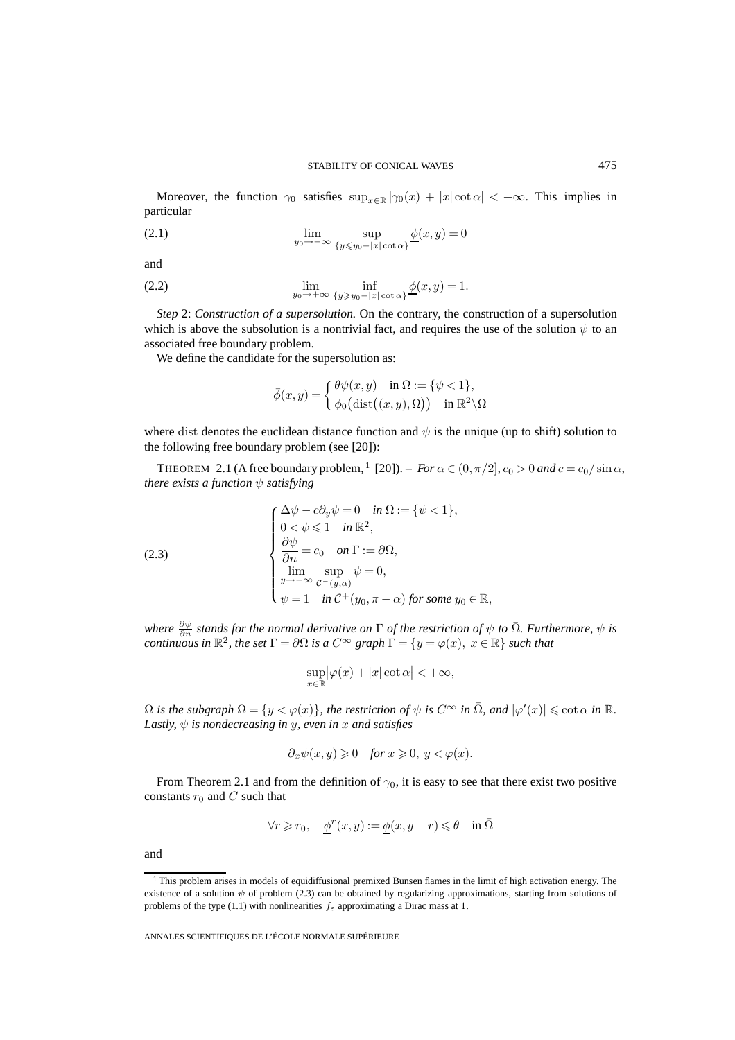Moreover, the function  $\gamma_0$  satisfies  $\sup_{x \in \mathbb{R}} |\gamma_0(x) + |x| \cot \alpha| < +\infty$ . This implies in particular

(2.1) 
$$
\lim_{y_0 \to -\infty} \sup_{\{y \leq y_0 - |x| \cot \alpha\}} \underline{\phi}(x, y) = 0
$$

and

(2.2) 
$$
\lim_{y_0 \to +\infty} \inf_{\{y \geq y_0 - |x| \cot \alpha\}} \underline{\phi}(x, y) = 1.
$$

*Step* 2: *Construction of a supersolution.* On the contrary, the construction of a supersolution which is above the subsolution is a nontrivial fact, and requires the use of the solution  $\psi$  to an associated free boundary problem.

We define the candidate for the supersolution as:

$$
\bar{\phi}(x, y) = \begin{cases} \theta \psi(x, y) & \text{in } \Omega := \{ \psi < 1 \}, \\ \phi_0 \big( \text{dist}\big((x, y), \Omega\big) \big) & \text{in } \mathbb{R}^2 \setminus \Omega \end{cases}
$$

where dist denotes the euclidean distance function and  $\psi$  is the unique (up to shift) solution to the following free boundary problem (see [20]):

THEOREM 2.1 (A free boundary problem,  $\frac{1}{2}$  [20]). – *For*  $\alpha \in (0, \pi/2]$ ,  $c_0 > 0$  and  $c = c_0 / \sin \alpha$ , *there exists a function*  $\psi$  *satisfying* 

(2.3)  
\n
$$
\begin{cases}\n\Delta \psi - c \partial_y \psi = 0 & \text{in } \Omega := \{ \psi < 1 \}, \\
0 < \psi \le 1 & \text{in } \mathbb{R}^2, \\
\frac{\partial \psi}{\partial n} = c_0 & \text{on } \Gamma := \partial \Omega, \\
\lim_{y \to -\infty} \sup_{C - (y, \alpha)} \psi = 0, \\
\psi = 1 & \text{in } C^+(y_0, \pi - \alpha) \text{ for some } y_0 \in \mathbb{R},\n\end{cases}
$$

*where*  $\frac{\partial \psi}{\partial n}$  *stands for the normal derivative on*  $\Gamma$  *of the restriction of*  $\psi$  *to*  $\overline{\Omega}$ *. Furthermore,*  $\psi$  *is continuous in*  $\mathbb{R}^2$ , the set  $\Gamma = \partial \Omega$  is a  $C^{\infty}$  graph  $\Gamma = \{y = \varphi(x), x \in \mathbb{R}\}\$  such that

$$
\sup_{x \in \mathbb{R}} |\varphi(x) + |x| \cot \alpha| < +\infty,
$$

 $\Omega$  *is the subgraph*  $\Omega = \{y < \varphi(x)\}\$ , the restriction of  $\psi$  *is*  $C^{\infty}$  *in*  $\overline{\Omega}$ *, and*  $|\varphi'(x)| \leqslant \cot \alpha$  *in*  $\mathbb{R}$ *. Lastly,*  $\psi$  *is nondecreasing in y, even in x and satisfies* 

$$
\partial_x \psi(x, y) \geqslant 0 \quad \text{for } x \geqslant 0, \ y < \varphi(x).
$$

From Theorem 2.1 and from the definition of  $\gamma_0$ , it is easy to see that there exist two positive constants  $r_0$  and  $C$  such that

$$
\forall r \geq r_0, \quad \underline{\phi}^r(x, y) := \underline{\phi}(x, y - r) \leq \theta \quad \text{in } \overline{\Omega}
$$

and

<sup>&</sup>lt;sup>1</sup> This problem arises in models of equidiffusional premixed Bunsen flames in the limit of high activation energy. The existence of a solution  $\psi$  of problem (2.3) can be obtained by regularizing approximations, starting from solutions of problems of the type (1.1) with nonlinearities  $f_{\varepsilon}$  approximating a Dirac mass at 1.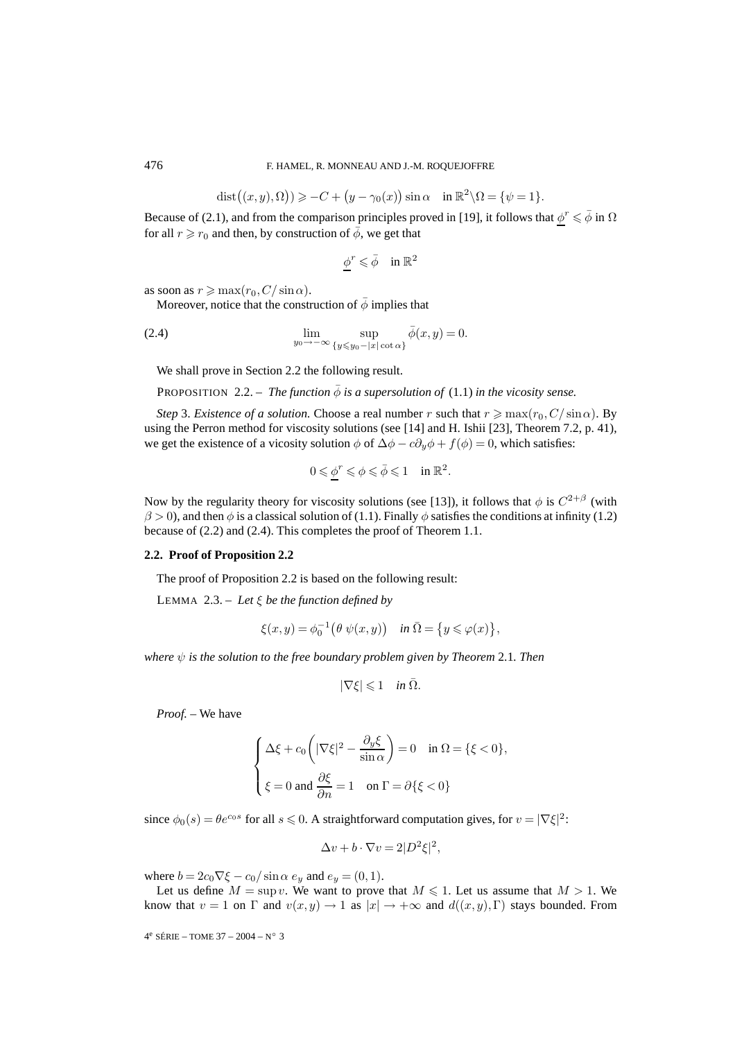$$
\text{dist}((x,y),\Omega)) \geqslant -C + \big(y-\gamma_0(x)\big) \sin \alpha \quad \text{in } \mathbb{R}^2 \setminus \Omega = \{\psi = 1\}.
$$

Because of (2.1), and from the comparison principles proved in [19], it follows that  $\phi^r \leq \phi$  in  $\Omega$ for all  $r \ge r_0$  and then, by construction of  $\bar{\phi}$ , we get that

$$
\phi^r\leqslant \bar{\phi}\quad \text{in } \mathbb{R}^2
$$

as soon as  $r \ge \max(r_0, C/\sin \alpha)$ .

Moreover, notice that the construction of  $\bar{\phi}$  implies that

(2.4) 
$$
\lim_{y_0 \to -\infty} \sup_{\{y \le y_0 - |x| \cot \alpha\}} \bar{\phi}(x, y) = 0.
$$

We shall prove in Section 2.2 the following result.

**PROPOSITION** 2.2. – *The function*  $\bar{\phi}$  *is a supersolution of* (1.1) *in the vicosity sense.* 

*Step* 3. *Existence of a solution*. Choose a real number r such that  $r \ge \max(r_0, C/\sin \alpha)$ . By using the Perron method for viscosity solutions (see [14] and H. Ishii [23], Theorem 7.2, p. 41), we get the existence of a vicosity solution  $\phi$  of  $\Delta \phi - c \partial_y \phi + f(\phi) = 0$ , which satisfies:

$$
0\leqslant \phi^r\leqslant \phi\leqslant \bar{\phi}\leqslant 1\quad \text{in } \mathbb{R}^2.
$$

Now by the regularity theory for viscosity solutions (see [13]), it follows that  $\phi$  is  $C^{2+\beta}$  (with  $\beta$  > 0), and then  $\phi$  is a classical solution of (1.1). Finally  $\phi$  satisfies the conditions at infinity (1.2) because of (2.2) and (2.4). This completes the proof of Theorem 1.1.

## **2.2. Proof of Proposition 2.2**

The proof of Proposition 2.2 is based on the following result:

LEMMA 2.3. – *Let* ξ *be the function defined by*

$$
\xi(x,y) = \phi_0^{-1} \big( \theta \psi(x,y) \big) \quad \text{in } \overline{\Omega} = \big\{ y \leqslant \varphi(x) \big\},
$$

*where* ψ *is the solution to the free boundary problem given by Theorem* 2.1*. Then*

$$
|\nabla \xi| \leqslant 1 \quad \text{in } \bar{\Omega}.
$$

*Proof. –* We have

$$
\begin{cases} \Delta \xi + c_0 \left( |\nabla \xi|^2 - \frac{\partial_y \xi}{\sin \alpha} \right) = 0 & \text{in } \Omega = \{ \xi < 0 \}, \\ \xi = 0 \text{ and } \frac{\partial \xi}{\partial n} = 1 & \text{on } \Gamma = \partial \{ \xi < 0 \} \end{cases}
$$

since  $\phi_0(s) = \theta e^{c_0 s}$  for all  $s \le 0$ . A straightforward computation gives, for  $v = |\nabla \xi|^2$ :

$$
\Delta v + b \cdot \nabla v = 2|D^2 \xi|^2,
$$

where  $b = 2c_0 \nabla \xi - c_0 / \sin \alpha e_y$  and  $e_y = (0, 1)$ .

Let us define  $M = \sup v$ . We want to prove that  $M \le 1$ . Let us assume that  $M > 1$ . We know that  $v = 1$  on  $\Gamma$  and  $v(x, y) \to 1$  as  $|x| \to +\infty$  and  $d((x, y), \Gamma)$  stays bounded. From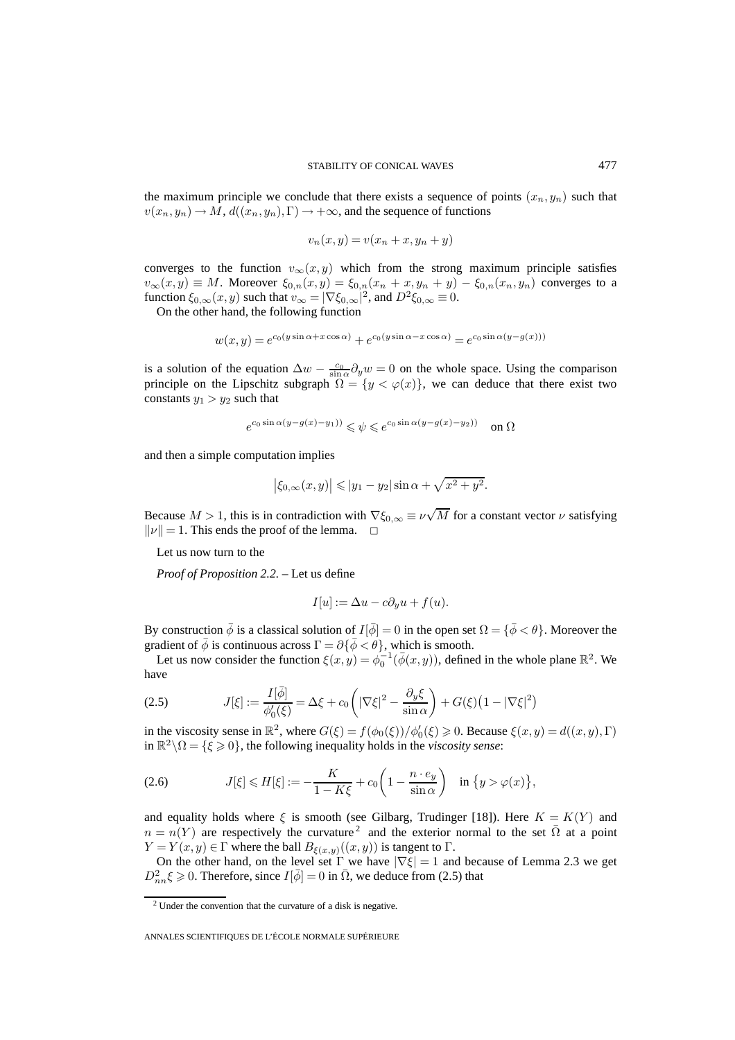the maximum principle we conclude that there exists a sequence of points  $(x_n, y_n)$  such that  $v(x_n, y_n) \to M$ ,  $d((x_n, y_n), \Gamma) \to +\infty$ , and the sequence of functions

$$
v_n(x, y) = v(x_n + x, y_n + y)
$$

converges to the function  $v_{\infty}(x, y)$  which from the strong maximum principle satisfies  $v_{\infty}(x, y) \equiv M$ . Moreover  $\xi_{0,n}(x, y) = \xi_{0,n}(x_n + x, y_n + y) - \xi_{0,n}(x_n, y_n)$  converges to a function  $\xi_{0,\infty}(x,y)$  such that  $v_{\infty} = |\nabla \xi_{0,\infty}|^2$ , and  $D^2 \xi_{0,\infty} \equiv 0$ .

On the other hand, the following function

$$
w(x,y) = e^{c_0(y\sin\alpha + x\cos\alpha)} + e^{c_0(y\sin\alpha - x\cos\alpha)} = e^{c_0\sin\alpha(y - g(x))}
$$

is a solution of the equation  $\Delta w - \frac{c_0}{\sin \alpha} \partial_y w = 0$  on the whole space. Using the comparison principle on the Lipschitz subgraph  $\Omega = \{y < \varphi(x)\}\$ , we can deduce that there exist two constants  $y_1 > y_2$  such that

$$
e^{c_0 \sin \alpha (y - g(x) - y_1))} \leqslant \psi \leqslant e^{c_0 \sin \alpha (y - g(x) - y_2))} \quad \text{on } \Omega
$$

and then a simple computation implies

$$
|\xi_{0,\infty}(x,y)| \le |y_1 - y_2| \sin \alpha + \sqrt{x^2 + y^2}.
$$

Because  $M > 1$ , this is in contradiction with  $\nabla \xi_{0,\infty} \equiv \nu$ √ M for a constant vector  $\nu$  satisfying  $\|\nu\| = 1$ . This ends the proof of the lemma.  $\Box$ 

Let us now turn to the

*Proof of Proposition 2.2. –* Let us define

$$
I[u] := \Delta u - c \partial_y u + f(u).
$$

By construction  $\bar{\phi}$  is a classical solution of  $I[\bar{\phi}]=0$  in the open set  $\Omega = {\bar{\phi} < \theta}$ . Moreover the gradient of  $\bar{\phi}$  is continuous across  $\Gamma = \partial {\bar{\phi}} < \theta$ , which is smooth.

Let us now consider the function  $\xi(x, y) = \phi_0^{-1}(\bar{\phi}(x, y))$ , defined in the whole plane  $\mathbb{R}^2$ . We have

(2.5) 
$$
J[\xi] := \frac{I[\bar{\phi}]}{\phi_0'(\xi)} = \Delta \xi + c_0 \left( |\nabla \xi|^2 - \frac{\partial_y \xi}{\sin \alpha} \right) + G(\xi) \left( 1 - |\nabla \xi|^2 \right)
$$

in the viscosity sense in  $\mathbb{R}^2$ , where  $G(\xi) = f(\phi_0(\xi))/\phi'_0(\xi) \geq 0$ . Because  $\xi(x, y) = d((x, y), \Gamma)$ in  $\mathbb{R}^2 \setminus \Omega = \{\xi \geq 0\}$ , the following inequality holds in the *viscosity sense*:

(2.6) 
$$
J[\xi] \le H[\xi] := -\frac{K}{1 - K\xi} + c_0 \left(1 - \frac{n \cdot e_y}{\sin \alpha}\right) \quad \text{in } \{y > \varphi(x)\},
$$

and equality holds where  $\xi$  is smooth (see Gilbarg, Trudinger [18]). Here  $K = K(Y)$  and  $n = n(Y)$  are respectively the curvature<sup>2</sup> and the exterior normal to the set  $\overline{\Omega}$  at a point  $Y = Y(x, y) \in \Gamma$  where the ball  $B_{\xi(x, y)}((x, y))$  is tangent to  $\Gamma$ .

On the other hand, on the level set  $\Gamma$  we have  $|\nabla \xi| = 1$  and because of Lemma 2.3 we get  $D_{nn}^2 \xi \geq 0$ . Therefore, since  $I[\bar{\phi}] = 0$  in  $\bar{\Omega}$ , we deduce from (2.5) that

<sup>2</sup> Under the convention that the curvature of a disk is negative.

ANNALES SCIENTIFIQUES DE L'ÉCOLE NORMALE SUPÉRIEURE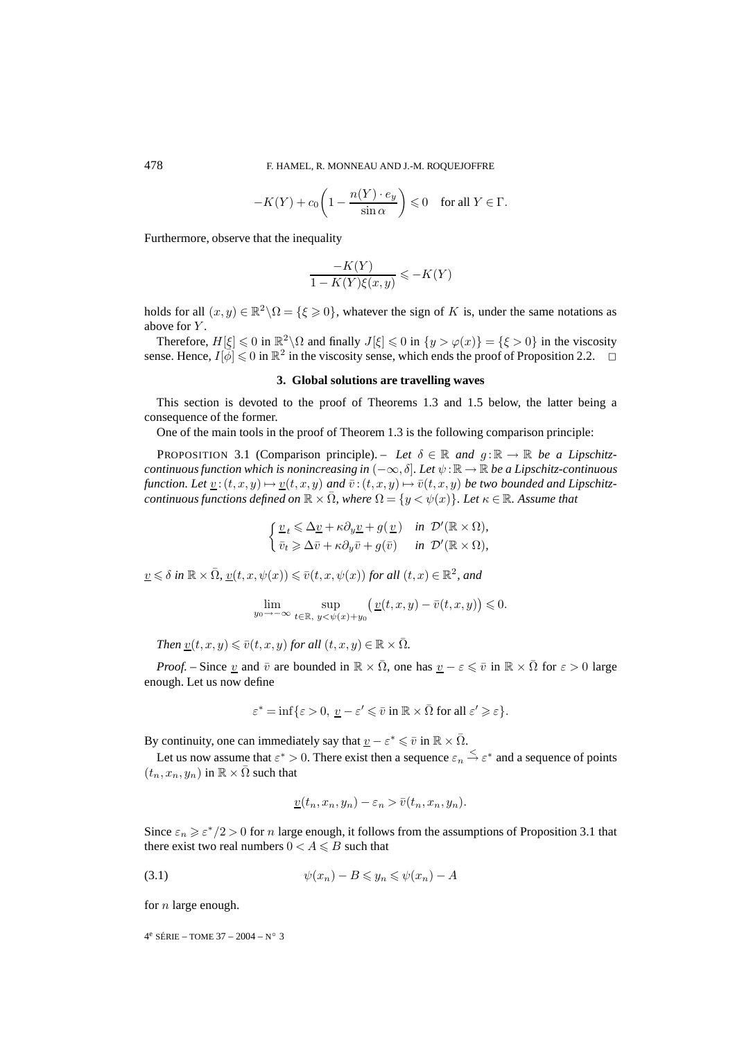$$
-K(Y) + c_0 \left( 1 - \frac{n(Y) \cdot e_y}{\sin \alpha} \right) \leq 0 \quad \text{for all } Y \in \Gamma.
$$

Furthermore, observe that the inequality

$$
\frac{-K(Y)}{1 - K(Y)\xi(x, y)} \leqslant -K(Y)
$$

holds for all  $(x, y) \in \mathbb{R}^2 \setminus \Omega = \{\xi \geq 0\}$ , whatever the sign of K is, under the same notations as above for Y.

Therefore,  $H[\xi] \leq 0$  in  $\mathbb{R}^2 \setminus \Omega$  and finally  $J[\xi] \leq 0$  in  $\{y > \varphi(x)\} = \{\xi > 0\}$  in the viscosity sense. Hence,  $I[\bar{\phi}] \leq 0$  in  $\mathbb{R}^2$  in the viscosity sense, which ends the proof of Proposition 2.2.  $\Box$ 

## **3. Global solutions are travelling waves**

This section is devoted to the proof of Theorems 1.3 and 1.5 below, the latter being a consequence of the former.

One of the main tools in the proof of Theorem 1.3 is the following comparison principle:

**PROPOSITION 3.1 (Comparison principle).** – Let  $\delta \in \mathbb{R}$  and  $g : \mathbb{R} \to \mathbb{R}$  be a Lipschitz*continuous function which is nonincreasing in*  $(-\infty, \delta]$ *. Let*  $\psi : \mathbb{R} \to \mathbb{R}$  *be a Lipschitz-continuous function. Let*  $\underline{v}$ :  $(t, x, y) \mapsto \underline{v}(t, x, y)$  *and*  $\overline{v}$ :  $(t, x, y) \mapsto \overline{v}(t, x, y)$  *be two bounded and Lipschitzcontinuous functions defined on*  $\mathbb{R} \times \Omega$ *, where*  $\Omega = \{y \lt \psi(x)\}\$ *. Let*  $\kappa \in \mathbb{R}$ *. Assume that* 

$$
\begin{cases} \underline{v}_t \leq \Delta \underline{v} + \kappa \partial_y \underline{v} + g(\underline{v}) & \text{in } \mathcal{D}'(\mathbb{R} \times \Omega), \\ \overline{v}_t \geq \Delta \overline{v} + \kappa \partial_y \overline{v} + g(\overline{v}) & \text{in } \mathcal{D}'(\mathbb{R} \times \Omega), \end{cases}
$$

 $v \leq \delta$  *in*  $\mathbb{R} \times \overline{\Omega}$ ,  $v(t, x, \psi(x)) \leq \overline{v}(t, x, \psi(x))$  *for all*  $(t, x) \in \mathbb{R}^2$ *, and* 

$$
\lim_{y_0 \to -\infty} \sup_{t \in \mathbb{R}, y < \psi(x) + y_0} \left( \underline{v}(t, x, y) - \bar{v}(t, x, y) \right) \leqslant 0.
$$

*Then*  $v(t, x, y) \leq v(t, x, y)$  *for all*  $(t, x, y) \in \mathbb{R} \times \overline{\Omega}$ *.* 

*Proof.* – Since <u>v</u> and  $\bar{v}$  are bounded in  $\mathbb{R} \times \bar{\Omega}$ , one has  $\underline{v} - \varepsilon \leq \bar{v}$  in  $\mathbb{R} \times \bar{\Omega}$  for  $\varepsilon > 0$  large enough. Let us now define

$$
\varepsilon^* = \inf \{ \varepsilon > 0, \, \underline{v} - \varepsilon' \leq \overline{v} \text{ in } \mathbb{R} \times \overline{\Omega} \text{ for all } \varepsilon' \geqslant \varepsilon \}.
$$

By continuity, one can immediately say that  $\underline{v} - \varepsilon^* \leq \overline{v}$  in  $\mathbb{R} \times \overline{\Omega}$ .

Let us now assume that  $\varepsilon^* > 0$ . There exist then a sequence  $\varepsilon_n \stackrel{\leq}{\to} \varepsilon^*$  and a sequence of points  $(t_n, x_n, y_n)$  in  $\mathbb{R} \times \overline{\Omega}$  such that

$$
\underline{v}(t_n, x_n, y_n) - \varepsilon_n > \overline{v}(t_n, x_n, y_n).
$$

Since  $\varepsilon_n \geq \varepsilon^*/2 > 0$  for n large enough, it follows from the assumptions of Proposition 3.1 that there exist two real numbers  $0 < A \leq B$  such that

$$
(3.1) \t\t\t \psi(x_n) - B \leqslant y_n \leqslant \psi(x_n) - A
$$

for  $n$  large enough.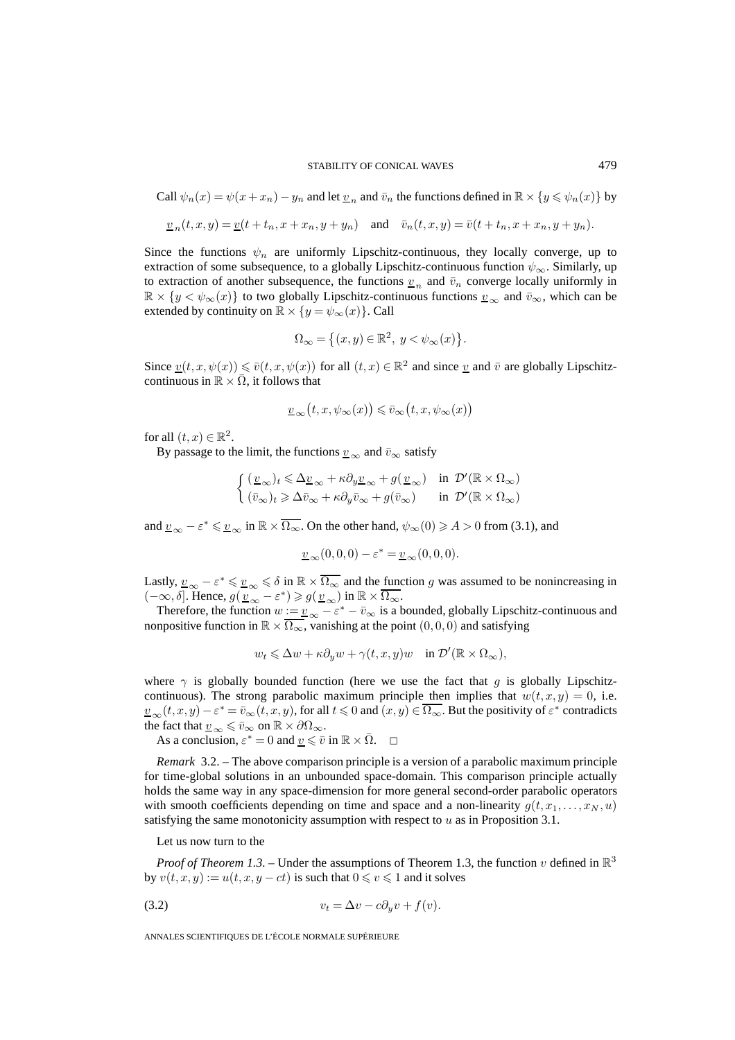Call 
$$
\psi_n(x) = \psi(x + x_n) - y_n
$$
 and let  $\underline{v}_n$  and  $\overline{v}_n$  the functions defined in  $\mathbb{R} \times \{y \le \psi_n(x)\}$  by

$$
\underline{v}_n(t,x,y) = \underline{v}(t+t_n, x+x_n, y+y_n) \quad \text{and} \quad \overline{v}_n(t,x,y) = \overline{v}(t+t_n, x+x_n, y+y_n).
$$

Since the functions  $\psi_n$  are uniformly Lipschitz-continuous, they locally converge, up to extraction of some subsequence, to a globally Lipschitz-continuous function  $\psi_{\infty}$ . Similarly, up to extraction of another subsequence, the functions  $v_n$  and  $\bar{v}_n$  converge locally uniformly in  $\mathbb{R} \times \{y < \psi_\infty(x)\}\$ to two globally Lipschitz-continuous functions  $\underline{v}_\infty$  and  $\overline{v}_\infty$ , which can be extended by continuity on  $\mathbb{R} \times \{y = \psi_{\infty}(x)\}\)$ . Call

$$
\Omega_\infty=\left\{(x,y)\in\mathbb{R}^2,\;y<\psi_\infty(x)\right\}.
$$

Since  $v(t, x, \psi(x)) \leq \overline{v}(t, x, \psi(x))$  for all  $(t, x) \in \mathbb{R}^2$  and since v and  $\overline{v}$  are globally Lipschitzcontinuous in  $\mathbb{R} \times \overline{\Omega}$ , it follows that

$$
\underline{v}_{\infty}(t, x, \psi_{\infty}(x)) \leq \overline{v}_{\infty}(t, x, \psi_{\infty}(x))
$$

for all  $(t, x) \in \mathbb{R}^2$ .

By passage to the limit, the functions  $\underline{v}_{\infty}$  and  $\overline{v}_{\infty}$  satisfy

$$
\label{eq:21} \left\{ \begin{aligned} &(\underline{v}_\infty)_t \leqslant \Delta \underline{v}_\infty + \kappa \partial_y \underline{v}_\infty + g(\,\underline{v}_\infty) \quad \text{in} \ \ \mathcal{D}'(\mathbb{R} \times \Omega_\infty) \\ &(\bar{v}_\infty)_t \geqslant \Delta \bar{v}_\infty + \kappa \partial_y \bar{v}_\infty + g(\bar{v}_\infty) \qquad \text{in} \ \ \mathcal{D}'(\mathbb{R} \times \Omega_\infty) \end{aligned} \right.
$$

and  $\underline{v}_{\infty} - \varepsilon^* \leq \underline{v}_{\infty}$  in  $\mathbb{R} \times \overline{\Omega_{\infty}}$ . On the other hand,  $\psi_{\infty}(0) \geqslant A > 0$  from (3.1), and

$$
\underline{v}_{\infty}(0,0,0) - \varepsilon^* = \underline{v}_{\infty}(0,0,0).
$$

Lastly,  $v_{\infty} - \varepsilon^* \leq v_{\infty} \leq \delta$  in  $\mathbb{R} \times \overline{\Omega_{\infty}}$  and the function g was assumed to be nonincreasing in  $(-\infty, \delta]$ . Hence,  $g(\overline{v_{\infty}} - \varepsilon^*) \geq g(\overline{v_{\infty}})$  in  $\mathbb{R} \times \overline{\Omega_{\infty}}$ .

Therefore, the function  $w := v_{\infty} - \varepsilon^* - \overline{v}_{\infty}$  is a bounded, globally Lipschitz-continuous and nonpositive function in  $\mathbb{R} \times \overline{\Omega_{\infty}}$ , vanishing at the point  $(0,0,0)$  and satisfying

$$
w_t \leq \Delta w + \kappa \partial_y w + \gamma(t, x, y) w \quad \text{in } \mathcal{D}'(\mathbb{R} \times \Omega_\infty),
$$

where  $\gamma$  is globally bounded function (here we use the fact that g is globally Lipschitzcontinuous). The strong parabolic maximum principle then implies that  $w(t, x, y)=0$ , i.e.  $v_{\infty}(t, x, y) - \varepsilon^* = \overline{v}_{\infty}(t, x, y)$ , for all  $t \le 0$  and  $(x, y) \in \overline{\Omega_{\infty}}$ . But the positivity of  $\varepsilon^*$  contradicts the fact that  $\underline{v}_{\infty} \leq \overline{v}_{\infty}$  on  $\mathbb{R} \times \partial \Omega_{\infty}$ .

As a conclusion,  $\varepsilon^* = 0$  and  $\underline{v} \leq \overline{v}$  in  $\mathbb{R} \times \overline{\Omega}$ .  $\Box$ 

*Remark* 3.2. – The above comparison principle is a version of a parabolic maximum principle for time-global solutions in an unbounded space-domain. This comparison principle actually holds the same way in any space-dimension for more general second-order parabolic operators with smooth coefficients depending on time and space and a non-linearity  $g(t, x_1, \ldots, x_N, u)$ satisfying the same monotonicity assumption with respect to  $u$  as in Proposition 3.1.

Let us now turn to the

*Proof of Theorem 1.3.* – Under the assumptions of Theorem 1.3, the function v defined in  $\mathbb{R}^3$ by  $v(t, x, y) := u(t, x, y - ct)$  is such that  $0 \le v \le 1$  and it solves

$$
(3.2) \t\t v_t = \Delta v - c\partial_y v + f(v).
$$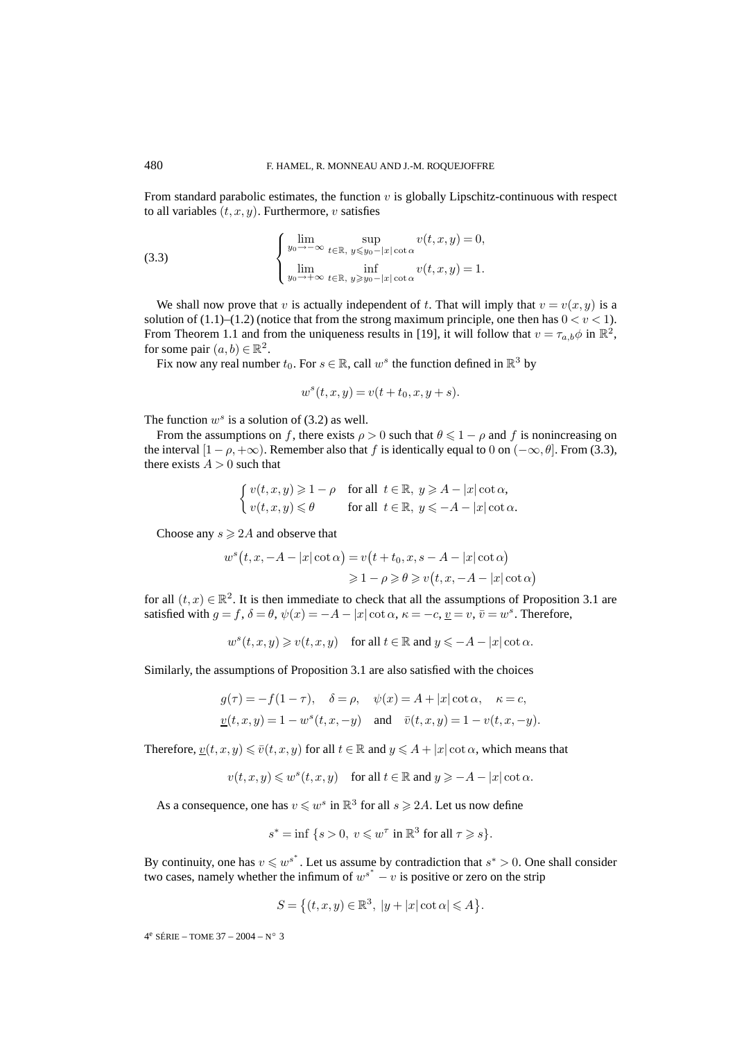From standard parabolic estimates, the function  $v$  is globally Lipschitz-continuous with respect to all variables  $(t, x, y)$ . Furthermore, v satisfies

(3.3) 
$$
\begin{cases} \lim_{y_0 \to -\infty} \sup_{t \in \mathbb{R}, y \leq y_0 - |x| \cot \alpha} v(t, x, y) = 0, \\ \lim_{y_0 \to +\infty} \inf_{t \in \mathbb{R}, y \geq y_0 - |x| \cot \alpha} v(t, x, y) = 1. \end{cases}
$$

We shall now prove that v is actually independent of t. That will imply that  $v = v(x, y)$  is a solution of (1.1)–(1.2) (notice that from the strong maximum principle, one then has  $0 < v < 1$ ). From Theorem 1.1 and from the uniqueness results in [19], it will follow that  $v = \tau_{a,b} \phi$  in  $\mathbb{R}^2$ , for some pair  $(a, b) \in \mathbb{R}^2$ .

Fix now any real number  $t_0$ . For  $s \in \mathbb{R}$ , call  $w^s$  the function defined in  $\mathbb{R}^3$  by

$$
w^s(t, x, y) = v(t + t_0, x, y + s).
$$

The function  $w^s$  is a solution of (3.2) as well.

From the assumptions on f, there exists  $\rho > 0$  such that  $\theta \leq 1 - \rho$  and f is nonincreasing on the interval  $[1 - \rho, +\infty)$ . Remember also that f is identically equal to 0 on  $(-\infty, \theta]$ . From (3.3), there exists  $A > 0$  such that

$$
\begin{cases} v(t,x,y) \geqslant 1-\rho & \text{for all} \;\; t \in \mathbb{R}, \; y \geqslant A-|x|\cot\alpha, \\ v(t,x,y) \leqslant \theta & \text{for all} \;\; t \in \mathbb{R}, \; y \leqslant -A-|x|\cot\alpha. \end{cases}
$$

Choose any  $s \geqslant 2A$  and observe that

$$
w^{s}(t, x, -A - |x| \cot \alpha) = v(t + t_{0}, x, s - A - |x| \cot \alpha)
$$
  

$$
\geq 1 - \rho \geq \theta \geq v(t, x, -A - |x| \cot \alpha)
$$

for all  $(t, x) \in \mathbb{R}^2$ . It is then immediate to check that all the assumptions of Proposition 3.1 are satisfied with  $q = f$ ,  $\delta = \theta$ ,  $\psi(x) = -A - |x| \cot \alpha$ ,  $\kappa = -c$ ,  $v = v$ ,  $\bar{v} = w^s$ . Therefore,

$$
w^s(t, x, y) \geq v(t, x, y) \quad \text{for all } t \in \mathbb{R} \text{ and } y \leq -A - |x| \cot \alpha.
$$

Similarly, the assumptions of Proposition 3.1 are also satisfied with the choices

$$
\begin{aligned} g(\tau) &= -f(1-\tau), \quad \delta = \rho, \quad \psi(x) = A + |x| \cot \alpha, \quad \kappa = c, \\ &\underline{v}(t,x,y) = 1 - w^s(t,x,-y) \quad \text{and} \quad \bar{v}(t,x,y) = 1 - v(t,x,-y). \end{aligned}
$$

Therefore,  $y(t, x, y) \leq \bar{v}(t, x, y)$  for all  $t \in \mathbb{R}$  and  $y \leq A + |x| \cot \alpha$ , which means that

$$
v(t, x, y) \leqslant w^s(t, x, y) \quad \text{for all } t \in \mathbb{R} \text{ and } y \geqslant -A - |x| \cot \alpha.
$$

As a consequence, one has  $v \leq w^s$  in  $\mathbb{R}^3$  for all  $s \geq 2A$ . Let us now define

$$
s^* = \inf \{ s > 0, \ v \leq w^{\tau} \text{ in } \mathbb{R}^3 \text{ for all } \tau \geq s \}.
$$

By continuity, one has  $v \leqslant w^{s^*}$ . Let us assume by contradiction that  $s^* > 0$ . One shall consider two cases, namely whether the infimum of  $w^{s^*} - v$  is positive or zero on the strip

$$
S = \left\{ (t, x, y) \in \mathbb{R}^3, \ |y + |x| \cot \alpha \right\} \le A \right\}.
$$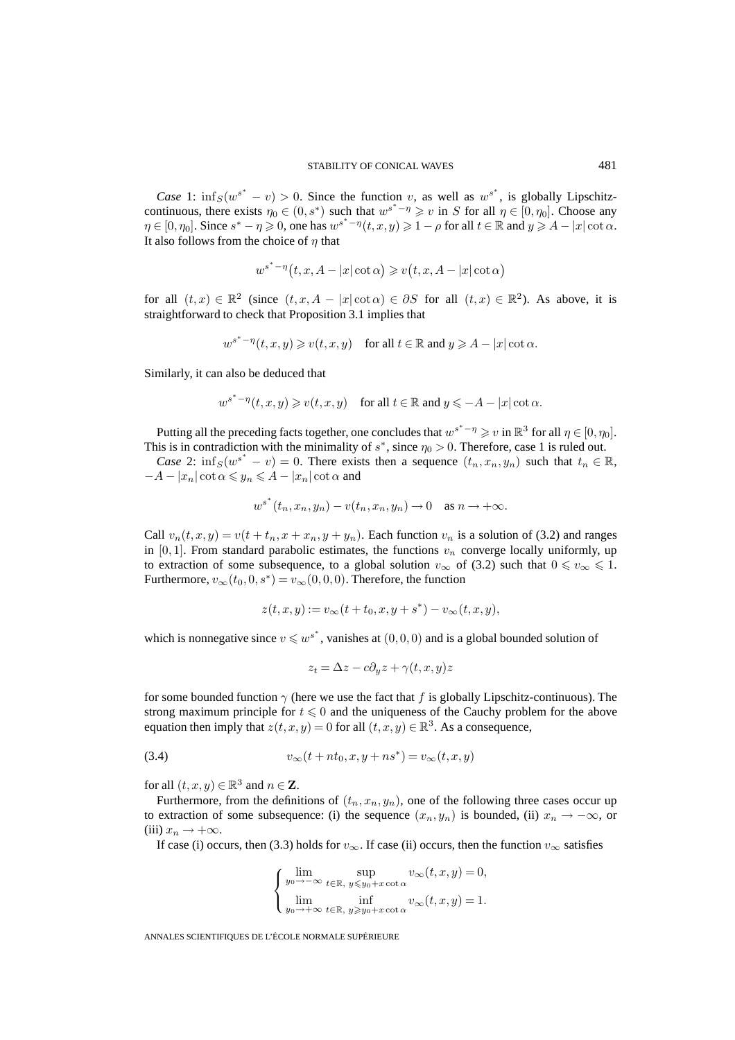*Case* 1:  $\inf_S(w^{s^*} - v) > 0$ . Since the function v, as well as  $w^{s^*}$ , is globally Lipschitzcontinuous, there exists  $\eta_0 \in (0, s^*)$  such that  $w^{s^*-\eta} \geq v$  in S for all  $\eta \in [0, \eta_0]$ . Choose any  $\eta \in [0, \eta_0]$ . Since  $s^* - \eta \geq 0$ , one has  $w^{s^* - \eta}(t, x, y) \geq 1 - \rho$  for all  $t \in \mathbb{R}$  and  $y \geq A - |x| \cot \alpha$ . It also follows from the choice of  $\eta$  that

$$
w^{s^*-\eta}(t, x, A-|x|\cot\alpha) \geq v(t, x, A-|x|\cot\alpha)
$$

for all  $(t, x) \in \mathbb{R}^2$  (since  $(t, x, A - |x| \cot \alpha) \in \partial S$  for all  $(t, x) \in \mathbb{R}^2$ ). As above, it is straightforward to check that Proposition 3.1 implies that

$$
w^{s^*-\eta}(t,x,y)\geqslant v(t,x,y)\quad\text{for all }t\in\mathbb{R}\text{ and }y\geqslant A-|x|\cot\alpha.
$$

Similarly, it can also be deduced that

$$
w^{s^*-\eta}(t, x, y) \geq v(t, x, y) \quad \text{for all } t \in \mathbb{R} \text{ and } y \leq -A - |x| \cot \alpha.
$$

Putting all the preceding facts together, one concludes that  $w^{s^*-\eta} \geq v$  in  $\mathbb{R}^3$  for all  $\eta \in [0, \eta_0]$ . This is in contradiction with the minimality of  $s^*$ , since  $\eta_0 > 0$ . Therefore, case 1 is ruled out.

*Case* 2:  $\inf_S(w^{s^*} - v) = 0$ . There exists then a sequence  $(t_n, x_n, y_n)$  such that  $t_n \in \mathbb{R}$ ,  $-A - |x_n| \cot \alpha \leqslant y_n \leqslant A - |x_n| \cot \alpha$  and

$$
w^{s^*}(t_n, x_n, y_n) - v(t_n, x_n, y_n) \to 0 \quad \text{as } n \to +\infty.
$$

Call  $v_n(t, x, y) = v(t + t_n, x + x_n, y + y_n)$ . Each function  $v_n$  is a solution of (3.2) and ranges in [0, 1]. From standard parabolic estimates, the functions  $v_n$  converge locally uniformly, up to extraction of some subsequence, to a global solution  $v_{\infty}$  of (3.2) such that  $0 \le v_{\infty} \le 1$ . Furthermore,  $v_{\infty}(t_0, 0, s^*) = v_{\infty}(0, 0, 0)$ . Therefore, the function

$$
z(t, x, y) := v_{\infty}(t + t_0, x, y + s^*) - v_{\infty}(t, x, y),
$$

which is nonnegative since  $v \leq w^{s^*}$ , vanishes at  $(0,0,0)$  and is a global bounded solution of

$$
z_t = \Delta z - c\partial_y z + \gamma(t, x, y)z
$$

for some bounded function  $\gamma$  (here we use the fact that f is globally Lipschitz-continuous). The strong maximum principle for  $t \leq 0$  and the uniqueness of the Cauchy problem for the above equation then imply that  $z(t, x, y)=0$  for all  $(t, x, y) \in \mathbb{R}^3$ . As a consequence,

(3.4) 
$$
v_{\infty}(t + nt_0, x, y + ns^*) = v_{\infty}(t, x, y)
$$

for all  $(t, x, y) \in \mathbb{R}^3$  and  $n \in \mathbb{Z}$ .

Furthermore, from the definitions of  $(t_n, x_n, y_n)$ , one of the following three cases occur up to extraction of some subsequence: (i) the sequence  $(x_n, y_n)$  is bounded, (ii)  $x_n \to -\infty$ , or (iii)  $x_n \rightarrow +\infty$ .

If case (i) occurs, then (3.3) holds for  $v_{\infty}$ . If case (ii) occurs, then the function  $v_{\infty}$  satisfies

$$
\begin{cases}\n\lim_{y_0 \to -\infty} \sup_{t \in \mathbb{R}, y \leq y_0 + x \cot \alpha} v_{\infty}(t, x, y) = 0, \\
\lim_{y_0 \to +\infty} \inf_{t \in \mathbb{R}, y \geq y_0 + x \cot \alpha} v_{\infty}(t, x, y) = 1.\n\end{cases}
$$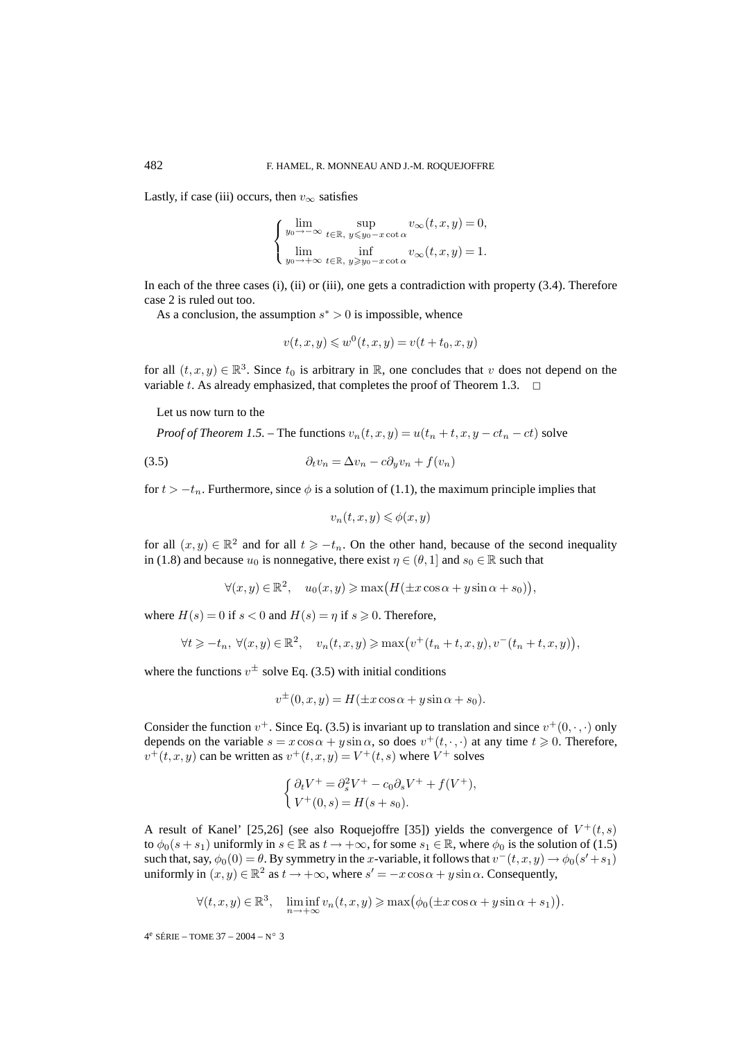Lastly, if case (iii) occurs, then  $v_{\infty}$  satisfies

$$
\begin{cases} \lim_{y_0 \to -\infty} \sup_{t \in \mathbb{R}, y \leq y_0 - x \cot \alpha} v_{\infty}(t, x, y) = 0, \\ \lim_{y_0 \to +\infty} \inf_{t \in \mathbb{R}, y \geq y_0 - x \cot \alpha} v_{\infty}(t, x, y) = 1. \end{cases}
$$

In each of the three cases (i), (ii) or (iii), one gets a contradiction with property (3.4). Therefore case 2 is ruled out too.

As a conclusion, the assumption  $s^* > 0$  is impossible, whence

$$
v(t, x, y) \leqslant w^{0}(t, x, y) = v(t + t_0, x, y)
$$

for all  $(t, x, y) \in \mathbb{R}^3$ . Since  $t_0$  is arbitrary in R, one concludes that v does not depend on the variable t. As already emphasized, that completes the proof of Theorem 1.3.  $\Box$ 

Let us now turn to the

*Proof of Theorem 1.5.* – The functions  $v_n(t, x, y) = u(t_n + t, x, y - ct_n - ct)$  solve

$$
(3.5) \t\t\t \partial_t v_n = \Delta v_n - c \partial_y v_n + f(v_n)
$$

for  $t > -t_n$ . Furthermore, since  $\phi$  is a solution of (1.1), the maximum principle implies that

$$
v_n(t, x, y) \leq \phi(x, y)
$$

for all  $(x, y) \in \mathbb{R}^2$  and for all  $t \geq -t_n$ . On the other hand, because of the second inequality in (1.8) and because  $u_0$  is nonnegative, there exist  $\eta \in (\theta, 1]$  and  $s_0 \in \mathbb{R}$  such that

$$
\forall (x, y) \in \mathbb{R}^2, \quad u_0(x, y) \ge \max\bigl(H(\pm x \cos \alpha + y \sin \alpha + s_0)\bigr),
$$

where  $H(s) = 0$  if  $s < 0$  and  $H(s) = \eta$  if  $s \ge 0$ . Therefore,

$$
\forall t \geq -t_n, \ \forall (x, y) \in \mathbb{R}^2, \quad v_n(t, x, y) \geq \max(v^+(t_n + t, x, y), v^-(t_n + t, x, y)),
$$

where the functions  $v^{\pm}$  solve Eq. (3.5) with initial conditions

$$
v^{\pm}(0, x, y) = H(\pm x \cos \alpha + y \sin \alpha + s_0).
$$

Consider the function  $v^+$ . Since Eq. (3.5) is invariant up to translation and since  $v^+(0, \cdot, \cdot)$  only depends on the variable  $s = x \cos \alpha + y \sin \alpha$ , so does  $v^+(t, \cdot, \cdot)$  at any time  $t \ge 0$ . Therefore,  $v^+(t, x, y)$  can be written as  $v^+(t, x, y) = V^+(t, s)$  where  $V^+$  solves

$$
\begin{cases} \partial_t V^+ = \partial_s^2 V^+ - c_0 \partial_s V^+ + f(V^+), \\ V^+(0, s) = H(s + s_0). \end{cases}
$$

A result of Kanel' [25,26] (see also Roquejoffre [35]) yields the convergence of  $V^+(t,s)$ to  $\phi_0(s + s_1)$  uniformly in  $s \in \mathbb{R}$  as  $t \to +\infty$ , for some  $s_1 \in \mathbb{R}$ , where  $\phi_0$  is the solution of (1.5) such that, say,  $\phi_0(0) = \theta$ . By symmetry in the x-variable, it follows that  $v^-(t, x, y) \to \phi_0(s'+s_1)$ uniformly in  $(x, y) \in \mathbb{R}^2$  as  $t \to +\infty$ , where  $s' = -x \cos \alpha + y \sin \alpha$ . Consequently,

$$
\forall (t, x, y) \in \mathbb{R}^3, \quad \liminf_{n \to +\infty} v_n(t, x, y) \ge \max(\phi_0(\pm x \cos \alpha + y \sin \alpha + s_1)).
$$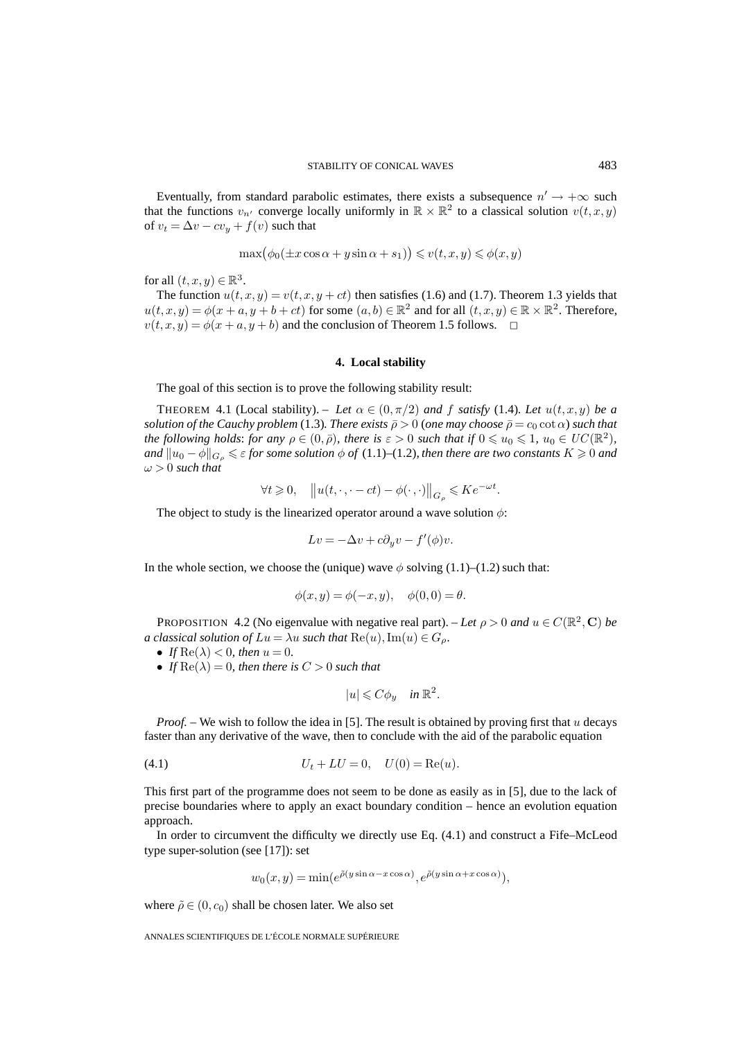Eventually, from standard parabolic estimates, there exists a subsequence  $n' \rightarrow +\infty$  such that the functions  $v_{n'}$  converge locally uniformly in  $\mathbb{R} \times \mathbb{R}^2$  to a classical solution  $v(t, x, y)$ of  $v_t = \Delta v - cv_y + f(v)$  such that

$$
\max(\phi_0(\pm x\cos\alpha + y\sin\alpha + s_1)) \leq v(t, x, y) \leq \phi(x, y)
$$

for all  $(t, x, y) \in \mathbb{R}^3$ .

The function  $u(t, x, y) = v(t, x, y + ct)$  then satisfies (1.6) and (1.7). Theorem 1.3 yields that  $u(t, x, y) = \phi(x + a, y + b + ct)$  for some  $(a, b) \in \mathbb{R}^2$  and for all  $(t, x, y) \in \mathbb{R} \times \mathbb{R}^2$ . Therefore,  $v(t, x, y) = \phi(x + a, y + b)$  and the conclusion of Theorem 1.5 follows.  $\Box$ 

#### **4. Local stability**

The goal of this section is to prove the following stability result:

THEOREM 4.1 (Local stability). – Let  $\alpha \in (0, \pi/2)$  and f satisfy (1.4). Let  $u(t, x, y)$  be a *solution of the Cauchy problem* (1.3)*. There exists*  $\bar{\rho} > 0$  (*one may choose*  $\bar{\rho} = c_0 \cot \alpha$ ) *such that the following holds: for any*  $\rho \in (0, \bar{\rho})$ *, there is*  $\varepsilon > 0$  *such that if*  $0 \leq u_0 \leq 1$ *,*  $u_0 \in UC(\mathbb{R}^2)$ *,* and  $\|u_0 - \phi\|_{G_\rho} \leqslant \varepsilon$  for some solution  $\phi$  of (1.1)–(1.2), then there are two constants  $K \geqslant 0$  and  $\omega > 0$  *such that* 

$$
\forall t \geqslant 0, \quad \left\| u(t, \cdot, \cdot - ct) - \phi(\cdot, \cdot) \right\|_{G_{\rho}} \leqslant K e^{-\omega t}.
$$

The object to study is the linearized operator around a wave solution  $\phi$ :

$$
Lv = -\Delta v + c\partial_y v - f'(\phi)v.
$$

In the whole section, we choose the (unique) wave  $\phi$  solving (1.1)–(1.2) such that:

$$
\phi(x, y) = \phi(-x, y), \quad \phi(0, 0) = \theta.
$$

PROPOSITION 4.2 (No eigenvalue with negative real part). – Let  $\rho > 0$  and  $u \in C(\mathbb{R}^2, \mathbb{C})$  be *a classical solution of*  $Lu = \lambda u$  *such that*  $\text{Re}(u)$ ,  $\text{Im}(u) \in G_\rho$ .

- *If*  $\text{Re}(\lambda) < 0$ *, then*  $u = 0$ *.*
- *If*  $\text{Re}(\lambda) = 0$ *, then there is*  $C > 0$  *such that*

$$
|u| \leqslant C\phi_y \quad \text{in } \mathbb{R}^2.
$$

*Proof.* – We wish to follow the idea in [5]. The result is obtained by proving first that u decays faster than any derivative of the wave, then to conclude with the aid of the parabolic equation

(4.1) 
$$
U_t + LU = 0, \quad U(0) = \text{Re}(u).
$$

This first part of the programme does not seem to be done as easily as in [5], due to the lack of precise boundaries where to apply an exact boundary condition – hence an evolution equation approach.

In order to circumvent the difficulty we directly use Eq. (4.1) and construct a Fife–McLeod type super-solution (see [17]): set

$$
w_0(x, y) = \min(e^{\tilde{\rho}(y \sin \alpha - x \cos \alpha)}, e^{\tilde{\rho}(y \sin \alpha + x \cos \alpha)}),
$$

where  $\tilde{\rho} \in (0, c_0)$  shall be chosen later. We also set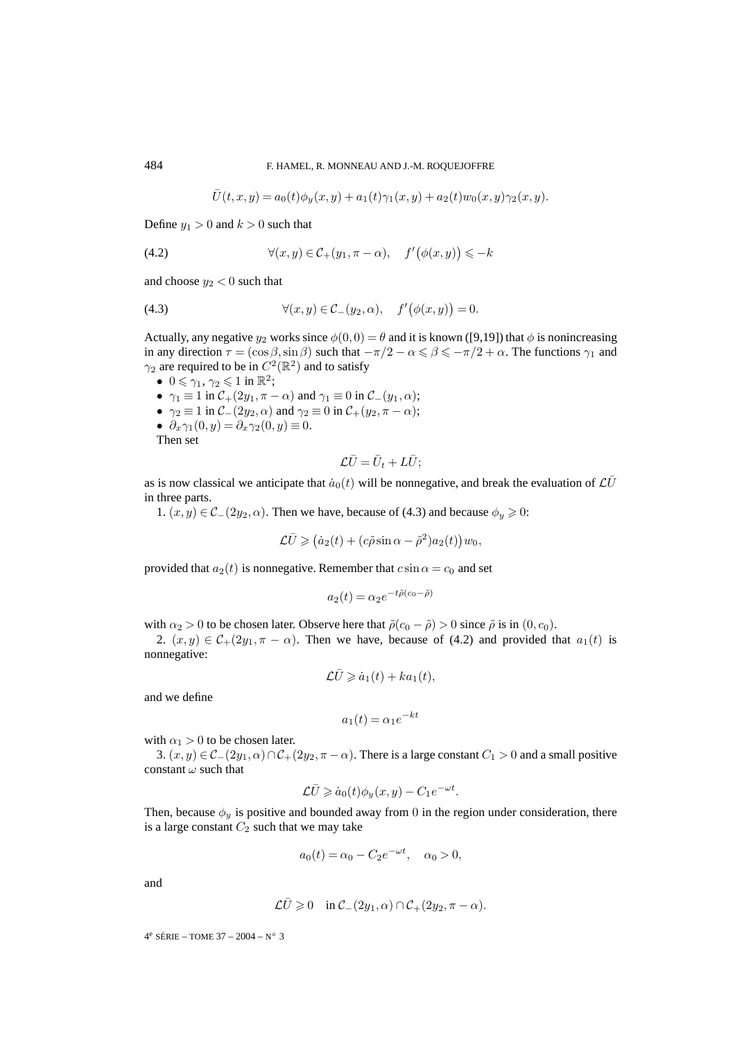$$
\overline{U}(t,x,y) = a_0(t)\phi_y(x,y) + a_1(t)\gamma_1(x,y) + a_2(t)w_0(x,y)\gamma_2(x,y).
$$

Define  $y_1 > 0$  and  $k > 0$  such that

(4.2) 
$$
\forall (x, y) \in \mathcal{C}_+(y_1, \pi - \alpha), \quad f'(\phi(x, y)) \leq -k
$$

and choose  $y_2 < 0$  such that

(4.3) 
$$
\forall (x, y) \in \mathcal{C}_-(y_2, \alpha), \quad f'(\phi(x, y)) = 0.
$$

Actually, any negative  $y_2$  works since  $\phi(0,0) = \theta$  and it is known ([9,19]) that  $\phi$  is nonincreasing in any direction  $\tau = (\cos \beta, \sin \beta)$  such that  $-\pi/2 - \alpha \le \beta \le -\pi/2 + \alpha$ . The functions  $\gamma_1$  and  $\gamma_2$  are required to be in  $C^2(\mathbb{R}^2)$  and to satisfy

- $0 \leq \gamma_1, \gamma_2 \leq 1$  in  $\mathbb{R}^2$ ; •  $\gamma_1 \equiv 1$  in  $\mathcal{C}_+(2y_1, \pi - \alpha)$  and  $\gamma_1 \equiv 0$  in  $\mathcal{C}_-(y_1, \alpha)$ ; •  $\gamma_2 \equiv 1$  in  $\mathcal{C}_-(2y_2, \alpha)$  and  $\gamma_2 \equiv 0$  in  $\mathcal{C}_+(y_2, \pi - \alpha)$ ;
- $\partial_x \gamma_1(0, y) = \partial_x \gamma_2(0, y) \equiv 0.$

Then set

$$
\mathcal{L}\bar{U}=\bar{U}_t+L\bar{U};
$$

as is now classical we anticipate that  $\dot{a}_0(t)$  will be nonnegative, and break the evaluation of  $\mathcal{L}\overline{U}$ in three parts.

1.  $(x, y) \in \mathcal{C}_-(2y_2, \alpha)$ . Then we have, because of (4.3) and because  $\phi_y \ge 0$ :

$$
\mathcal{L}\bar{U} \geq (a_2(t) + (c\tilde{\rho}\sin\alpha - \tilde{\rho}^2)a_2(t))w_0,
$$

provided that  $a_2(t)$  is nonnegative. Remember that  $c \sin \alpha = c_0$  and set

$$
a_2(t) = \alpha_2 e^{-t\tilde{\rho}(c_0 - \tilde{\rho})}
$$

with  $\alpha_2 > 0$  to be chosen later. Observe here that  $\tilde{\rho}(c_0 - \tilde{\rho}) > 0$  since  $\tilde{\rho}$  is in  $(0, c_0)$ .

2.  $(x, y) \in C_+(2y_1, \pi - \alpha)$ . Then we have, because of (4.2) and provided that  $a_1(t)$  is nonnegative:

$$
\mathcal{L}\bar{U} \geq \dot{a}_1(t) + ka_1(t),
$$

and we define

$$
a_1(t) = \alpha_1 e^{-kt}
$$

with  $\alpha_1 > 0$  to be chosen later.

3.  $(x, y) \in \mathcal{C}_-(2y_1, \alpha) \cap \mathcal{C}_+(2y_2, \pi - \alpha)$ . There is a large constant  $C_1 > 0$  and a small positive constant  $\omega$  such that

$$
\mathcal{L}\bar{U} \geq \dot{a}_0(t)\phi_y(x,y) - C_1 e^{-\omega t}.
$$

Then, because  $\phi_y$  is positive and bounded away from 0 in the region under consideration, there is a large constant  $C_2$  such that we may take

$$
a_0(t) = \alpha_0 - C_2 e^{-\omega t}, \quad \alpha_0 > 0,
$$

and

$$
\mathcal{L}\bar{U} \geq 0
$$
 in  $\mathcal{C}_{-}(2y_1, \alpha) \cap \mathcal{C}_{+}(2y_2, \pi - \alpha)$ .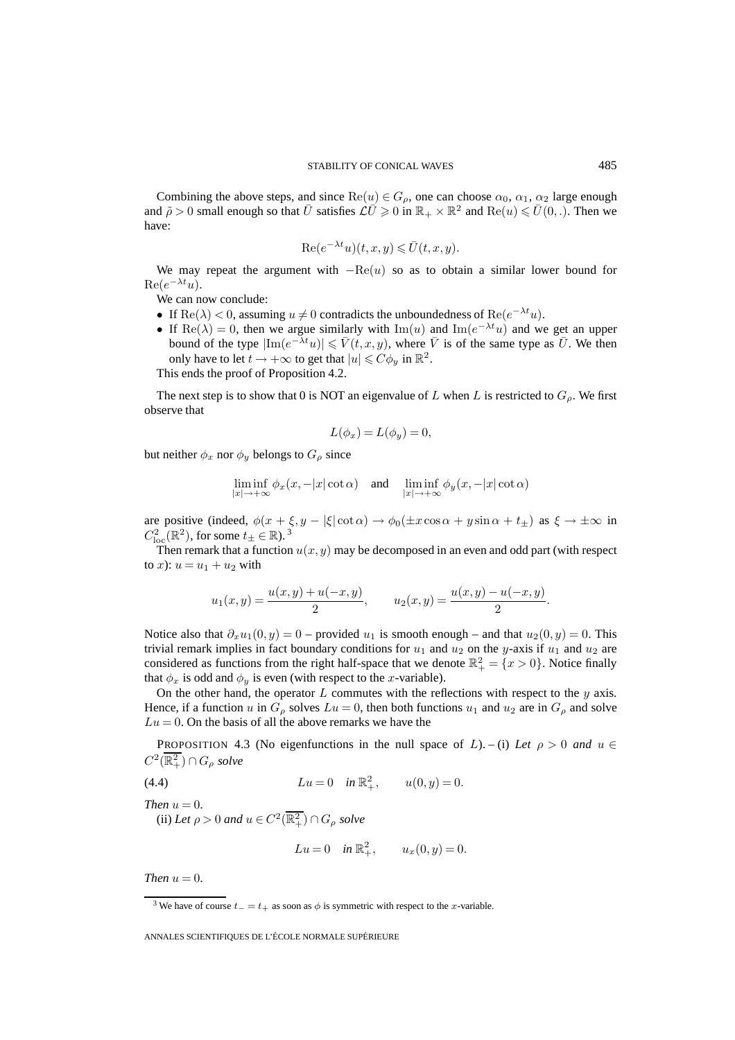Combining the above steps, and since  $\text{Re}(u) \in G_{\rho}$ , one can choose  $\alpha_0$ ,  $\alpha_1$ ,  $\alpha_2$  large enough and  $\tilde{\rho} > 0$  small enough so that  $\bar{U}$  satisfies  $\mathcal{L}\bar{U} \geq 0$  in  $\mathbb{R}_+ \times \mathbb{R}^2$  and  $\text{Re}(u) \leq \bar{U}(0,.)$ . Then we have:

$$
\operatorname{Re}(e^{-\lambda t}u)(t,x,y) \le \overline{U}(t,x,y).
$$

We may repeat the argument with  $-Re(u)$  so as to obtain a similar lower bound for  $\text{Re}(e^{-\lambda t}u)$ .

We can now conclude:

- If  $\text{Re}(\lambda) < 0$ , assuming  $u \neq 0$  contradicts the unboundedness of  $\text{Re}(e^{-\lambda t}u)$ .
- If  $\text{Re}(\lambda)=0$ , then we argue similarly with  $\text{Im}(u)$  and  $\text{Im}(e^{-\lambda t}u)$  and we get an upper bound of the type  $|\text{Im}(e^{-\lambda t}u)| \leq \overline{V}(t, x, y)$ , where  $\overline{V}$  is of the same type as  $\overline{U}$ . We then only have to let  $t \to +\infty$  to get that  $|u| \leq C\phi_u$  in  $\mathbb{R}^2$ .

This ends the proof of Proposition 4.2.

The next step is to show that 0 is NOT an eigenvalue of L when L is restricted to  $G_{\rho}$ . We first observe that

$$
L(\phi_x) = L(\phi_y) = 0,
$$

but neither  $\phi_x$  nor  $\phi_y$  belongs to  $G_\rho$  since

$$
\liminf_{|x| \to +\infty} \phi_x(x, -|x| \cot \alpha) \quad \text{and} \quad \liminf_{|x| \to +\infty} \phi_y(x, -|x| \cot \alpha)
$$

are positive (indeed,  $\phi(x + \xi, y - |\xi| \cot \alpha) \rightarrow \phi_0(\pm x \cos \alpha + y \sin \alpha + t_{\pm})$  as  $\xi \rightarrow \pm \infty$  in  $C^2_{\text{loc}}(\mathbb{R}^2)$ , for some  $t_{\pm} \in \mathbb{R}$ ). <sup>3</sup>

Then remark that a function  $u(x, y)$  may be decomposed in an even and odd part (with respect to x):  $u = u_1 + u_2$  with

$$
u_1(x,y) = \frac{u(x,y) + u(-x,y)}{2}
$$
,  $u_2(x,y) = \frac{u(x,y) - u(-x,y)}{2}$ .

Notice also that  $\partial_x u_1(0, y) = 0$  – provided  $u_1$  is smooth enough – and that  $u_2(0, y) = 0$ . This trivial remark implies in fact boundary conditions for  $u_1$  and  $u_2$  on the y-axis if  $u_1$  and  $u_2$  are considered as functions from the right half-space that we denote  $\mathbb{R}^2_+ = \{x > 0\}$ . Notice finally that  $\phi_x$  is odd and  $\phi_y$  is even (with respect to the x-variable).

On the other hand, the operator  $L$  commutes with the reflections with respect to the  $y$  axis. Hence, if a function u in  $G_\rho$  solves  $Lu = 0$ , then both functions  $u_1$  and  $u_2$  are in  $G_\rho$  and solve  $Lu = 0$ . On the basis of all the above remarks we have the

PROPOSITION 4.3 (No eigenfunctions in the null space of L). – (i) Let  $\rho > 0$  and  $u \in$  $C^2(\overline{\mathbb{R}^2_+})\cap G_\rho$  solve

(4.4) 
$$
Lu = 0 \quad in \ \mathbb{R}^2_+, \qquad u(0, y) = 0.
$$

*Then*  $u = 0$ *.* 

(ii) Let  $\rho > 0$  and  $u \in C^2(\overline{\mathbb{R}^2_+}) \cap G_\rho$  solve

$$
Lu = 0
$$
 in  $\mathbb{R}^2_+$ ,  $u_x(0, y) = 0$ .

*Then*  $u = 0$ *.* 

<sup>&</sup>lt;sup>3</sup> We have of course  $t_ - = t_ +$  as soon as  $\phi$  is symmetric with respect to the x-variable.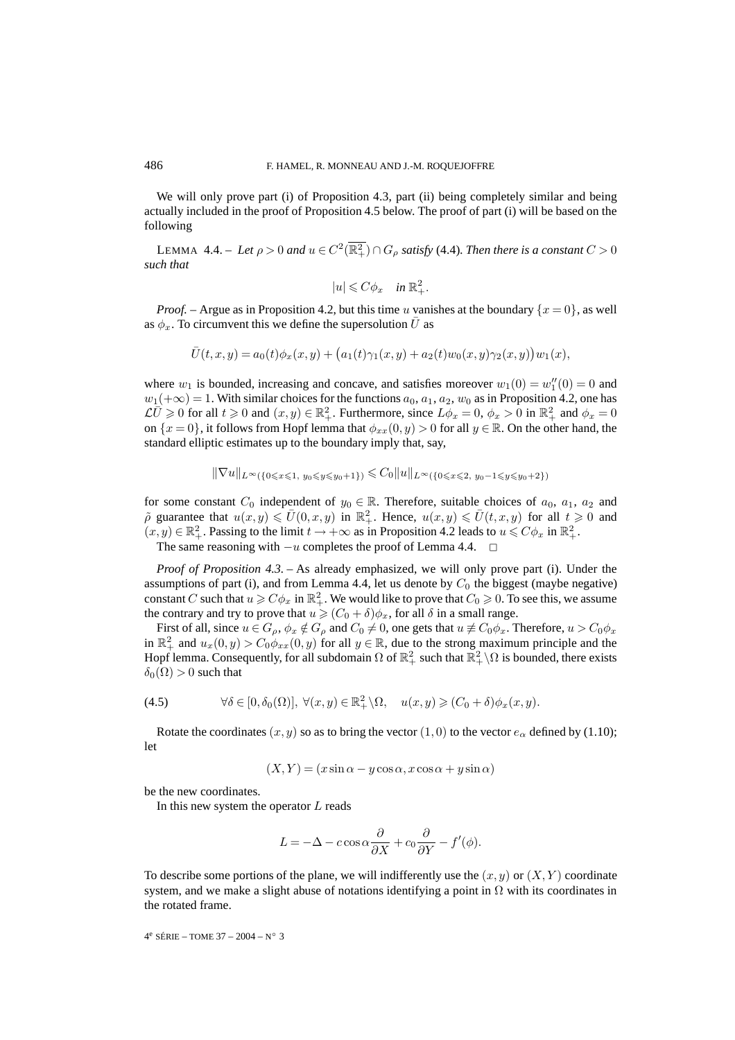We will only prove part (i) of Proposition 4.3, part (ii) being completely similar and being actually included in the proof of Proposition 4.5 below. The proof of part (i) will be based on the following

LEMMA 4.4. – Let  $\rho > 0$  and  $u \in C^2(\overline{\mathbb{R}^2_+}) \cap G_\rho$  satisfy (4.4). Then there is a constant  $C > 0$ *such that*

$$
|u| \leqslant C\phi_x \quad \text{in } \mathbb{R}_+^2.
$$

*Proof.* – Argue as in Proposition 4.2, but this time u vanishes at the boundary  $\{x = 0\}$ , as well as  $\phi_x$ . To circumvent this we define the supersolution  $\bar{U}$  as

$$
\overline{U}(t,x,y) = a_0(t)\phi_x(x,y) + (a_1(t)\gamma_1(x,y) + a_2(t)w_0(x,y)\gamma_2(x,y))w_1(x),
$$

where  $w_1$  is bounded, increasing and concave, and satisfies moreover  $w_1(0) = w''_1(0) = 0$  and  $w_1(+\infty)=1$ . With similar choices for the functions  $a_0, a_1, a_2, w_0$  as in Proposition 4.2, one has  $\mathcal{L} \overline{U} \geq 0$  for all  $t \geq 0$  and  $(x, y) \in \mathbb{R}^2_+$ . Furthermore, since  $L\phi_x = 0$ ,  $\phi_x > 0$  in  $\mathbb{R}^2_+$  and  $\phi_x = 0$ on  $\{x=0\}$ , it follows from Hopf lemma that  $\phi_{xx}(0, y) > 0$  for all  $y \in \mathbb{R}$ . On the other hand, the standard elliptic estimates up to the boundary imply that, say,

$$
\|\nabla u\|_{L^{\infty}(\{0 \leq x \leq 1, y_0 \leq y \leq y_0+1\})} \leq C_0 \|u\|_{L^{\infty}(\{0 \leq x \leq 2, y_0-1 \leq y \leq y_0+2\})}
$$

for some constant  $C_0$  independent of  $y_0 \in \mathbb{R}$ . Therefore, suitable choices of  $a_0, a_1, a_2$  and  $\tilde{\rho}$  guarantee that  $u(x,y) \leq U(0,x,y)$  in  $\mathbb{R}^2_+$ . Hence,  $u(x,y) \leq U(t,x,y)$  for all  $t \geq 0$  and  $(x, y) \in \mathbb{R}^2_+$ . Passing to the limit  $t \to +\infty$  as in Proposition 4.2 leads to  $u \leq C\phi_x$  in  $\mathbb{R}^2_+$ . The same reasoning with  $-u$  completes the proof of Lemma 4.4.  $\Box$ 

*Proof of Proposition 4.3.* – As already emphasized, we will only prove part (i). Under the assumptions of part (i), and from Lemma 4.4, let us denote by  $C_0$  the biggest (maybe negative) constant C such that  $u \geqslant C\phi_x$  in  $\mathbb{R}^2_+$ . We would like to prove that  $C_0 \geqslant 0$ . To see this, we assume the contrary and try to prove that  $u \geqslant (C_0 + \delta)\phi_x$ , for all  $\delta$  in a small range.

First of all, since  $u \in G_\rho$ ,  $\phi_x \notin G_\rho$  and  $C_0 \neq 0$ , one gets that  $u \not\equiv C_0 \phi_x$ . Therefore,  $u > C_0 \phi_x$ in  $\mathbb{R}^2_+$  and  $u_x(0, y) > C_0 \phi_{xx}(0, y)$  for all  $y \in \mathbb{R}$ , due to the strong maximum principle and the Hopf lemma. Consequently, for all subdomain  $\Omega$  of  $\mathbb{R}^2_+$  such that  $\mathbb{R}^2_+\setminus\Omega$  is bounded, there exists  $\delta_0(\Omega) > 0$  such that

(4.5) 
$$
\forall \delta \in [0, \delta_0(\Omega)], \ \forall (x, y) \in \mathbb{R}^2_+ \backslash \Omega, \quad u(x, y) \geq (C_0 + \delta) \phi_x(x, y).
$$

Rotate the coordinates  $(x, y)$  so as to bring the vector  $(1, 0)$  to the vector  $e_{\alpha}$  defined by (1.10); let

$$
(X, Y) = (x \sin \alpha - y \cos \alpha, x \cos \alpha + y \sin \alpha)
$$

be the new coordinates.

In this new system the operator  $L$  reads

$$
L = -\Delta - c \cos \alpha \frac{\partial}{\partial X} + c_0 \frac{\partial}{\partial Y} - f'(\phi).
$$

To describe some portions of the plane, we will indifferently use the  $(x, y)$  or  $(X, Y)$  coordinate system, and we make a slight abuse of notations identifying a point in  $\Omega$  with its coordinates in the rotated frame.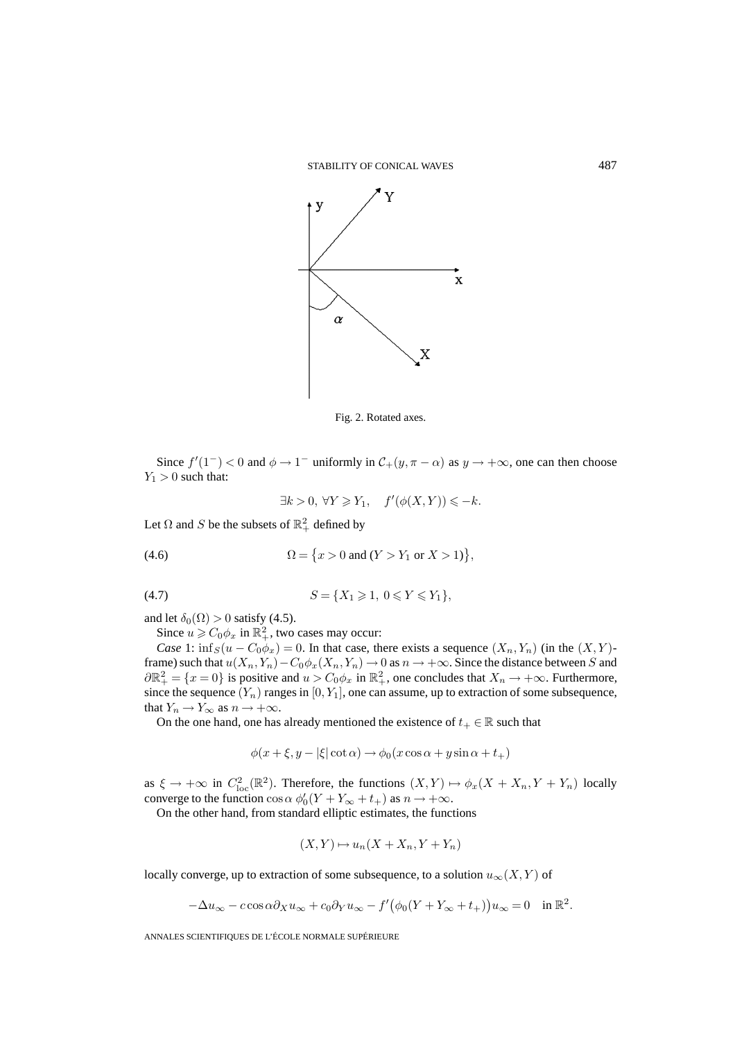

Fig. 2. Rotated axes.

Since  $f'(1^-) < 0$  and  $\phi \to 1^-$  uniformly in  $\mathcal{C}_+(y, \pi - \alpha)$  as  $y \to +\infty$ , one can then choose  $Y_1 > 0$  such that:

$$
\exists k > 0, \ \forall Y \geq Y_1, \quad f'(\phi(X, Y)) \leq -k.
$$

Let  $\Omega$  and S be the subsets of  $\mathbb{R}^2_+$  defined by

(4.6) 
$$
\Omega = \{x > 0 \text{ and } (Y > Y_1 \text{ or } X > 1)\},
$$

$$
(4.7) \t S = \{X_1 \geq 1, \ 0 \leq Y \leq Y_1\},
$$

and let  $\delta_0(\Omega) > 0$  satisfy (4.5).

Since  $u \geqslant C_0 \phi_x$  in  $\mathbb{R}^2_+$ , two cases may occur:

*Case* 1:  $\inf_S(u - C_0\phi_x) = 0$ . In that case, there exists a sequence  $(X_n, Y_n)$  (in the  $(X, Y)$ frame) such that  $u(X_n, Y_n) - C_0 \phi_x(X_n, Y_n) \to 0$  as  $n \to +\infty$ . Since the distance between S and  $\partial \mathbb{R}^2_+ = \{x = 0\}$  is positive and  $u > C_0 \phi_x$  in  $\mathbb{R}^2_+$ , one concludes that  $X_n \to +\infty$ . Furthermore, since the sequence  $(Y_n)$  ranges in  $[0, Y_1]$ , one can assume, up to extraction of some subsequence, that  $Y_n \to Y_\infty$  as  $n \to +\infty$ .

On the one hand, one has already mentioned the existence of  $t_+ \in \mathbb{R}$  such that

$$
\phi(x+\xi, y-|\xi|\cot\alpha) \to \phi_0(x\cos\alpha + y\sin\alpha + t_+)
$$

as  $\xi \to +\infty$  in  $C^2_{loc}(\mathbb{R}^2)$ . Therefore, the functions  $(X,Y) \mapsto \phi_x(X+X_n, Y+Y_n)$  locally converge to the function  $\cos \alpha \phi_0'(Y + Y_\infty + t_+)$  as  $n \to +\infty$ .

On the other hand, from standard elliptic estimates, the functions

$$
(X,Y)\mapsto u_n(X+X_n,Y+Y_n)
$$

locally converge, up to extraction of some subsequence, to a solution  $u_{\infty}(X, Y)$  of

$$
-\Delta u_{\infty} - c \cos \alpha \partial_X u_{\infty} + c_0 \partial_Y u_{\infty} - f'(\phi_0(Y + Y_{\infty} + t_+))u_{\infty} = 0 \quad \text{in } \mathbb{R}^2.
$$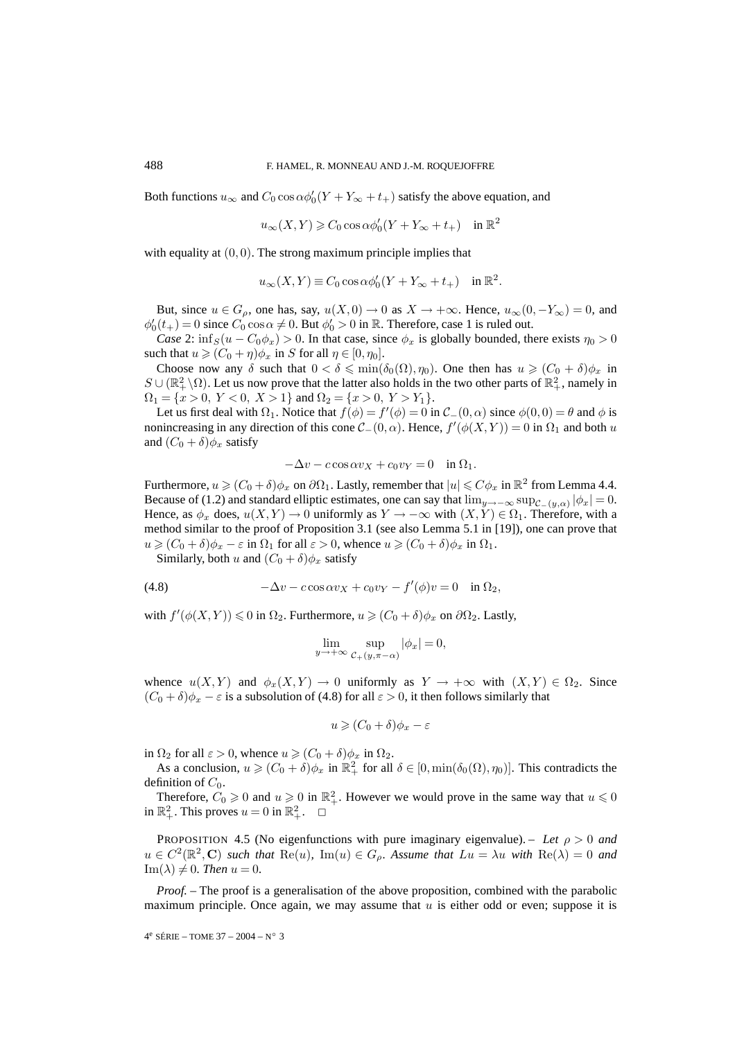Both functions  $u_{\infty}$  and  $C_0 \cos \alpha \phi_0'(Y + Y_{\infty} + t_+)$  satisfy the above equation, and

$$
u_{\infty}(X, Y) \geqslant C_0 \cos \alpha \phi_0'(Y + Y_{\infty} + t_+) \quad \text{in } \mathbb{R}^2
$$

with equality at  $(0, 0)$ . The strong maximum principle implies that

$$
u_{\infty}(X,Y) \equiv C_0 \cos \alpha \phi_0'(Y + Y_{\infty} + t_+) \quad \text{in } \mathbb{R}^2.
$$

But, since  $u \in G_\rho$ , one has, say,  $u(X, 0) \to 0$  as  $X \to +\infty$ . Hence,  $u_\infty(0, -Y_\infty) = 0$ , and  $\phi'_0(t_+) = 0$  since  $C_0 \cos \alpha \neq 0$ . But  $\phi'_0 > 0$  in  $\mathbb R$ . Therefore, case 1 is ruled out.

*Case* 2:  $\inf_S(u - C_0\phi_x) > 0$ . In that case, since  $\phi_x$  is globally bounded, there exists  $\eta_0 > 0$ such that  $u \geqslant (C_0 + \eta)\phi_x$  in S for all  $\eta \in [0, \eta_0]$ .

Choose now any  $\delta$  such that  $0 < \delta \leq \min(\delta_0(\Omega), \eta_0)$ . One then has  $u \geq (C_0 + \delta)\phi_x$  in  $S \cup (\mathbb{R}^2_+\setminus\Omega)$ . Let us now prove that the latter also holds in the two other parts of  $\mathbb{R}^2_+$ , namely in  $\Omega_1 = \{x > 0, Y < 0, X > 1\}$  and  $\Omega_2 = \{x > 0, Y > Y_1\}.$ 

Let us first deal with  $\Omega_1$ . Notice that  $f(\phi) = f'(\phi) = 0$  in  $\mathcal{C}_-(0, \alpha)$  since  $\phi(0, 0) = \theta$  and  $\phi$  is nonincreasing in any direction of this cone  $\mathcal{C}_{-}(0, \alpha)$ . Hence,  $f'(\phi(X, Y)) = 0$  in  $\Omega_1$  and both u and  $(C_0 + \delta)\phi_x$  satisfy

$$
-\Delta v - c \cos \alpha v_X + c_0 v_Y = 0 \quad \text{in } \Omega_1.
$$

Furthermore,  $u \geqslant (C_0 + \delta)\phi_x$  on  $\partial\Omega_1$ . Lastly, remember that  $|u| \leqslant C\phi_x$  in  $\mathbb{R}^2$  from Lemma 4.4. Because of (1.2) and standard elliptic estimates, one can say that  $\lim_{y\to-\infty}$  sup<sub>C−(y,α)</sub>  $|\phi_x| = 0$ . Hence, as  $\phi_x$  does,  $u(X, Y) \to 0$  uniformly as  $Y \to -\infty$  with  $(X, Y) \in \Omega_1$ . Therefore, with a method similar to the proof of Proposition 3.1 (see also Lemma 5.1 in [19]), one can prove that  $u \geqslant (C_0 + \delta)\phi_x - \varepsilon$  in  $\Omega_1$  for all  $\varepsilon > 0$ , whence  $u \geqslant (C_0 + \delta)\phi_x$  in  $\Omega_1$ .

Similarly, both u and  $(C_0 + \delta)\phi_x$  satisfy

(4.8) 
$$
-\Delta v - c \cos \alpha v_X + c_0 v_Y - f'(\phi)v = 0 \quad \text{in } \Omega_2,
$$

with  $f'(\phi(X, Y)) \leq 0$  in  $\Omega_2$ . Furthermore,  $u \geq (C_0 + \delta)\phi_x$  on  $\partial\Omega_2$ . Lastly,

$$
\lim_{y \to +\infty} \sup_{\mathcal{C}_+(y,\pi-\alpha)} |\phi_x| = 0,
$$

whence  $u(X, Y)$  and  $\phi_x(X, Y) \to 0$  uniformly as  $Y \to +\infty$  with  $(X, Y) \in \Omega_2$ . Since  $(C_0 + \delta)\phi_x - \varepsilon$  is a subsolution of (4.8) for all  $\varepsilon > 0$ , it then follows similarly that

$$
u \geqslant (C_0 + \delta)\phi_x - \varepsilon
$$

in  $\Omega_2$  for all  $\varepsilon > 0$ , whence  $u \geqslant (C_0 + \delta)\phi_x$  in  $\Omega_2$ .

As a conclusion,  $u \geq (C_0 + \delta)\phi_x$  in  $\mathbb{R}^2_+$  for all  $\delta \in [0, \min(\delta_0(\Omega), \eta_0)]$ . This contradicts the definition of  $C_0$ .

Therefore,  $C_0 \ge 0$  and  $u \ge 0$  in  $\mathbb{R}^2_+$ . However we would prove in the same way that  $u \le 0$ in  $\mathbb{R}^2_+$ . This proves  $u = 0$  in  $\mathbb{R}^2_+$ .  $\Box$ 

PROPOSITION 4.5 (No eigenfunctions with pure imaginary eigenvalue). – Let  $\rho > 0$  and  $u \in C^2(\mathbb{R}^2, \mathbb{C})$  *such that*  $\text{Re}(u)$ *,*  $\text{Im}(u) \in G_\rho$ *. Assume that*  $Lu = \lambda u$  *with*  $\text{Re}(\lambda) = 0$  *and*  $Im(\lambda) \neq 0$ *. Then*  $u = 0$ *.* 

*Proof.* – The proof is a generalisation of the above proposition, combined with the parabolic maximum principle. Once again, we may assume that  $u$  is either odd or even; suppose it is

$$
4^e\ \text{SÉRIE} -\text{TOME 37} - 2004 - N^\circ\ 3
$$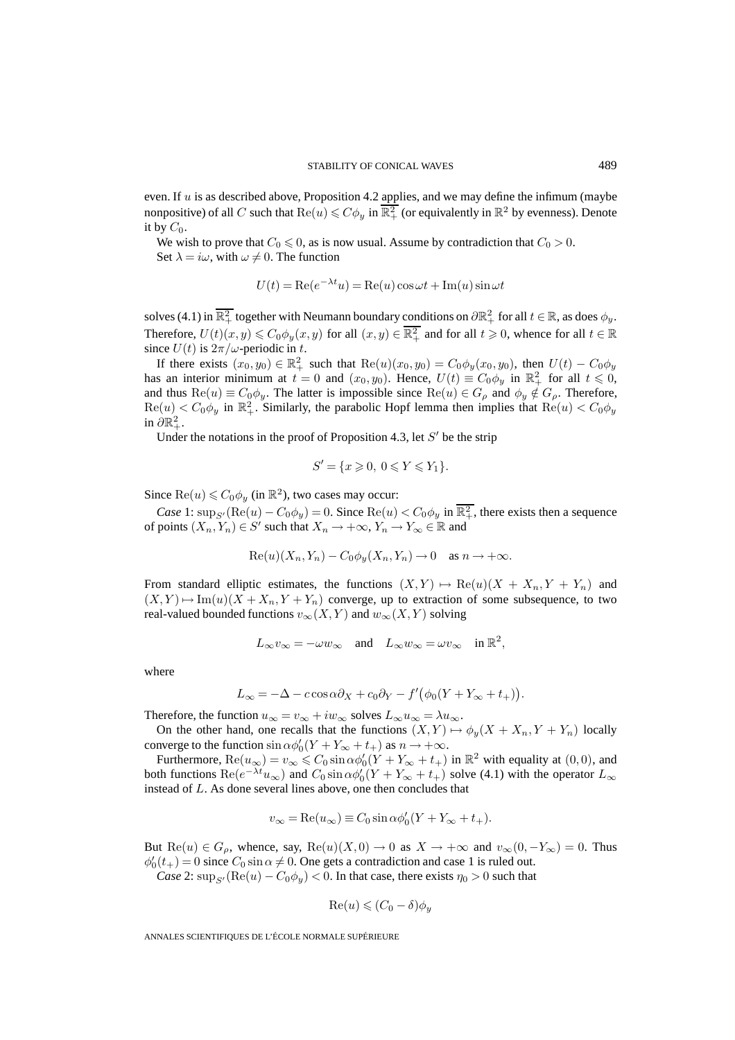even. If  $u$  is as described above, Proposition 4.2 applies, and we may define the infimum (maybe nonpositive) of all C such that  $\text{Re}(u) \leq C \phi_y$  in  $\overline{\mathbb{R}^2_+}$  (or equivalently in  $\mathbb{R}^2$  by evenness). Denote it by  $C_0$ .

We wish to prove that  $C_0 \leq 0$ , as is now usual. Assume by contradiction that  $C_0 > 0$ . Set  $\lambda = i\omega$ , with  $\omega \neq 0$ . The function

$$
U(t) = \text{Re}(e^{-\lambda t}u) = \text{Re}(u)\cos\omega t + \text{Im}(u)\sin\omega t
$$

solves (4.1) in  $\overline{\mathbb{R}^2_+}$  together with Neumann boundary conditions on  $\partial \mathbb{R}^2_+$  for all  $t \in \mathbb{R}$ , as does  $\phi_y$ . Therefore,  $U(t)(x, y) \leq C_0 \phi_y(x, y)$  for all  $(x, y) \in \overline{\mathbb{R}^2_+}$  and for all  $t \geq 0$ , whence for all  $t \in \mathbb{R}$ since  $U(t)$  is  $2\pi/\omega$ -periodic in t.

If there exists  $(x_0, y_0) \in \mathbb{R}^2_+$  such that  $\text{Re}(u)(x_0, y_0) = C_0\phi_y(x_0, y_0)$ , then  $U(t) - C_0\phi_y$ has an interior minimum at  $t = 0$  and  $(x_0, y_0)$ . Hence,  $U(t) \equiv C_0 \phi_y$  in  $\mathbb{R}^2_+$  for all  $t \le 0$ , and thus  $\text{Re}(u) \equiv C_0 \phi_y$ . The latter is impossible since  $\text{Re}(u) \in G_\rho$  and  $\phi_y \notin G_\rho$ . Therefore,  $\text{Re}(u) < C_0 \phi_y$  in  $\mathbb{R}^2_+$ . Similarly, the parabolic Hopf lemma then implies that  $\text{Re}(u) < C_0 \phi_y$ in  $\partial \mathbb{R}^2_+$ .

Under the notations in the proof of Proposition 4.3, let  $S'$  be the strip

$$
S' = \{x \geq 0, \ 0 \leq Y \leq Y_1\}.
$$

Since  $\text{Re}(u) \leq C_0 \phi_y$  (in  $\mathbb{R}^2$ ), two cases may occur:

*Case* 1:  $\sup_{S'}$  (Re(u) –  $C_0\phi_y$ ) = 0. Since Re(u) <  $C_0\phi_y$  in  $\overline{\mathbb{R}^2_+}$ , there exists then a sequence of points  $(X_n, Y_n) \in S'$  such that  $X_n \to +\infty$ ,  $Y_n \to Y_\infty \in \mathbb{R}$  and

$$
Re(u)(X_n, Y_n) - C_0 \phi_y(X_n, Y_n) \to 0 \quad \text{as } n \to +\infty.
$$

From standard elliptic estimates, the functions  $(X, Y) \mapsto \text{Re}(u)(X + X_n, Y + Y_n)$  and  $(X, Y) \mapsto \text{Im}(u)(X + X_n, Y + Y_n)$  converge, up to extraction of some subsequence, to two real-valued bounded functions  $v_{\infty}(X, Y)$  and  $w_{\infty}(X, Y)$  solving

$$
L_\infty v_\infty=-\omega w_\infty\quad\text{and}\quad L_\infty w_\infty=\omega v_\infty\quad\text{in }\mathbb{R}^2,
$$

where

$$
L_{\infty} = -\Delta - c \cos \alpha \partial_X + c_0 \partial_Y - f'(\phi_0(Y + Y_{\infty} + t_+)).
$$

Therefore, the function  $u_{\infty} = v_{\infty} + iw_{\infty}$  solves  $L_{\infty}u_{\infty} = \lambda u_{\infty}$ .

On the other hand, one recalls that the functions  $(X, Y) \mapsto \phi_u(X + X_n, Y + Y_n)$  locally converge to the function  $\sin \alpha \phi_0'(Y + Y_\infty + t_+)$  as  $n \to +\infty$ .

Furthermore,  $\text{Re}(u_{\infty}) = v_{\infty} \leq C_0 \sin \alpha \phi_0'(Y + Y_{\infty} + t_+)$  in  $\mathbb{R}^2$  with equality at  $(0,0)$ , and both functions  $\text{Re}(e^{-\lambda t}u_{\infty})$  and  $C_0 \sin \alpha \phi_0'(Y + Y_{\infty} + t_+)$  solve (4.1) with the operator  $L_{\infty}$ instead of L. As done several lines above, one then concludes that

$$
v_{\infty} = \text{Re}(u_{\infty}) \equiv C_0 \sin \alpha \phi_0'(Y + Y_{\infty} + t_{+}).
$$

But  $\text{Re}(u) \in G_\rho$ , whence, say,  $\text{Re}(u)(X,0) \to 0$  as  $X \to +\infty$  and  $v_\infty(0,-Y_\infty) = 0$ . Thus  $\phi'_0(t_+) = 0$  since  $C_0 \sin \alpha \neq 0$ . One gets a contradiction and case 1 is ruled out.

*Case* 2:  $\sup_{S'}$  ( $\text{Re}(u) - C_0 \phi_y$ ) < 0. In that case, there exists  $\eta_0 > 0$  such that

$$
\operatorname{Re}(u) \leqslant (C_0 - \delta)\phi_y
$$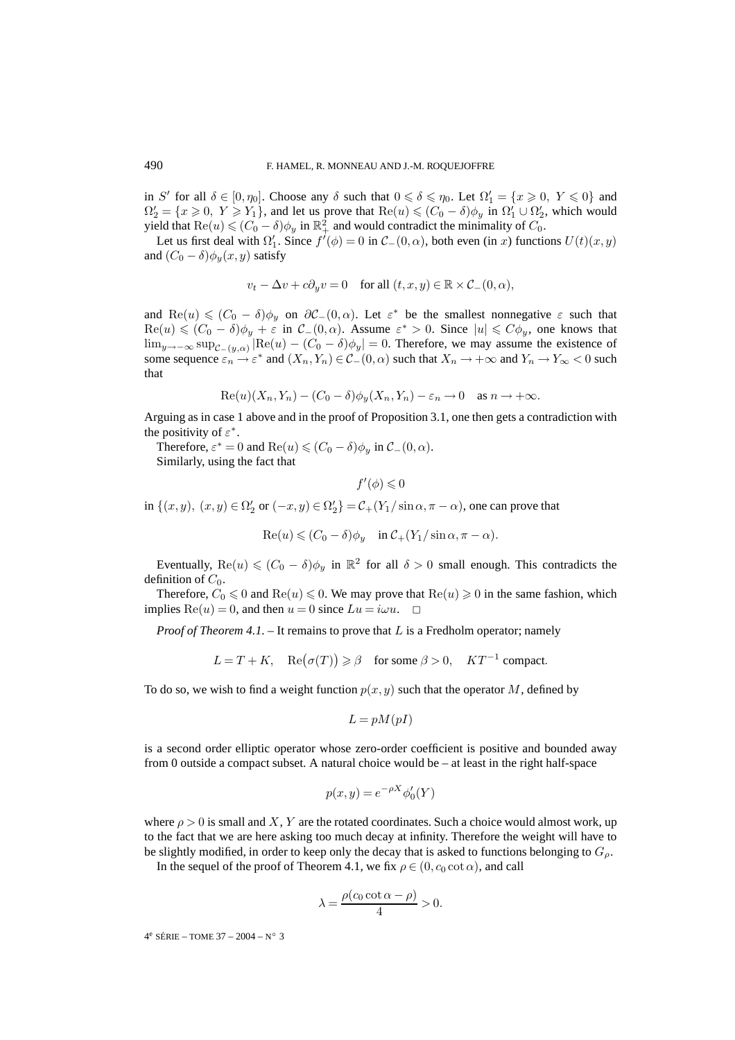in S' for all  $\delta \in [0, \eta_0]$ . Choose any  $\delta$  such that  $0 \le \delta \le \eta_0$ . Let  $\Omega'_1 = \{x \ge 0, Y \le 0\}$  and  $\Omega'_2 = \{x \ge 0, Y \ge Y_1\}$ , and let us prove that  $\text{Re}(u) \le (C_0 - \delta)\phi_y$  in  $\Omega'_1 \cup \Omega'_2$ , which would yield that  $\text{Re}(u) \leqslant (C_0 - \delta) \phi_y$  in  $\mathbb{R}^2_+$  and would contradict the minimality of  $C_0$ .

Let us first deal with  $\Omega'_1$ . Since  $f'(\phi) = 0$  in  $\mathcal{C}_-(0, \alpha)$ , both even (in x) functions  $U(t)(x, y)$ and  $(C_0 - \delta)\phi_y(x, y)$  satisfy

$$
v_t - \Delta v + c\partial_y v = 0 \quad \text{for all } (t, x, y) \in \mathbb{R} \times C_-(0, \alpha),
$$

and  $\text{Re}(u) \leq C_0 - \delta \phi_u$  on  $\partial \mathcal{C}_-(0, \alpha)$ . Let  $\varepsilon^*$  be the smallest nonnegative  $\varepsilon$  such that  $\text{Re}(u) \leqslant (C_0 - \delta)\phi_y + \varepsilon$  in  $\mathcal{C}_-(0, \alpha)$ . Assume  $\varepsilon^* > 0$ . Since  $|u| \leqslant C\phi_y$ , one knows that  $\lim_{y\to-\infty}$  sup<sub>C−(y,α)</sub>  $\text{[Re}(u) - (C_0 - \delta)\phi_y$  = 0. Therefore, we may assume the existence of some sequence  $\varepsilon_n \to \varepsilon^*$  and  $(X_n, Y_n) \in \mathcal{C}_-(0, \alpha)$  such that  $X_n \to +\infty$  and  $Y_n \to Y_\infty < 0$  such that

$$
\operatorname{Re}(u)(X_n, Y_n) - (C_0 - \delta)\phi_y(X_n, Y_n) - \varepsilon_n \to 0 \quad \text{as } n \to +\infty.
$$

Arguing as in case 1 above and in the proof of Proposition 3.1, one then gets a contradiction with the positivity of  $\varepsilon^*$ .

Therefore,  $\varepsilon^* = 0$  and  $\text{Re}(u) \leq (C_0 - \delta)\phi_u$  in  $\mathcal{C}_-(0, \alpha)$ .

Similarly, using the fact that

$$
f'(\phi) \leqslant 0
$$

in  $\{(x, y), (x, y) \in \Omega'_2 \text{ or } (-x, y) \in \Omega'_2\} = C_+(Y_1/\sin \alpha, \pi - \alpha)$ , one can prove that

 $\text{Re}(u) \leqslant (C_0 - \delta)\phi_u \quad \text{in } C_+(Y_1/\sin \alpha, \pi - \alpha).$ 

Eventually,  $\text{Re}(u) \leq (C_0 - \delta) \phi_u$  in  $\mathbb{R}^2$  for all  $\delta > 0$  small enough. This contradicts the definition of  $C_0$ .

Therefore,  $C_0 \le 0$  and  $\text{Re}(u) \le 0$ . We may prove that  $\text{Re}(u) \ge 0$  in the same fashion, which implies  $\text{Re}(u) = 0$ , and then  $u = 0$  since  $Lu = i\omega u$ .  $\Box$ 

*Proof of Theorem 4.1.* – It remains to prove that L is a Fredholm operator; namely

$$
L = T + K, \quad \text{Re}(\sigma(T)) \ge \beta \quad \text{for some } \beta > 0, \quad KT^{-1} \text{ compact.}
$$

To do so, we wish to find a weight function  $p(x, y)$  such that the operator M, defined by

$$
L = pM(pI)
$$

is a second order elliptic operator whose zero-order coefficient is positive and bounded away from 0 outside a compact subset. A natural choice would be – at least in the right half-space

$$
p(x, y) = e^{-\rho X} \phi_0'(Y)
$$

where  $\rho > 0$  is small and X, Y are the rotated coordinates. Such a choice would almost work, up to the fact that we are here asking too much decay at infinity. Therefore the weight will have to be slightly modified, in order to keep only the decay that is asked to functions belonging to  $G<sub>o</sub>$ .

In the sequel of the proof of Theorem 4.1, we fix  $\rho \in (0, c_0 \cot \alpha)$ , and call

$$
\lambda = \frac{\rho(c_0 \cot \alpha - \rho)}{4} > 0.
$$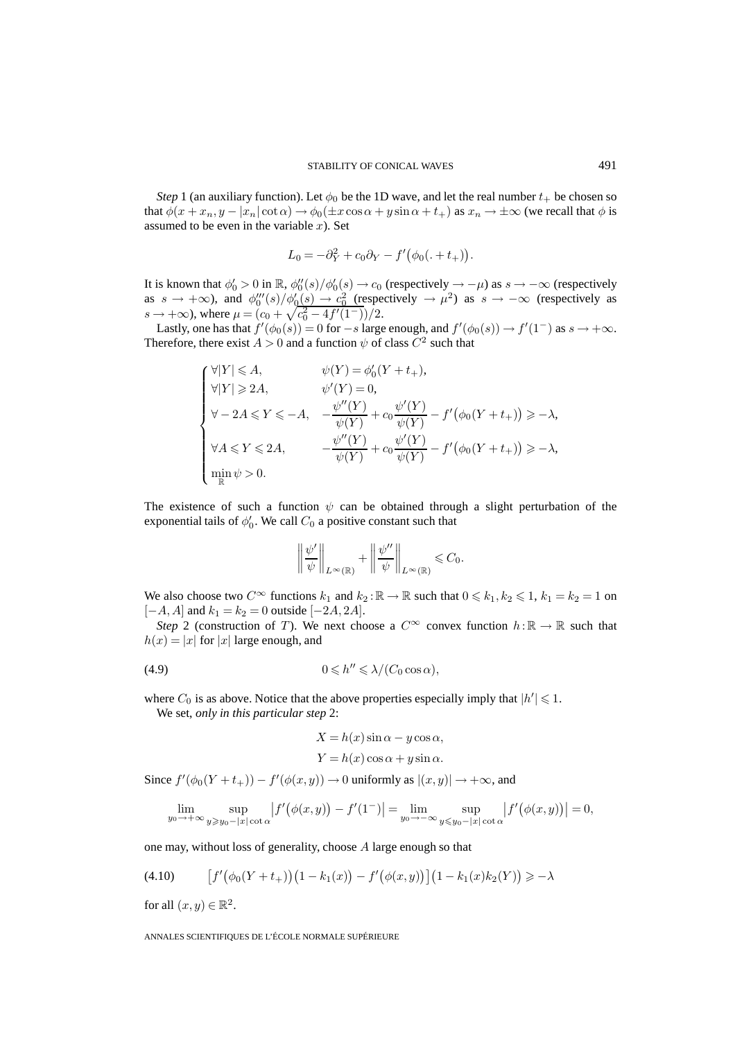*Step* 1 (an auxiliary function). Let  $\phi_0$  be the 1D wave, and let the real number  $t_+$  be chosen so that  $\phi(x + x_n, y - |x_n|\cot\alpha) \rightarrow \phi_0(\pm x \cos\alpha + y \sin\alpha + t_+)$  as  $x_n \rightarrow \pm \infty$  (we recall that  $\phi$  is assumed to be even in the variable  $x$ ). Set

$$
L_0 = -\partial_Y^2 + c_0 \partial_Y - f'(\phi_0(. + t_+)).
$$

It is known that  $\phi'_0 > 0$  in  $\mathbb{R}$ ,  $\phi''_0(s)/\phi'_0(s) \to c_0$  (respectively  $\to -\mu$ ) as  $s \to -\infty$  (respectively as  $s \to +\infty$ ), and  $\phi_0'''(s)/\phi_0'(s) \to c_0^2$  (respectively  $\to \mu^2$ ) as  $s \to -\infty$  (respectively as  $s \to +\infty$ ), where  $\mu = (c_0 + \sqrt{c_0^2 - 4f'(1^-)})/2$ .

Lastly, one has that  $f'(\phi_0(s)) = 0$  for  $-s$  large enough, and  $f'(\phi_0(s)) \to f'(1^-)$  as  $s \to +\infty$ . Therefore, there exist  $A > 0$  and a function  $\psi$  of class  $C^2$  such that

$$
\begin{cases}\n\forall |Y| \leqslant A, & \psi(Y) = \phi_0'(Y + t_+), \\
\forall |Y| \geqslant 2A, & \psi'(Y) = 0, \\
\forall -2A \leqslant Y \leqslant -A, & -\frac{\psi''(Y)}{\psi(Y)} + c_0 \frac{\psi'(Y)}{\psi(Y)} - f'(\phi_0(Y + t_+)) \geqslant -\lambda, \\
\forall A \leqslant Y \leqslant 2A, & -\frac{\psi''(Y)}{\psi(Y)} + c_0 \frac{\psi'(Y)}{\psi(Y)} - f'(\phi_0(Y + t_+)) \geqslant -\lambda, \\
\min_{\mathbb{R}} \psi > 0.\n\end{cases}
$$

The existence of such a function  $\psi$  can be obtained through a slight perturbation of the exponential tails of  $\phi'_0$ . We call  $C_0$  a positive constant such that

$$
\left\|\frac{\psi'}{\psi}\right\|_{L^{\infty}(\mathbb{R})} + \left\|\frac{\psi''}{\psi}\right\|_{L^{\infty}(\mathbb{R})} \leqslant C_0.
$$

We also choose two  $C^{\infty}$  functions  $k_1$  and  $k_2 : \mathbb{R} \to \mathbb{R}$  such that  $0 \leq k_1, k_2 \leq 1$ ,  $k_1 = k_2 = 1$  on  $[-A, A]$  and  $k_1 = k_2 = 0$  outside  $[-2A, 2A]$ .

*Step* 2 (construction of T). We next choose a  $C^{\infty}$  convex function  $h : \mathbb{R} \to \mathbb{R}$  such that  $h(x) = |x|$  for  $|x|$  large enough, and

$$
(4.9) \t\t 0 \le h'' \le \lambda/(C_0 \cos \alpha),
$$

where  $C_0$  is as above. Notice that the above properties especially imply that  $|h'| \leq 1$ .

We set, *only in this particular step* 2:

$$
X = h(x)\sin\alpha - y\cos\alpha,
$$
  

$$
Y = h(x)\cos\alpha + y\sin\alpha.
$$

Since  $f'(\phi_0(Y+t_+)) - f'(\phi(x,y)) \to 0$  uniformly as  $|(x,y)| \to +\infty$ , and

$$
\lim_{y_0 \to +\infty} \sup_{y \ge y_0 - |x| \cot \alpha} |f'(\phi(x, y)) - f'(1^-)| = \lim_{y_0 \to -\infty} \sup_{y \le y_0 - |x| \cot \alpha} |f'(\phi(x, y))| = 0,
$$

one may, without loss of generality, choose A large enough so that

$$
(4.10) \qquad \left[ f'(\phi_0(Y+t_+)) (1 - k_1(x)) - f'(\phi(x,y)) \right] (1 - k_1(x)k_2(Y)) \ge -\lambda
$$

for all  $(x, y) \in \mathbb{R}^2$ .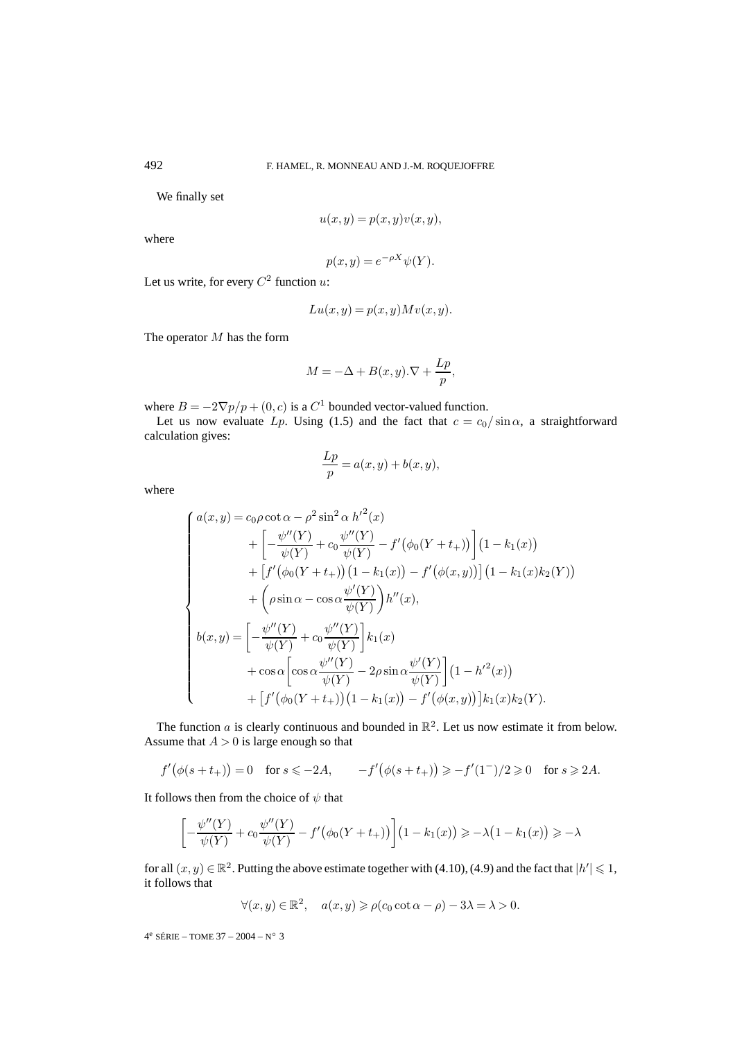We finally set

$$
u(x,y) = p(x,y)v(x,y),
$$

where

$$
p(x, y) = e^{-\rho X} \psi(Y).
$$

Let us write, for every  $C^2$  function u:

$$
Lu(x, y) = p(x, y)Mv(x, y).
$$

The operator M has the form

$$
M = -\Delta + B(x, y) \cdot \nabla + \frac{Lp}{p},
$$

where  $B = -2\nabla p/p + (0, c)$  is a  $C<sup>1</sup>$  bounded vector-valued function.

Let us now evaluate Lp. Using (1.5) and the fact that  $c = c_0 / \sin \alpha$ , a straightforward calculation gives:

$$
\frac{Lp}{p} = a(x, y) + b(x, y),
$$

where

$$
\begin{cases}\na(x,y) = c_0 \rho \cot \alpha - \rho^2 \sin^2 \alpha h'^2(x) \\
+ \left[ -\frac{\psi''(Y)}{\psi(Y)} + c_0 \frac{\psi''(Y)}{\psi(Y)} - f'(\phi_0(Y+t_+)) \right] (1 - k_1(x)) \\
+ \left[ f'(\phi_0(Y+t_+)) (1 - k_1(x)) - f'(\phi(x,y)) \right] (1 - k_1(x)k_2(Y)) \\
+ \left( \rho \sin \alpha - \cos \alpha \frac{\psi'(Y)}{\psi(Y)} \right) h''(x), \\
b(x,y) = \left[ -\frac{\psi''(Y)}{\psi(Y)} + c_0 \frac{\psi''(Y)}{\psi(Y)} \right] k_1(x) \\
+ \cos \alpha \left[ \cos \alpha \frac{\psi''(Y)}{\psi(Y)} - 2\rho \sin \alpha \frac{\psi'(Y)}{\psi(Y)} \right] (1 - h'^2(x)) \\
+ \left[ f'(\phi_0(Y+t_+)) (1 - k_1(x)) - f'(\phi(x,y)) \right] k_1(x) k_2(Y).\n\end{cases}
$$

The function  $a$  is clearly continuous and bounded in  $\mathbb{R}^2$ . Let us now estimate it from below. Assume that  $A > 0$  is large enough so that

$$
f'(\phi(s+t_+)) = 0
$$
 for  $s \le -2A$ ,  $-f'(\phi(s+t_+)) \ge -f'(1^-)/2 \ge 0$  for  $s \ge 2A$ .

It follows then from the choice of  $\psi$  that

$$
\[-\frac{\psi''(Y)}{\psi(Y)} + c_0 \frac{\psi''(Y)}{\psi(Y)} - f'(\phi_0(Y+t_+))\] (1 - k_1(x)) \geq -\lambda(1 - k_1(x)) \geq -\lambda
$$

for all  $(x, y) \in \mathbb{R}^2$ . Putting the above estimate together with (4.10), (4.9) and the fact that  $|h'| \leq 1$ , it follows that

$$
\forall (x, y) \in \mathbb{R}^2, \quad a(x, y) \geqslant \rho(c_0 \cot \alpha - \rho) - 3\lambda = \lambda > 0.
$$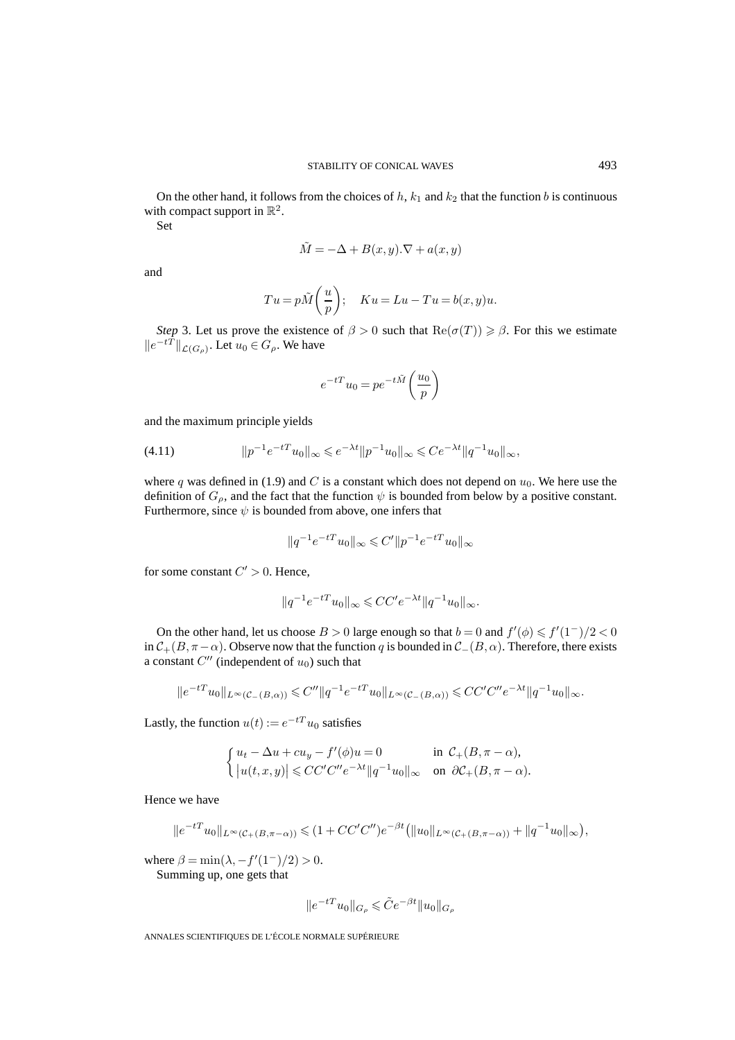On the other hand, it follows from the choices of  $h$ ,  $k_1$  and  $k_2$  that the function b is continuous with compact support in  $\mathbb{R}^2$ .

Set

$$
\tilde{M} = -\Delta + B(x, y) . \nabla + a(x, y)
$$

and

$$
Tu = p\tilde{M}\left(\frac{u}{p}\right); \quad Ku = Lu - Tu = b(x, y)u.
$$

*Step* 3. Let us prove the existence of  $\beta > 0$  such that  $\text{Re}(\sigma(T)) \ge \beta$ . For this we estimate  $||e^{-tT}||_{\mathcal{L}(G_{\rho})}$ . Let  $u_0 \in G_{\rho}$ . We have

$$
e^{-tT}u_0 = pe^{-t\tilde{M}}\left(\frac{u_0}{p}\right)
$$

and the maximum principle yields

$$
(4.11) \t\t ||p^{-1}e^{-tT}u_0||_{\infty} \leq e^{-\lambda t}||p^{-1}u_0||_{\infty} \leq Ce^{-\lambda t}||q^{-1}u_0||_{\infty},
$$

where q was defined in (1.9) and C is a constant which does not depend on  $u_0$ . We here use the definition of  $G_\rho$ , and the fact that the function  $\psi$  is bounded from below by a positive constant. Furthermore, since  $\psi$  is bounded from above, one infers that

$$
\|q^{-1}e^{-tT}u_0\|_\infty\leqslant C'\|p^{-1}e^{-tT}u_0\|_\infty
$$

for some constant  $C' > 0$ . Hence,

$$
||q^{-1}e^{-tT}u_0||_{\infty} \leqslant CC'e^{-\lambda t}||q^{-1}u_0||_{\infty}.
$$

On the other hand, let us choose  $B > 0$  large enough so that  $b = 0$  and  $f'(\phi) \leq f'(1^-)/2 < 0$ in  $C_+(B,\pi-\alpha)$ . Observe now that the function q is bounded in  $C_-(B,\alpha)$ . Therefore, there exists a constant  $C''$  (independent of  $u_0$ ) such that

$$
||e^{-tT}u_0||_{L^{\infty}(\mathcal{C}_{-}(B,\alpha))} \leq C''||q^{-1}e^{-tT}u_0||_{L^{\infty}(\mathcal{C}_{-}(B,\alpha))} \leq CC'C''e^{-\lambda t}||q^{-1}u_0||_{\infty}.
$$

Lastly, the function  $u(t) := e^{-tT}u_0$  satisfies

$$
\begin{cases} u_t - \Delta u + cu_y - f'(\phi)u = 0 & \text{in } \mathcal{C}_+(B, \pi - \alpha), \\ |u(t, x, y)| \leq CC'C''e^{-\lambda t} ||q^{-1}u_0||_{\infty} & \text{on } \partial \mathcal{C}_+(B, \pi - \alpha). \end{cases}
$$

Hence we have

$$
||e^{-tT}u_0||_{L^{\infty}(\mathcal{C}_+(B,\pi-\alpha))} \leq (1+CC'C'')e^{-\beta t} (||u_0||_{L^{\infty}(\mathcal{C}_+(B,\pi-\alpha))} + ||q^{-1}u_0||_{\infty}),
$$

where  $\beta = \min(\lambda, -f'(1^-)/2) > 0$ .

Summing up, one gets that

$$
\|e^{-tT}u_0\|_{G_{\rho}}\leqslant \tilde{C}e^{-\beta t}\|u_0\|_{G_{\rho}}
$$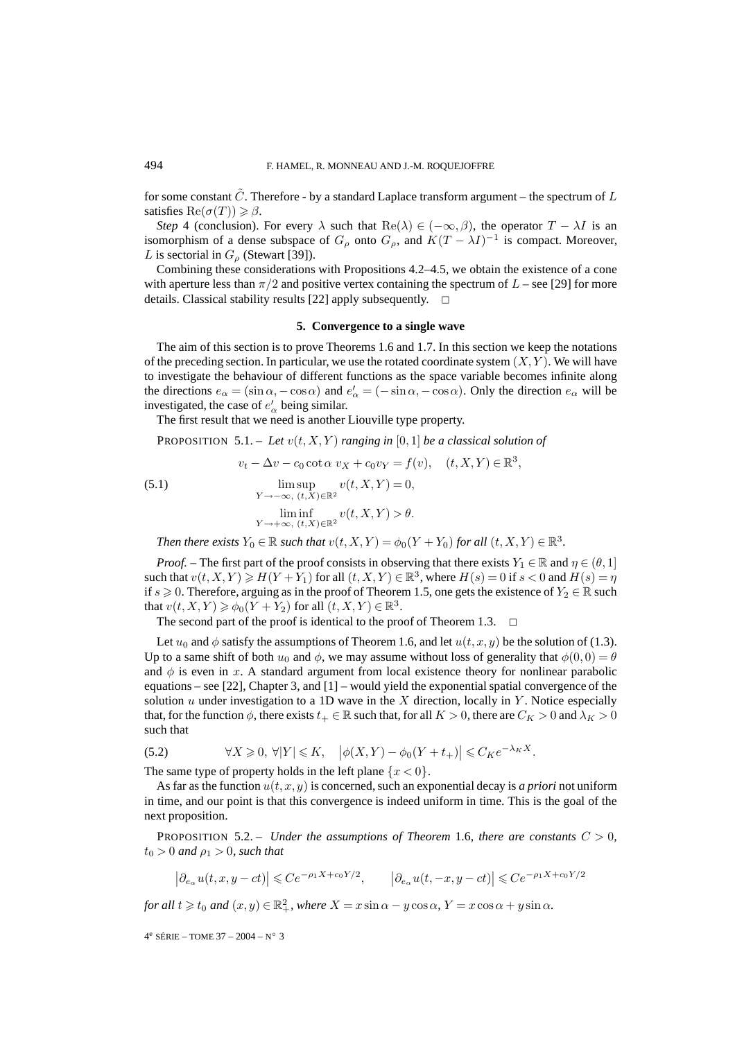for some constant  $\tilde{C}$ . Therefore - by a standard Laplace transform argument – the spectrum of L satisfies  $Re(\sigma(T)) \geq \beta$ .

*Step* 4 (conclusion). For every  $\lambda$  such that  $\text{Re}(\lambda) \in (-\infty, \beta)$ , the operator  $T - \lambda I$  is an isomorphism of a dense subspace of  $G_{\rho}$  onto  $G_{\rho}$ , and  $K(T - \lambda I)^{-1}$  is compact. Moreover, L is sectorial in  $G_{\rho}$  (Stewart [39]).

Combining these considerations with Propositions 4.2–4.5, we obtain the existence of a cone with aperture less than  $\pi/2$  and positive vertex containing the spectrum of  $L$  – see [29] for more details. Classical stability results [22] apply subsequently.  $\Box$ 

#### **5. Convergence to a single wave**

The aim of this section is to prove Theorems 1.6 and 1.7. In this section we keep the notations of the preceding section. In particular, we use the rotated coordinate system  $(X, Y)$ . We will have to investigate the behaviour of different functions as the space variable becomes infinite along the directions  $e_{\alpha} = (\sin \alpha, -\cos \alpha)$  and  $e'_{\alpha} = (-\sin \alpha, -\cos \alpha)$ . Only the direction  $e_{\alpha}$  will be investigated, the case of  $e'_{\alpha}$  being similar.

The first result that we need is another Liouville type property.

PROPOSITION  $5.1$ . – Let  $v(t, X, Y)$  ranging in  $[0, 1]$  be a classical solution of

$$
v_t - \Delta v - c_0 \cot \alpha \ v_X + c_0 v_Y = f(v), \quad (t, X, Y) \in \mathbb{R}^3,
$$

(5.1) 
$$
\limsup_{Y \to -\infty, (t,X) \in \mathbb{R}^2} v(t,X,Y) = 0,
$$

$$
\liminf_{Y \to +\infty, (t,X) \in \mathbb{R}^2} v(t,X,Y) > \theta.
$$

*Then there exists*  $Y_0 \in \mathbb{R}$  *such that*  $v(t, X, Y) = \phi_0(Y + Y_0)$  *for all*  $(t, X, Y) \in \mathbb{R}^3$ .

*Proof.* – The first part of the proof consists in observing that there exists  $Y_1 \in \mathbb{R}$  and  $\eta \in (\theta, 1]$ such that  $v(t, X, Y) \ge H(Y + Y_1)$  for all  $(t, X, Y) \in \mathbb{R}^3$ , where  $H(s) = 0$  if  $s < 0$  and  $H(s) = \eta$ if  $s \geq 0$ . Therefore, arguing as in the proof of Theorem 1.5, one gets the existence of  $Y_2 \in \mathbb{R}$  such that  $v(t, X, Y) \geq \phi_0(Y + Y_2)$  for all  $(t, X, Y) \in \mathbb{R}^3$ .

The second part of the proof is identical to the proof of Theorem 1.3.  $\Box$ 

Let  $u_0$  and  $\phi$  satisfy the assumptions of Theorem 1.6, and let  $u(t, x, y)$  be the solution of (1.3). Up to a same shift of both  $u_0$  and  $\phi$ , we may assume without loss of generality that  $\phi(0,0) = \theta$ and  $\phi$  is even in x. A standard argument from local existence theory for nonlinear parabolic equations – see [22], Chapter 3, and  $[1]$  – would yield the exponential spatial convergence of the solution u under investigation to a 1D wave in the  $X$  direction, locally in  $Y$ . Notice especially that, for the function  $\phi$ , there exists  $t_+ \in \mathbb{R}$  such that, for all  $K > 0$ , there are  $C_K > 0$  and  $\lambda_K > 0$ such that

(5.2) 
$$
\forall X \geq 0, \ \forall |Y| \leq K, \quad \left|\phi(X,Y) - \phi_0(Y+t_+)\right| \leq C_K e^{-\lambda_K X}.
$$

The same type of property holds in the left plane  $\{x < 0\}$ .

As far as the function  $u(t, x, y)$  is concerned, such an exponential decay is *a priori* not uniform in time, and our point is that this convergence is indeed uniform in time. This is the goal of the next proposition.

**PROPOSITION 5.2.** – *Under the assumptions of Theorem 1.6, there are constants*  $C > 0$ *,*  $t_0 > 0$  *and*  $\rho_1 > 0$ *, such that* 

$$
\left|\partial_{e_\alpha} u(t, x, y - ct)\right| \leqslant Ce^{-\rho_1 X + c_0 Y/2}, \qquad \left|\partial_{e_\alpha} u(t, -x, y - ct)\right| \leqslant Ce^{-\rho_1 X + c_0 Y/2}
$$

*for all*  $t \ge t_0$  *and*  $(x, y) \in \mathbb{R}^2_+$ *, where*  $X = x \sin \alpha - y \cos \alpha$ ,  $Y = x \cos \alpha + y \sin \alpha$ *.*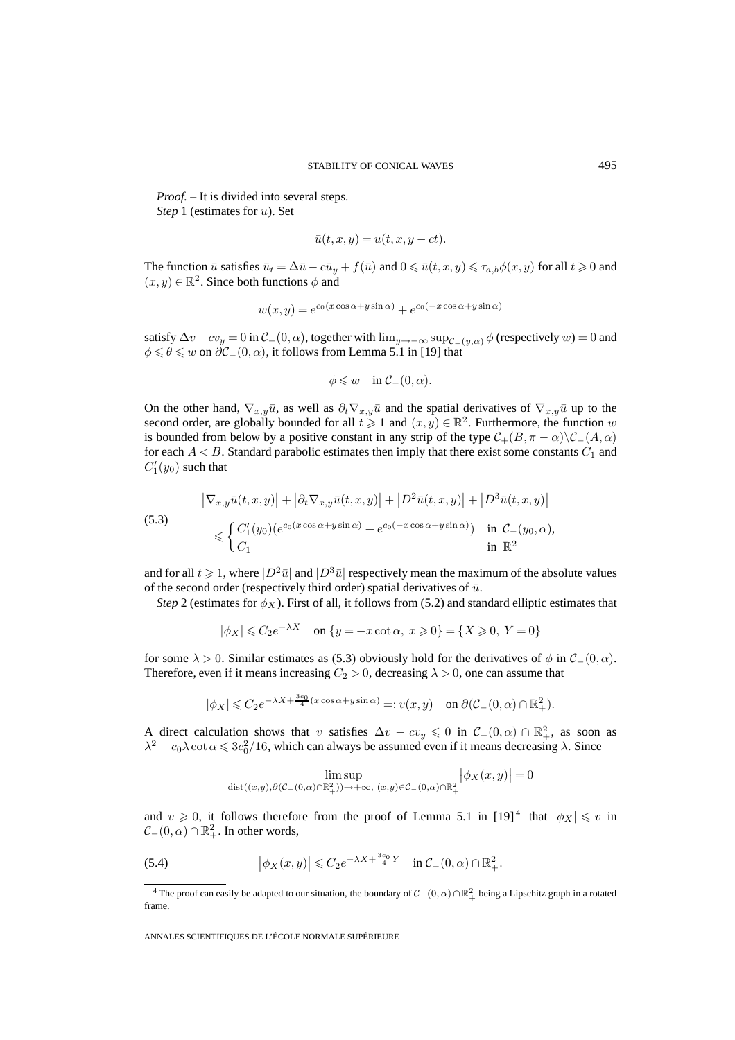*Proof. –* It is divided into several steps. *Step* 1 (estimates for u). Set

$$
\bar{u}(t,x,y) = u(t,x,y-ct).
$$

The function  $\bar{u}$  satisfies  $\bar{u}_t = \Delta \bar{u} - c\bar{u}_y + f(\bar{u})$  and  $0 \leq \bar{u}(t, x, y) \leq \tau_{a,b}\phi(x, y)$  for all  $t \geq 0$  and  $(x, y) \in \mathbb{R}^2$ . Since both functions  $\phi$  and

$$
w(x,y) = e^{c_0(x\cos\alpha + y\sin\alpha)} + e^{c_0(-x\cos\alpha + y\sin\alpha)}
$$

satisfy  $\Delta v - cv_y = 0$  in  $\mathcal{C}_-(0, \alpha)$ , together with  $\lim_{y \to -\infty} \sup_{\mathcal{C}_-(y,\alpha)} \phi$  (respectively  $w$ ) = 0 and  $\phi \le \theta \le w$  on  $\partial \mathcal{C}_-(0,\alpha)$ , it follows from Lemma 5.1 in [19] that

$$
\phi \leqslant w \quad \text{in } \mathcal{C}_-(0,\alpha).
$$

On the other hand,  $\nabla_{x,y}\bar{u}$ , as well as  $\partial_t \nabla_{x,y}\bar{u}$  and the spatial derivatives of  $\nabla_{x,y}\bar{u}$  up to the second order, are globally bounded for all  $t \geq 1$  and  $(x, y) \in \mathbb{R}^2$ . Furthermore, the function w is bounded from below by a positive constant in any strip of the type  $C_+(B,\pi-\alpha)\setminus C_-(A,\alpha)$ for each  $A < B$ . Standard parabolic estimates then imply that there exist some constants  $C_1$  and  $C_1'(y_0)$  such that

(5.3)  
\n
$$
|\nabla_{x,y}\bar{u}(t,x,y)| + |\partial_t \nabla_{x,y}\bar{u}(t,x,y)| + |D^2 \bar{u}(t,x,y)| + |D^3 \bar{u}(t,x,y)|
$$
\n
$$
\leq \begin{cases}\nC_1'(y_0)(e^{c_0(x\cos\alpha + y\sin\alpha)} + e^{c_0(-x\cos\alpha + y\sin\alpha)}) & \text{in } C_-(y_0,\alpha), \\
C_1 & \text{in } \mathbb{R}^2\n\end{cases}
$$

and for all  $t \geqslant 1$ , where  $|D^2\bar{u}|$  and  $|D^3\bar{u}|$  respectively mean the maximum of the absolute values of the second order (respectively third order) spatial derivatives of  $\bar{u}$ .

*Step* 2 (estimates for  $\phi_X$ ). First of all, it follows from (5.2) and standard elliptic estimates that

$$
|\phi_X| \leqslant C_2 e^{-\lambda X} \quad \text{on } \{y = -x \cot \alpha, \ x \geqslant 0\} = \{X \geqslant 0, \ Y = 0\}
$$

for some  $\lambda > 0$ . Similar estimates as (5.3) obviously hold for the derivatives of  $\phi$  in  $\mathcal{C}_-(0, \alpha)$ . Therefore, even if it means increasing  $C_2 > 0$ , decreasing  $\lambda > 0$ , one can assume that

$$
|\phi_X| \leqslant C_2 e^{-\lambda X + \frac{3c_0}{4} (x \cos \alpha + y \sin \alpha)} =: v(x, y) \quad \text{on } \partial (\mathcal{C}_-(0, \alpha) \cap \mathbb{R}^2_+).
$$

A direct calculation shows that v satisfies  $\Delta v - cv_y \leq 0$  in  $\mathcal{C}_-(0, \alpha) \cap \mathbb{R}^2_+$ , as soon as  $\lambda^2 - c_0 \lambda \cot \alpha \leqslant 3c_0^2/16$ , which can always be assumed even if it means decreasing  $\lambda$ . Since

$$
\limsup_{\text{dist}((x,y),\partial(\mathcal{C}_{-}(0,\alpha)\cap\mathbb{R}^{2}_{+}))\to+\infty,\ (x,y)\in\mathcal{C}_{-}(0,\alpha)\cap\mathbb{R}^{2}_{+}}\left|\phi_{X}\big(x,y\big)\right|=0
$$

and  $v \ge 0$ , it follows therefore from the proof of Lemma 5.1 in [19]<sup>4</sup> that  $|\phi_X| \le v$  in  $\mathcal{C}_-(0,\alpha) \cap \mathbb{R}^2_+$ . In other words,

(5.4) 
$$
\left|\phi_X(x,y)\right| \leqslant C_2 e^{-\lambda X + \frac{3c_0}{4}Y} \quad \text{in } C_-(0,\alpha) \cap \mathbb{R}^2_+.
$$

<sup>&</sup>lt;sup>4</sup> The proof can easily be adapted to our situation, the boundary of  $C_-(0, \alpha) \cap \mathbb{R}^2_+$  being a Lipschitz graph in a rotated frame.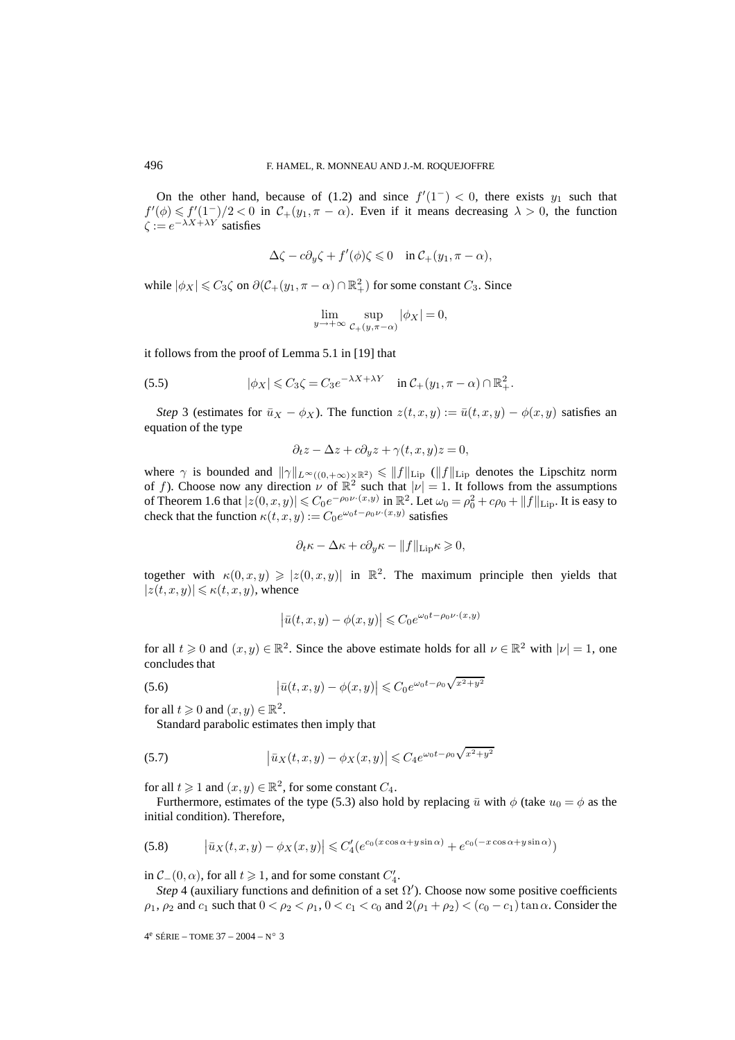On the other hand, because of (1.2) and since  $f'(1^-) < 0$ , there exists  $y_1$  such that  $f'(\phi) \leq f'(1^-)/2 < 0$  in  $\mathcal{C}_+(y_1, \pi - \alpha)$ . Even if it means decreasing  $\lambda > 0$ , the function  $\zeta := e^{-\lambda X + \lambda Y'}$  satisfies

$$
\Delta \zeta - c \partial_y \zeta + f'(\phi) \zeta \leq 0 \quad \text{in } C_+(y_1, \pi - \alpha),
$$

while  $|\phi_X| \leq C_3 \zeta$  on  $\partial(\mathcal{C}_+(y_1, \pi - \alpha) \cap \mathbb{R}^2_+)$  for some constant  $C_3$ . Since

$$
\lim_{y \to +\infty} \sup_{\mathcal{C}_+(y,\pi-\alpha)} |\phi_X| = 0,
$$

it follows from the proof of Lemma 5.1 in [19] that

(5.5) 
$$
|\phi_X| \leq C_3 \zeta = C_3 e^{-\lambda X + \lambda Y} \quad \text{in } C_+(y_1, \pi - \alpha) \cap \mathbb{R}^2_+.
$$

*Step* 3 (estimates for  $\bar{u}_X - \phi_X$ ). The function  $z(t, x, y) := \bar{u}(t, x, y) - \phi(x, y)$  satisfies an equation of the type

$$
\partial_t z - \Delta z + c \partial_y z + \gamma(t, x, y) z = 0,
$$

where  $\gamma$  is bounded and  $\|\gamma\|_{L^{\infty}((0,+\infty)\times\mathbb{R}^2)} \leq \|f\|_{\text{Lip}}$  ( $\|f\|_{\text{Lip}}$  denotes the Lipschitz norm of f). Choose now any direction  $\nu$  of  $\mathbb{R}^2$  such that  $|\nu| = 1$ . It follows from the assumptions of Theorem 1.6 that  $|z(0, x, y)| \le C_0 e^{-\rho_0 \nu \cdot (x, y)}$  in  $\mathbb{R}^2$ . Let  $\omega_0 = \rho_0^2 + c\rho_0 + ||f||_{\text{Lip}}$ . It is easy to check that the function  $\kappa(t, x, y) := C_0 e^{\omega_0 t - \rho_0 \nu \cdot (x, y)}$  satisfies

$$
\partial_t \kappa - \Delta \kappa + c \partial_y \kappa - ||f||_{\text{Lip}} \kappa \geqslant 0,
$$

together with  $\kappa(0, x, y) \geq |z(0, x, y)|$  in  $\mathbb{R}^2$ . The maximum principle then yields that  $|z(t, x, y)| \leq \kappa(t, x, y)$ , whence

$$
\left|\bar{u}(t,x,y) - \phi(x,y)\right| \leqslant C_0 e^{\omega_0 t - \rho_0 \nu \cdot (x,y)}
$$

for all  $t \ge 0$  and  $(x, y) \in \mathbb{R}^2$ . Since the above estimate holds for all  $\nu \in \mathbb{R}^2$  with  $|\nu| = 1$ , one concludes that

(5.6) 
$$
\left|\bar{u}(t,x,y) - \phi(x,y)\right| \leq C_0 e^{\omega_0 t - \rho_0 \sqrt{x^2 + y^2}}
$$

for all  $t \geqslant 0$  and  $(x, y) \in \mathbb{R}^2$ .

Standard parabolic estimates then imply that

(5.7) 
$$
\left|\bar{u}_X(t,x,y) - \phi_X(x,y)\right| \leqslant C_4 e^{\omega_0 t - \rho_0 \sqrt{x^2 + y^2}}
$$

for all  $t \geq 1$  and  $(x, y) \in \mathbb{R}^2$ , for some constant  $C_4$ .

Furthermore, estimates of the type (5.3) also hold by replacing  $\bar{u}$  with  $\phi$  (take  $u_0 = \phi$  as the initial condition). Therefore,

(5.8) 
$$
\left|\bar{u}_X(t,x,y) - \phi_X(x,y)\right| \leq C_4' \left(e^{c_0(x\cos\alpha + y\sin\alpha)} + e^{c_0(-x\cos\alpha + y\sin\alpha)}\right)
$$

in  $C_-(0, \alpha)$ , for all  $t \geq 1$ , and for some constant  $C'_4$ .

*Step* 4 (auxiliary functions and definition of a set  $\Omega'$ ). Choose now some positive coefficients  $\rho_1$ ,  $\rho_2$  and  $c_1$  such that  $0 < \rho_2 < \rho_1$ ,  $0 < c_1 < c_0$  and  $2(\rho_1 + \rho_2) < (c_0 - c_1) \tan \alpha$ . Consider the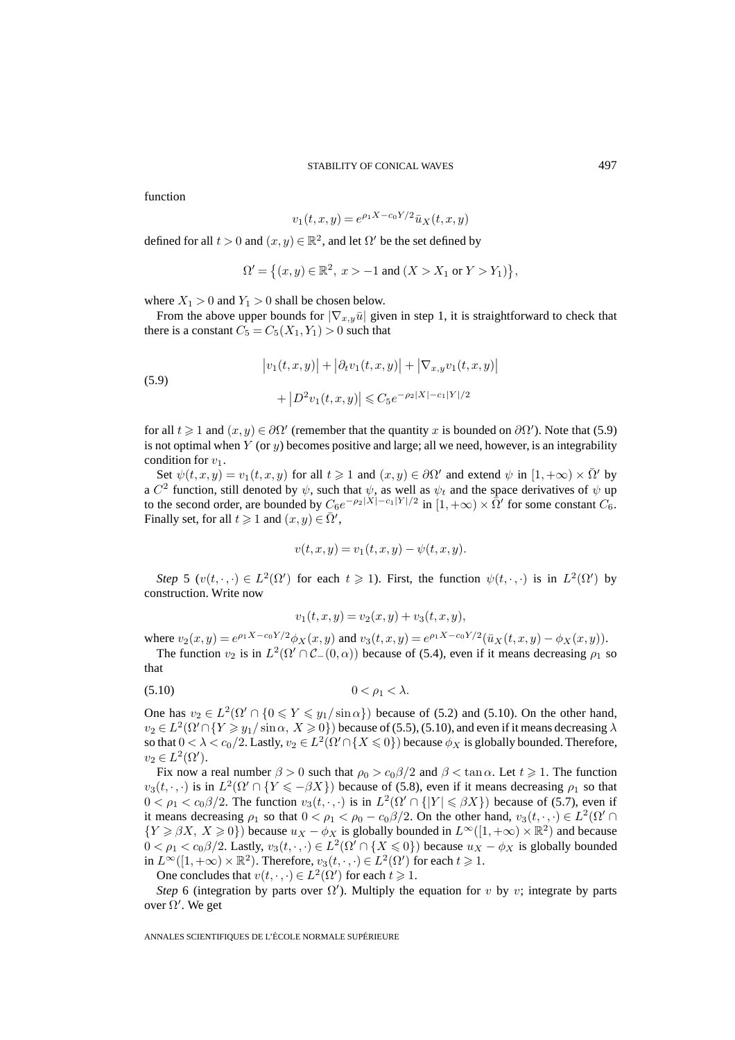function

$$
v_1(t, x, y) = e^{\rho_1 X - c_0 Y/2} \bar{u}_X(t, x, y)
$$

defined for all  $t > 0$  and  $(x, y) \in \mathbb{R}^2$ , and let  $\Omega'$  be the set defined by

$$
\Omega' = \{(x, y) \in \mathbb{R}^2, \ x > -1 \text{ and } (X > X_1 \text{ or } Y > Y_1) \},
$$

where  $X_1 > 0$  and  $Y_1 > 0$  shall be chosen below.

From the above upper bounds for  $|\nabla_{x,y}\bar{u}|$  given in step 1, it is straightforward to check that there is a constant  $C_5 = C_5(X_1, Y_1) > 0$  such that

(5.9)  

$$
\left|v_1(t,x,y)\right| + \left|\partial_t v_1(t,x,y)\right| + \left|\nabla_{x,y} v_1(t,x,y)\right| + \left|D^2 v_1(t,x,y)\right| \leq C_5 e^{-\rho_2 |X| - c_1 |Y|/2}
$$

for all  $t \geq 1$  and  $(x, y) \in \partial \Omega'$  (remember that the quantity x is bounded on  $\partial \Omega'$ ). Note that (5.9) is not optimal when  $Y$  (or  $y$ ) becomes positive and large; all we need, however, is an integrability condition for  $v_1$ .

Set  $\psi(t, x, y) = v_1(t, x, y)$  for all  $t \geq 1$  and  $(x, y) \in \partial \Omega'$  and extend  $\psi$  in  $[1, +\infty) \times \overline{\Omega}'$  by a C<sup>2</sup> function, still denoted by  $\psi$ , such that  $\psi$ , as well as  $\psi_t$  and the space derivatives of  $\psi$  up to the second order, are bounded by  $C_6e^{-\rho_2|X|-c_1|Y|/2}$  in  $[1,+\infty) \times \overline{\Omega}'$  for some constant  $C_6$ . Finally set, for all  $t \geq 1$  and  $(x, y) \in \overline{\Omega}'$ ,

$$
v(t, x, y) = v_1(t, x, y) - \psi(t, x, y).
$$

*Step* 5 ( $v(t, \cdot, \cdot) \in L^2(\Omega')$  for each  $t \ge 1$ ). First, the function  $\psi(t, \cdot, \cdot)$  is in  $L^2(\Omega')$  by construction. Write now

$$
v_1(t, x, y) = v_2(x, y) + v_3(t, x, y),
$$

where  $v_2(x, y) = e^{\rho_1 X - c_0 Y/2} \phi_X(x, y)$  and  $v_3(t, x, y) = e^{\rho_1 X - c_0 Y/2} (\bar{u}_X(t, x, y) - \phi_X(x, y)).$ 

The function  $v_2$  is in  $L^2(\Omega' \cap C_-(0,\alpha))$  because of (5.4), even if it means decreasing  $\rho_1$  so that

$$
(5.10) \t\t 0 < \rho_1 < \lambda.
$$

One has  $v_2 \in L^2(\Omega' \cap \{0 \leq Y \leq y_1 / \sin \alpha\})$  because of (5.2) and (5.10). On the other hand,  $v_2 \in L^2(\Omega' \cap \{Y \geq y_1 / \sin \alpha, X \geq 0\})$  because of (5.5), (5.10), and even if it means decreasing  $\lambda$ so that  $0 < \lambda < c_0/2$ . Lastly,  $v_2 \in L^2(\Omega' \cap \{X \le 0\})$  because  $\phi_X$  is globally bounded. Therefore,  $v_2 \in L^2(\Omega').$ 

Fix now a real number  $\beta > 0$  such that  $\rho_0 > c_0 \beta / 2$  and  $\beta < \tan \alpha$ . Let  $t \ge 1$ . The function  $v_3(t, \cdot, \cdot)$  is in  $L^2(\Omega' \cap \{Y \leq -\beta X\})$  because of (5.8), even if it means decreasing  $\rho_1$  so that  $0 < \rho_1 < c_0 \beta/2$ . The function  $v_3(t, \cdot, \cdot)$  is in  $L^2(\Omega' \cap \{|Y| \leq \beta X\})$  because of (5.7), even if it means decreasing  $\rho_1$  so that  $0 < \rho_1 < \rho_0 - c_0 \beta/2$ . On the other hand,  $v_3(t, \cdot, \cdot) \in L^2(\Omega' \cap$  $\{Y \geq \beta X, X \geq 0\}$ ) because  $u_X - \phi_X$  is globally bounded in  $L^{\infty}([1, +\infty) \times \mathbb{R}^2)$  and because  $0 < \rho_1 < c_0 \beta/2$ . Lastly,  $v_3(t, \cdot, \cdot) \in L^2(\Omega' \cap \{X \leq 0\})$  because  $u_X - \phi_X$  is globally bounded in  $L^{\infty}([1,+\infty) \times \mathbb{R}^2)$ . Therefore,  $v_3(t,\cdot,\cdot) \in L^2(\Omega')$  for each  $t \geq 1$ .

One concludes that  $v(t, \cdot, \cdot) \in L^2(\Omega')$  for each  $t \geq 1$ .

*Step* 6 (integration by parts over  $\Omega'$ ). Multiply the equation for v by v; integrate by parts over  $\Omega'$ . We get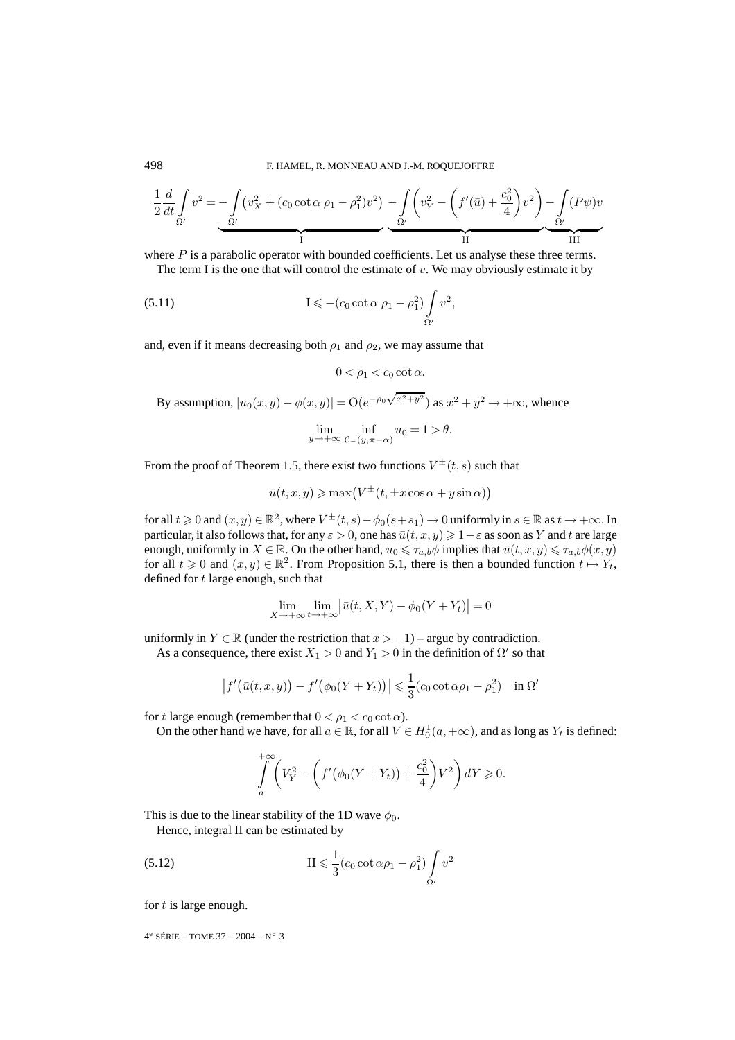$$
\frac{1}{2}\frac{d}{dt}\int_{\Omega'}v^2 = -\int_{\Omega'}\left(v_X^2 + (c_0\cot\alpha\ \rho_1 - \rho_1^2)v^2\right) - \int_{\Omega'}\left(v_Y^2 - \left(f'(\bar{u}) + \frac{c_0^2}{4}\right)v^2\right) - \int_{\Omega'}(P\psi)v
$$

where  $P$  is a parabolic operator with bounded coefficients. Let us analyse these three terms. The term I is the one that will control the estimate of  $v$ . We may obviously estimate it by

$$
(5.11) \tI \leqslant -(c_0 \cot \alpha \rho_1 - \rho_1^2) \int_{\Omega'} v^2,
$$

and, even if it means decreasing both  $\rho_1$  and  $\rho_2$ , we may assume that

 $0 < \rho_1 < c_0 \cot \alpha$ .

By assumption,  $|u_0(x, y) - \phi(x, y)| = O(e^{-\rho_0 \sqrt{x^2 + y^2}})$  as  $x^2 + y^2 \rightarrow +\infty$ , whence

$$
\lim_{y \to +\infty} \inf_{\mathcal{C}_{-}(y,\pi-\alpha)} u_0 = 1 > \theta.
$$

From the proof of Theorem 1.5, there exist two functions  $V^{\pm}(t, s)$  such that

$$
\bar{u}(t, x, y) \ge \max\left(V^{\pm}(t, \pm x \cos \alpha + y \sin \alpha)\right)
$$

for all  $t\geqslant 0$  and  $(x,y)\in\mathbb{R}^2$ , where  $V^{\pm}(t,s)-\phi_0(s+s_1)\to 0$  uniformly in  $s\in\mathbb{R}$  as  $t\to+\infty$ . In particular, it also follows that, for any  $\varepsilon > 0$ , one has  $\bar{u}(t,x,y) \geqslant 1-\varepsilon$  as soon as  $Y$  and  $t$  are large enough, uniformly in  $X \in \mathbb{R}$ . On the other hand,  $u_0 \leq \tau_{a,b}\phi$  implies that  $\bar{u}(t, x, y) \leq \tau_{a,b}\phi(x, y)$ for all  $t \geq 0$  and  $(x, y) \in \mathbb{R}^2$ . From Proposition 5.1, there is then a bounded function  $t \mapsto Y_t$ , defined for t large enough, such that

$$
\lim_{X \to +\infty} \lim_{t \to +\infty} \left| \bar{u}(t, X, Y) - \phi_0(Y + Y_t) \right| = 0
$$

uniformly in  $Y \in \mathbb{R}$  (under the restriction that  $x > -1$ ) – argue by contradiction.

As a consequence, there exist  $X_1 > 0$  and  $Y_1 > 0$  in the definition of  $\Omega'$  so that

$$
\left|f'(\bar{u}(t,x,y))-f'(\phi_0(Y+Y_t))\right|\leq \frac{1}{3}(c_0\cot\alpha\rho_1-\rho_1^2)\quad\text{in }\Omega'
$$

for t large enough (remember that  $0 < \rho_1 < c_0 \cot \alpha$ ).

On the other hand we have, for all  $a \in \mathbb{R}$ , for all  $V \in H_0^1(a, +\infty)$ , and as long as  $Y_t$  is defined:

$$
\int_{a}^{+\infty} \left( V_Y^2 - \left( f' \left( \phi_0(Y + Y_t) \right) + \frac{c_0^2}{4} \right) V^2 \right) dY \ge 0.
$$

This is due to the linear stability of the 1D wave  $\phi_0$ .

Hence, integral II can be estimated by

$$
(5.12)\qquad \qquad \text{II} \leqslant \frac{1}{3}(c_0 \cot \alpha \rho_1 - \rho_1^2) \int_{\Omega'} v^2
$$

for  $t$  is large enough.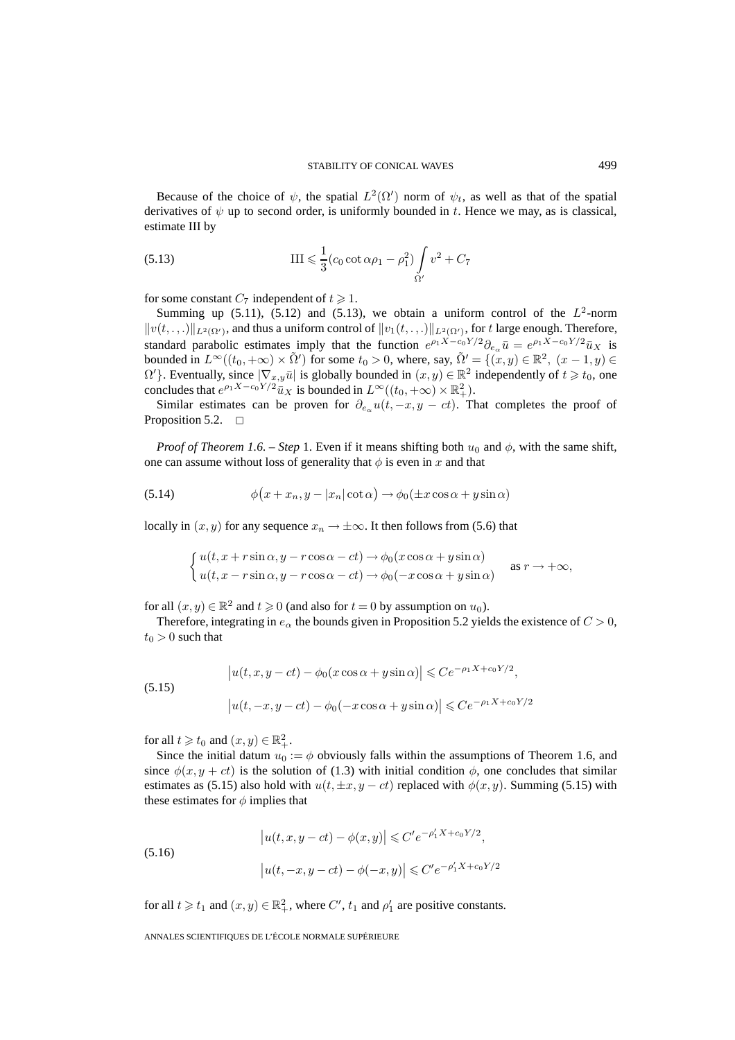Because of the choice of  $\psi$ , the spatial  $L^2(\Omega')$  norm of  $\psi_t$ , as well as that of the spatial derivatives of  $\psi$  up to second order, is uniformly bounded in t. Hence we may, as is classical, estimate III by

(5.13) 
$$
\text{III} \leq \frac{1}{3} (c_0 \cot \alpha \rho_1 - \rho_1^2) \int_{\Omega'} v^2 + C_7
$$

for some constant  $C_7$  independent of  $t \geq 1$ .

Summing up (5.11), (5.12) and (5.13), we obtain a uniform control of the  $L^2$ -norm  $||v(t, \ldots)||_{L^2(\Omega')}$ , and thus a uniform control of  $||v_1(t, \ldots)||_{L^2(\Omega')}$ , for t large enough. Therefore, standard parabolic estimates imply that the function  $e^{\rho_1 X - c_0 Y/2} \partial_{e_\alpha} \bar{u} = e^{\rho_1 X - c_0 Y/2} \bar{u}_X$  is bounded in  $L^{\infty}((t_0, +\infty) \times \tilde{\Omega}')$  for some  $t_0 > 0$ , where, say,  $\tilde{\Omega}' = \{ (x, y) \in \mathbb{R}^2, (x - 1, y) \in \Omega' \}$  $\Omega'$ }. Eventually, since  $|\nabla_{x,y}\bar{u}|$  is globally bounded in  $(x,y)\in\mathbb{R}^2$  independently of  $t\geq t_0$ , one concludes that  $e^{\rho_1 X - c_0 Y/2} \tilde{u}_X$  is bounded in  $L^{\infty}((t_0, +\infty) \times \mathbb{R}^2_+)$ .

Similar estimates can be proven for  $\partial_{\epsilon_0} u(t,-x, y - ct)$ . That completes the proof of Proposition 5.2.  $\Box$ 

*Proof of Theorem 1.6. – Step* 1. Even if it means shifting both  $u_0$  and  $\phi$ , with the same shift, one can assume without loss of generality that  $\phi$  is even in x and that

(5.14) 
$$
\phi(x+x_n, y-|x_n|\cot\alpha) \to \phi_0(\pm x\cos\alpha + y\sin\alpha)
$$

locally in  $(x, y)$  for any sequence  $x_n \to \pm \infty$ . It then follows from (5.6) that

$$
\begin{cases}\n u(t, x + r\sin\alpha, y - r\cos\alpha - ct) \rightarrow \phi_0(x\cos\alpha + y\sin\alpha) \\
 u(t, x - r\sin\alpha, y - r\cos\alpha - ct) \rightarrow \phi_0(-x\cos\alpha + y\sin\alpha)\n\end{cases}
$$
 as  $r \rightarrow +\infty$ ,

for all  $(x, y) \in \mathbb{R}^2$  and  $t \ge 0$  (and also for  $t = 0$  by assumption on  $u_0$ ).

Therefore, integrating in  $e_{\alpha}$  the bounds given in Proposition 5.2 yields the existence of  $C > 0$ ,  $t_0 > 0$  such that

(5.15)  

$$
\left| u(t, x, y - ct) - \phi_0(x \cos \alpha + y \sin \alpha) \right| \leq C e^{-\rho_1 X + c_0 Y/2},
$$

$$
\left| u(t, -x, y - ct) - \phi_0(-x \cos \alpha + y \sin \alpha) \right| \leq C e^{-\rho_1 X + c_0 Y/2}
$$

for all  $t \geq t_0$  and  $(x, y) \in \mathbb{R}^2_+$ .

Since the initial datum  $u_0 := \phi$  obviously falls within the assumptions of Theorem 1.6, and since  $\phi(x, y + ct)$  is the solution of (1.3) with initial condition  $\phi$ , one concludes that similar estimates as (5.15) also hold with  $u(t, \pm x, y - ct)$  replaced with  $\phi(x, y)$ . Summing (5.15) with these estimates for  $\phi$  implies that

(5.16) 
$$
\left| u(t, x, y - ct) - \phi(x, y) \right| \leq C' e^{-\rho'_1 X + c_0 Y/2},
$$

$$
\left| u(t, -x, y - ct) - \phi(-x, y) \right| \leq C' e^{-\rho'_1 X + c_0 Y/2}
$$

for all  $t \geq t_1$  and  $(x, y) \in \mathbb{R}^2_+$ , where  $C', t_1$  and  $\rho'_1$  are positive constants.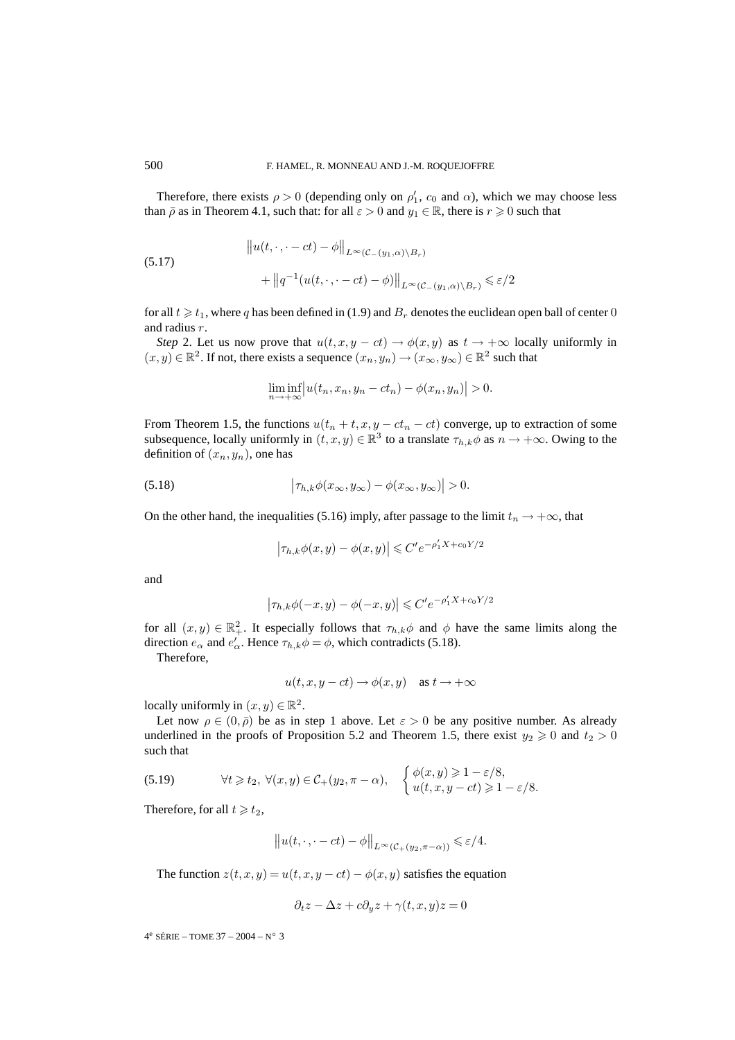Therefore, there exists  $\rho > 0$  (depending only on  $\rho'_1$ ,  $c_0$  and  $\alpha$ ), which we may choose less than  $\bar{\rho}$  as in Theorem 4.1, such that: for all  $\varepsilon > 0$  and  $y_1 \in \mathbb{R}$ , there is  $r \geq 0$  such that

(5.17)  
\n
$$
||u(t, \cdot, \cdot - ct) - \phi||_{L^{\infty}(\mathcal{C}_{-}(y_1, \alpha) \setminus B_r)}
$$
\n
$$
+ ||q^{-1}(u(t, \cdot, \cdot - ct) - \phi)||_{L^{\infty}(\mathcal{C}_{-}(y_1, \alpha) \setminus B_r)} \leq \varepsilon/2
$$

for all  $t \geqslant t_1$ , where  $q$  has been defined in (1.9) and  $B_r$  denotes the euclidean open ball of center  $0$ and radius r.

*Step* 2. Let us now prove that  $u(t, x, y - ct) \rightarrow \phi(x, y)$  as  $t \rightarrow +\infty$  locally uniformly in  $(x, y) \in \mathbb{R}^2$ . If not, there exists a sequence  $(x_n, y_n) \to (x_\infty, y_\infty) \in \mathbb{R}^2$  such that

$$
\liminf_{n \to +\infty} \left| u(t_n, x_n, y_n - ct_n) - \phi(x_n, y_n) \right| > 0.
$$

From Theorem 1.5, the functions  $u(t_n + t, x, y - ct_n - ct)$  converge, up to extraction of some subsequence, locally uniformly in  $(t, x, y) \in \mathbb{R}^3$  to a translate  $\tau_{h,k}\phi$  as  $n \to +\infty$ . Owing to the definition of  $(x_n, y_n)$ , one has

(5.18) 
$$
\left|\tau_{h,k}\phi(x_{\infty},y_{\infty})-\phi(x_{\infty},y_{\infty})\right|>0.
$$

On the other hand, the inequalities (5.16) imply, after passage to the limit  $t_n \to +\infty$ , that

$$
\left|\tau_{h,k}\phi(x,y) - \phi(x,y)\right| \leqslant C'e^{-\rho_1'X + c_0Y/2}
$$

and

$$
\left|\tau_{h,k}\phi(-x,y)-\phi(-x,y)\right|\leqslant C'e^{-\rho_1'X+c_0Y/2}
$$

for all  $(x, y) \in \mathbb{R}^2_+$ . It especially follows that  $\tau_{h,k}\phi$  and  $\phi$  have the same limits along the direction  $e_{\alpha}$  and  $e'_{\alpha}$ . Hence  $\tau_{h,k}\phi = \phi$ , which contradicts (5.18).

Therefore,

$$
u(t, x, y - ct) \rightarrow \phi(x, y)
$$
 as  $t \rightarrow +\infty$ 

locally uniformly in  $(x, y) \in \mathbb{R}^2$ .

Let now  $\rho \in (0, \bar{\rho})$  be as in step 1 above. Let  $\varepsilon > 0$  be any positive number. As already underlined in the proofs of Proposition 5.2 and Theorem 1.5, there exist  $y_2 \geq 0$  and  $t_2 > 0$ such that

(5.19) 
$$
\forall t \geq t_2, \ \forall (x, y) \in C_+(y_2, \pi - \alpha), \quad \begin{cases} \phi(x, y) \geq 1 - \varepsilon/8, \\ u(t, x, y - ct) \geq 1 - \varepsilon/8. \end{cases}
$$

Therefore, for all  $t \geq t_2$ ,

$$
||u(t,\cdot,-ct)-\phi||_{L^{\infty}(\mathcal{C}_{+}(y_2,\pi-\alpha))} \leq \varepsilon/4.
$$

The function  $z(t, x, y) = u(t, x, y - ct) - \phi(x, y)$  satisfies the equation

$$
\partial_t z - \Delta z + c \partial_y z + \gamma(t, x, y)z = 0
$$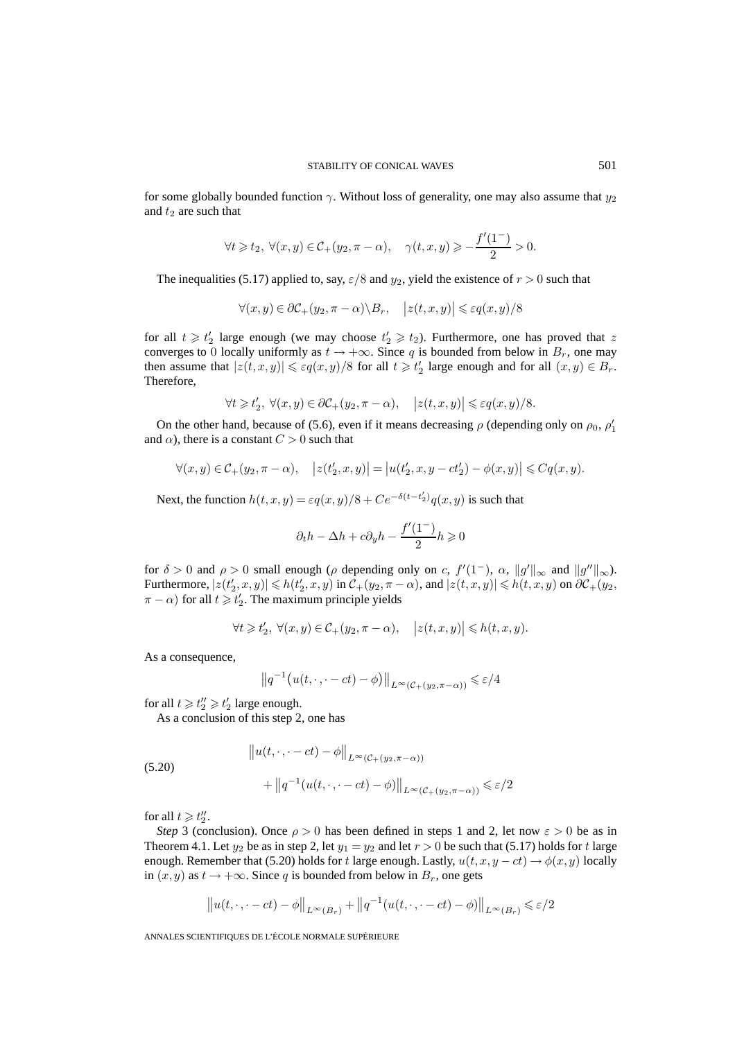for some globally bounded function  $\gamma$ . Without loss of generality, one may also assume that  $y_2$ and  $t_2$  are such that

$$
\forall t \geq t_2, \ \forall (x, y) \in C_+(y_2, \pi - \alpha), \quad \gamma(t, x, y) \geq -\frac{f'(1^-)}{2} > 0.
$$

The inequalities (5.17) applied to, say,  $\varepsilon/8$  and  $y_2$ , yield the existence of  $r > 0$  such that

$$
\forall (x, y) \in \partial \mathcal{C}_+(y_2, \pi - \alpha) \backslash B_r, \quad |z(t, x, y)| \leqslant \varepsilon q(x, y)/8
$$

for all  $t \geq t_2'$  large enough (we may choose  $t_2' \geq t_2$ ). Furthermore, one has proved that z converges to 0 locally uniformly as  $t \to +\infty$ . Since q is bounded from below in  $B_r$ , one may then assume that  $|z(t, x, y)| \le \varepsilon q(x, y)/8$  for all  $t \ge t'_2$  large enough and for all  $(x, y) \in B_r$ . Therefore,

$$
\forall t \geq t_2', \ \forall (x, y) \in \partial C_+(y_2, \pi - \alpha), \quad |z(t, x, y)| \leq \varepsilon q(x, y)/8.
$$

On the other hand, because of (5.6), even if it means decreasing  $\rho$  (depending only on  $\rho_0$ ,  $\rho'_1$ and  $\alpha$ ), there is a constant  $C > 0$  such that

$$
\forall (x, y) \in C_+(y_2, \pi - \alpha), \quad |z(t'_2, x, y)| = |u(t'_2, x, y - ct'_2) - \phi(x, y)| \leq Cq(x, y).
$$

Next, the function  $h(t, x, y) = \varepsilon q(x, y)/8 + C e^{-\delta(t - t_2')} q(x, y)$  is such that

$$
\partial_t h - \Delta h + c \partial_y h - \frac{f'(1^-)}{2} h \geqslant 0
$$

for  $\delta > 0$  and  $\rho > 0$  small enough ( $\rho$  depending only on c,  $f'(1^-)$ ,  $\alpha$ ,  $||g'||_{\infty}$  and  $||g''||_{\infty}$ ). Furthermore,  $|z(t_2',x,y)| \le h(t_2',x,y)$  in  $\mathcal{C}_+(y_2,\pi-\alpha)$ , and  $|z(t,x,y)| \le h(t,x,y)$  on  $\partial \mathcal{C}_+(y_2,\pi-\alpha)$  $\pi - \alpha$ ) for all  $t \geq t'_2$ . The maximum principle yields

$$
\forall t\geqslant t_{2}',\ \forall(x,y)\in\mathcal{C}_{+}(y_{2},\pi-\alpha),\quad \big|z(t,x,y)\big|\leqslant h(t,x,y).
$$

As a consequence,

$$
||q^{-1}(u(t,\cdot,\cdot-ct)-\phi)||_{L^{\infty}(\mathcal{C}_{+}(y_2,\pi-\alpha))} \leq \varepsilon/4
$$

for all  $t \geq t''_2 \geq t'_2$  large enough.

As a conclusion of this step 2, one has

(5.20)  

$$
\|u(t,\cdot,-ct) - \phi\|_{L^{\infty}(\mathcal{C}_{+}(y_2,\pi-\alpha))} + \|q^{-1}(u(t,\cdot,\cdot-ct) - \phi)\|_{L^{\infty}(\mathcal{C}_{+}(y_2,\pi-\alpha))} \leq \varepsilon/2
$$

for all  $t \geq t_2''$ .

*Step* 3 (conclusion). Once  $\rho > 0$  has been defined in steps 1 and 2, let now  $\varepsilon > 0$  be as in Theorem 4.1. Let  $y_2$  be as in step 2, let  $y_1 = y_2$  and let  $r > 0$  be such that (5.17) holds for t large enough. Remember that (5.20) holds for t large enough. Lastly,  $u(t, x, y - ct) \rightarrow \phi(x, y)$  locally in  $(x, y)$  as  $t \to +\infty$ . Since q is bounded from below in  $B_r$ , one gets

$$
||u(t,\cdot,\cdot-ct)-\phi||_{L^{\infty}(B_r)}+||q^{-1}(u(t,\cdot,\cdot-ct)-\phi)||_{L^{\infty}(B_r)}\leq \varepsilon/2
$$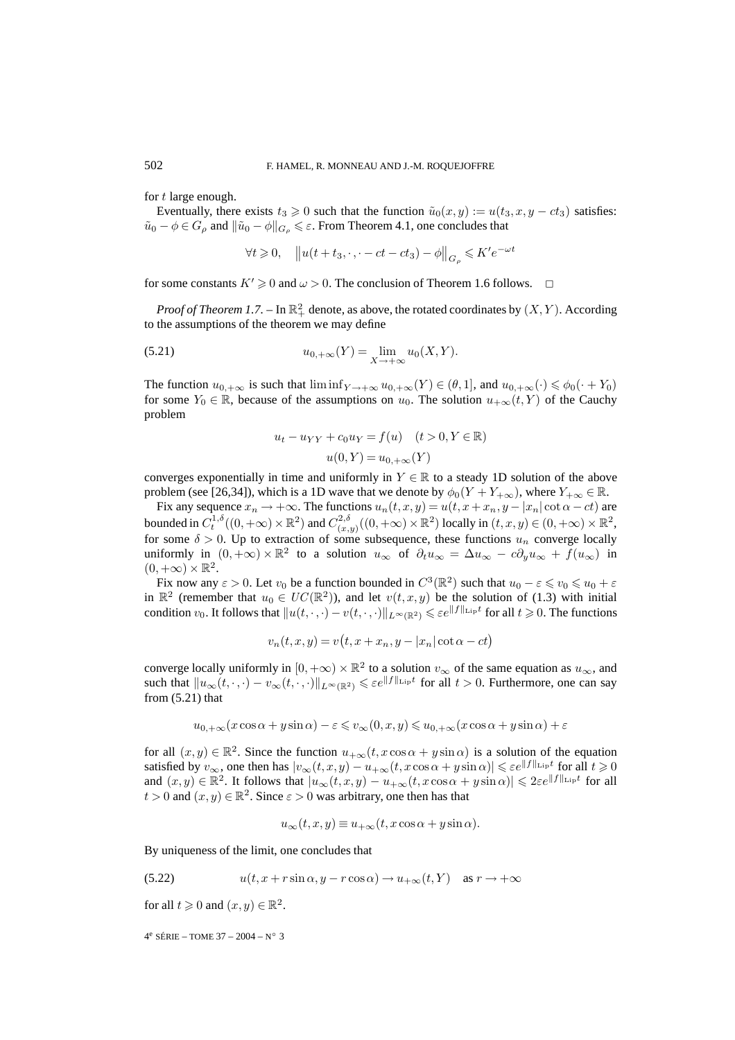for t large enough.

Eventually, there exists  $t_3 \geq 0$  such that the function  $\tilde{u}_0(x, y) := u(t_3, x, y - ct_3)$  satisfies:  $\tilde{u}_0 - \phi \in G_\rho$  and  $\|\tilde{u}_0 - \phi\|_{G_\rho} \leq \varepsilon$ . From Theorem 4.1, one concludes that

$$
\forall t \geq 0, \quad \left\| u(t + t_3, \cdot, \cdot - ct - ct_3) - \phi \right\|_{G_{\rho}} \leq K' e^{-\omega t}
$$

for some constants  $K' \ge 0$  and  $\omega > 0$ . The conclusion of Theorem 1.6 follows.  $\Box$ 

*Proof of Theorem 1.7.* – In  $\mathbb{R}^2_+$  denote, as above, the rotated coordinates by  $(X, Y)$ . According to the assumptions of the theorem we may define

(5.21) 
$$
u_{0,+\infty}(Y) = \lim_{X \to +\infty} u_0(X,Y).
$$

The function  $u_{0,+\infty}$  is such that  $\liminf_{Y\to+\infty} u_{0,+\infty}(Y) \in (\theta,1]$ , and  $u_{0,+\infty}(\cdot) \leq \phi_0(\cdot + Y_0)$ for some  $Y_0 \in \mathbb{R}$ , because of the assumptions on  $u_0$ . The solution  $u_{+\infty}(t, Y)$  of the Cauchy problem

$$
u_t - u_{YY} + c_0 u_Y = f(u) \quad (t > 0, Y \in \mathbb{R})
$$

$$
u(0, Y) = u_{0, +\infty}(Y)
$$

converges exponentially in time and uniformly in  $Y \in \mathbb{R}$  to a steady 1D solution of the above problem (see [26,34]), which is a 1D wave that we denote by  $\phi_0(Y + Y_{+\infty})$ , where  $Y_{+\infty} \in \mathbb{R}$ .

Fix any sequence  $x_n \to +\infty$ . The functions  $u_n(t, x, y) = u(t, x + x_n, y - |x_n|\cot \alpha - ct)$  are bounded in  $C_t^{1,\delta}((0,+\infty)\times\mathbb{R}^2)$  and  $C_{(x,y)}^{2,\delta}((0,+\infty)\times\mathbb{R}^2)$  locally in  $(t,x,y)\in(0,+\infty)\times\mathbb{R}^2$ , for some  $\delta > 0$ . Up to extraction of some subsequence, these functions  $u_n$  converge locally uniformly in  $(0, +\infty) \times \mathbb{R}^2$  to a solution  $u_{\infty}$  of  $\partial_t u_{\infty} = \Delta u_{\infty} - c \partial_u u_{\infty} + f(u_{\infty})$  in  $(0,+\infty) \times \mathbb{R}^2$ .

Fix now any  $\varepsilon > 0$ . Let  $v_0$  be a function bounded in  $C^3(\mathbb{R}^2)$  such that  $u_0 - \varepsilon \leq v_0 \leq u_0 + \varepsilon$ in  $\mathbb{R}^2$  (remember that  $u_0 \in UC(\mathbb{R}^2)$ ), and let  $v(t, x, y)$  be the solution of (1.3) with initial condition  $v_0$ . It follows that  $||u(t,\cdot,\cdot)-v(t,\cdot,\cdot)||_{L^{\infty}(\mathbb{R}^2)} \leqslant \varepsilon e^{||f||_{\text{Lip}}t}$  for all  $t \geqslant 0$ . The functions

$$
v_n(t, x, y) = v(t, x + x_n, y - |x_n|\cot \alpha - ct)
$$

converge locally uniformly in  $[0,+\infty) \times \mathbb{R}^2$  to a solution  $v_{\infty}$  of the same equation as  $u_{\infty}$ , and such that  $||u_{\infty}(t,\cdot,\cdot)-v_{\infty}(t,\cdot,\cdot)||_{L^{\infty}(\mathbb{R}^2)} \leqslant \varepsilon e^{\|f\|_{\text{Lip}}t}$  for all  $t > 0$ . Furthermore, one can say from  $(5.21)$  that

$$
u_{0,+\infty}(x\cos\alpha+y\sin\alpha)-\varepsilon\leq v_{\infty}(0,x,y)\leq u_{0,+\infty}(x\cos\alpha+y\sin\alpha)+\varepsilon
$$

for all  $(x, y) \in \mathbb{R}^2$ . Since the function  $u_{+\infty}(t, x \cos \alpha + y \sin \alpha)$  is a solution of the equation satisfied by  $v_{\infty}$ , one then has  $|v_{\infty}(t, x, y) - u_{+\infty}(t, x \cos \alpha + y \sin \alpha)| \leqslant \varepsilon e^{\|f\|_{\text{Lip}} t}$  for all  $t \geqslant 0$ and  $(x, y) \in \mathbb{R}^2$ . It follows that  $|u_{\infty}(t, x, y) - u_{+\infty}(t, x \cos \alpha + y \sin \alpha)| \leq 2\varepsilon e^{\|f\|_{\text{Lip}}t}$  for all  $t > 0$  and  $(x, y) \in \mathbb{R}^2$ . Since  $\varepsilon > 0$  was arbitrary, one then has that

$$
u_{\infty}(t, x, y) \equiv u_{+\infty}(t, x \cos \alpha + y \sin \alpha).
$$

By uniqueness of the limit, one concludes that

(5.22) 
$$
u(t, x + r\sin\alpha, y - r\cos\alpha) \to u_{+\infty}(t, Y) \quad \text{as } r \to +\infty
$$

for all  $t \geqslant 0$  and  $(x, y) \in \mathbb{R}^2$ .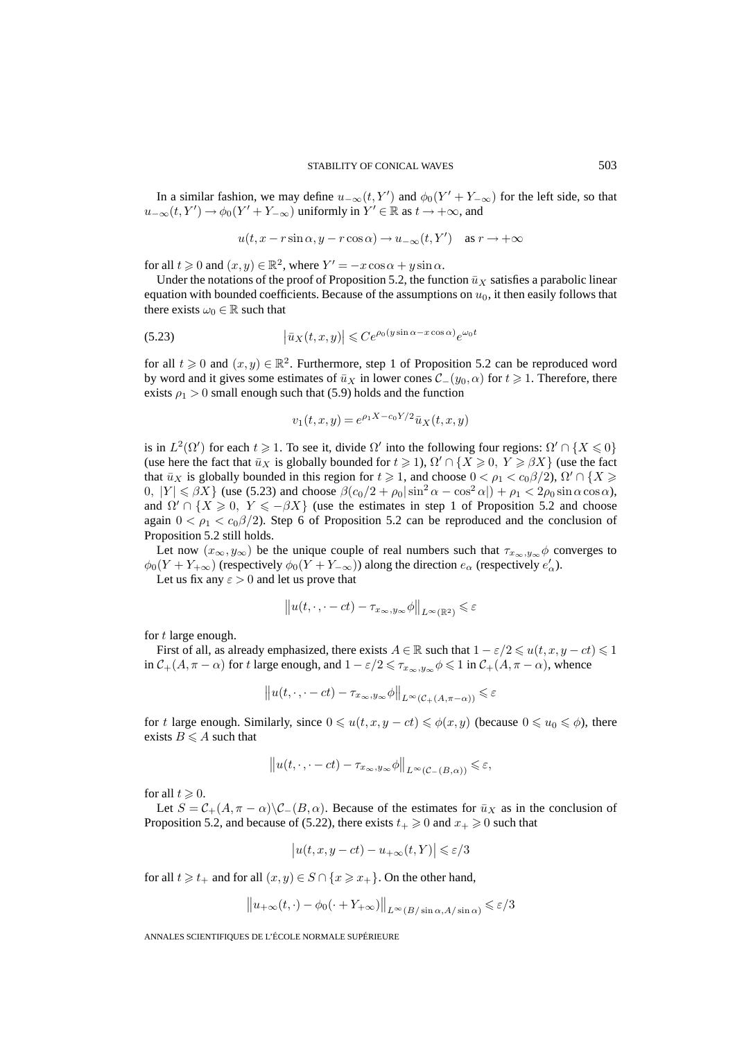In a similar fashion, we may define  $u_{-\infty}(t, Y')$  and  $\phi_0(Y' + Y_{-\infty})$  for the left side, so that  $u_{-\infty}(t, Y') \to \phi_0(Y' + Y_{-\infty})$  uniformly in  $Y' \in \mathbb{R}$  as  $t \to +\infty$ , and

$$
u(t, x - r\sin\alpha, y - r\cos\alpha) \to u_{-\infty}(t, Y')
$$
 as  $r \to +\infty$ 

for all  $t \geq 0$  and  $(x, y) \in \mathbb{R}^2$ , where  $Y' = -x \cos \alpha + y \sin \alpha$ .

Under the notations of the proof of Proposition 5.2, the function  $\bar{u}_X$  satisfies a parabolic linear equation with bounded coefficients. Because of the assumptions on  $u_0$ , it then easily follows that there exists  $\omega_0 \in \mathbb{R}$  such that

(5.23) 
$$
\left|\bar{u}_X(t,x,y)\right| \leq Ce^{\rho_0(y\sin\alpha - x\cos\alpha)}e^{\omega_0 t}
$$

for all  $t \geq 0$  and  $(x, y) \in \mathbb{R}^2$ . Furthermore, step 1 of Proposition 5.2 can be reproduced word by word and it gives some estimates of  $\bar{u}_X$  in lower cones  $\mathcal{C}_-(y_0, \alpha)$  for  $t \geq 1$ . Therefore, there exists  $\rho_1 > 0$  small enough such that (5.9) holds and the function

$$
v_1(t, x, y) = e^{\rho_1 X - c_0 Y/2} \bar{u}_X(t, x, y)
$$

is in  $L^2(\Omega')$  for each  $t \geq 1$ . To see it, divide  $\Omega'$  into the following four regions:  $\Omega' \cap \{X \leq 0\}$ (use here the fact that  $\bar{u}_X$  is globally bounded for  $t \ge 1$ ),  $\Omega' \cap \{X \ge 0, Y \ge \beta X\}$  (use the fact that  $\bar{u}_X$  is globally bounded in this region for  $t \geq 1$ , and choose  $0 < \rho_1 < c_0 \beta/2$ ,  $\Omega' \cap \{X \geq 0\}$  $0, |Y| \leq \beta X$  (use (5.23) and choose  $\beta(c_0/2 + \rho_0|\sin^2\alpha - \cos^2\alpha|) + \rho_1 < 2\rho_0 \sin\alpha \cos\alpha$ ), and  $\Omega' \cap \{X \geq 0, Y \leq -\beta X\}$  (use the estimates in step 1 of Proposition 5.2 and choose again  $0 < \rho_1 < c_0 \beta/2$ ). Step 6 of Proposition 5.2 can be reproduced and the conclusion of Proposition 5.2 still holds.

Let now  $(x_{\infty}, y_{\infty})$  be the unique couple of real numbers such that  $\tau_{x_{\infty}, y_{\infty}} \phi$  converges to  $\phi_0(Y+Y_{+\infty})$  (respectively  $\phi_0(Y+Y_{-\infty})$ ) along the direction  $e_\alpha$  (respectively  $e'_\alpha$ ).

Let us fix any  $\varepsilon > 0$  and let us prove that

$$
||u(t,\cdot\,,\cdot-ct)-\tau_{x_\infty,y_\infty}\phi||_{L^\infty(\mathbb{R}^2)}\leqslant \varepsilon
$$

for t large enough.

First of all, as already emphasized, there exists  $A \in \mathbb{R}$  such that  $1 - \varepsilon/2 \leq u(t, x, y - ct) \leq 1$ in  $C_+(A, \pi - \alpha)$  for t large enough, and  $1 - \varepsilon/2 \leq \tau_{x_\infty, y_\infty} \phi \leq 1$  in  $C_+(A, \pi - \alpha)$ , whence

$$
||u(t,\cdot,\cdot-ct)-\tau_{x_{\infty},y_{\infty}}\phi||_{L^{\infty}(\mathcal{C}_{+}(A,\pi-\alpha))} \leq \varepsilon
$$

for t large enough. Similarly, since  $0 \leq u(t, x, y - ct) \leq \phi(x, y)$  (because  $0 \leq u_0 \leq \phi$ ), there exists  $B \leqslant A$  such that

$$
||u(t,\cdot,\cdot-ct)-\tau_{x_{\infty},y_{\infty}}\phi||_{L^{\infty}(\mathcal{C}_{-}(B,\alpha))} \leq \varepsilon,
$$

for all  $t \geqslant 0$ .

Let  $S = C_{+}(A, \pi - \alpha) \backslash C_{-}(B, \alpha)$ . Because of the estimates for  $\bar{u}_X$  as in the conclusion of Proposition 5.2, and because of (5.22), there exists  $t_+ \geq 0$  and  $x_+ \geq 0$  such that

$$
\big|u(t,x,y-ct)-u_{+\infty}(t,Y)\big|\leqslant \varepsilon/3
$$

for all  $t \geq t_+$  and for all  $(x, y) \in S \cap \{x \geq x_+\}$ . On the other hand,

$$
||u_{+\infty}(t,\cdot)-\phi_0(\cdot+Y_{+\infty})||_{L^{\infty}(B/\sin\alpha,A/\sin\alpha)} \leq \varepsilon/3
$$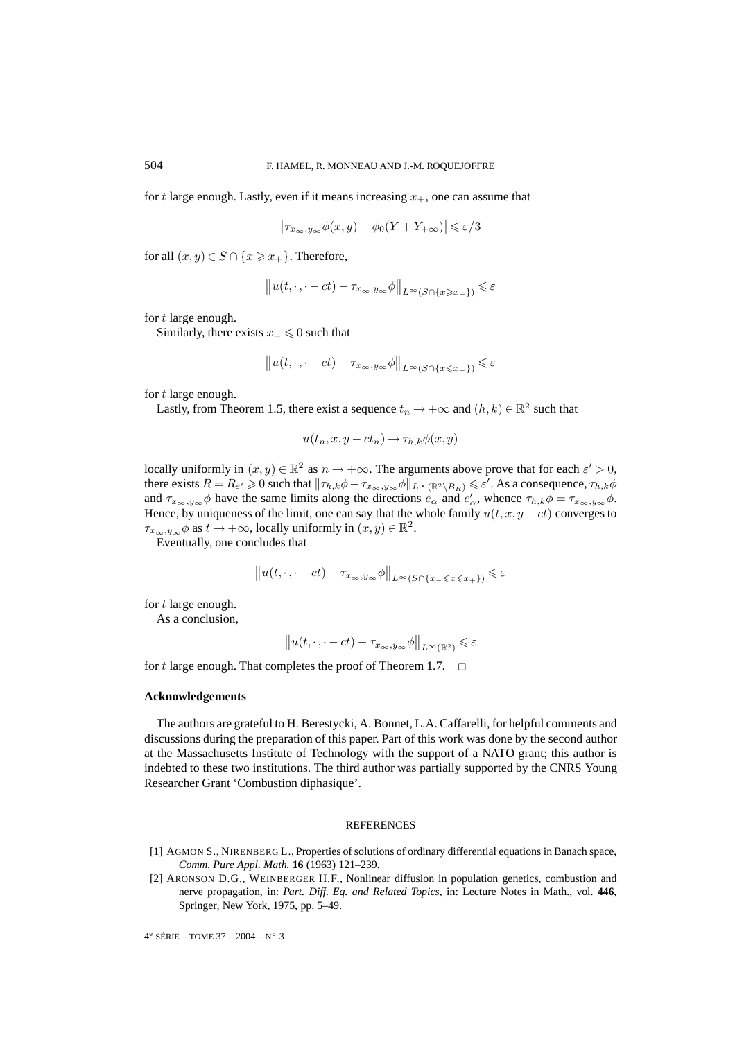for t large enough. Lastly, even if it means increasing  $x_{+}$ , one can assume that

$$
\left|\tau_{x_{\infty},y_{\infty}}\phi(x,y) - \phi_0(Y+Y_{+\infty})\right| \leqslant \varepsilon/3
$$

for all  $(x, y) \in S \cap \{x \geq x_+\}$ . Therefore,

$$
||u(t,\cdot,\cdot-ct)-\tau_{x_{\infty},y_{\infty}}\phi||_{L^{\infty}(S\cap\{x\geqslant x_{+}\})}\leqslant\varepsilon
$$

for t large enough.

Similarly, there exists  $x_-\leq 0$  such that

$$
||u(t,\cdot,\cdot-ct)-\tau_{x_\infty,y_\infty}\phi||_{L^\infty(S\cap\{x\le x_-\})}\le\varepsilon
$$

for t large enough.

Lastly, from Theorem 1.5, there exist a sequence  $t_n \to +\infty$  and  $(h, k) \in \mathbb{R}^2$  such that

$$
u(t_n, x, y - ct_n) \to \tau_{h,k} \phi(x, y)
$$

locally uniformly in  $(x, y) \in \mathbb{R}^2$  as  $n \to +\infty$ . The arguments above prove that for each  $\varepsilon' > 0$ , there exists  $R = R_{\varepsilon'} \geqslant 0$  such that  $\|\tau_{h,k}\phi - \tau_{x_{\infty},y_{\infty}}\phi\|_{L^{\infty}(\mathbb{R}^2 \setminus B_R)} \leqslant \varepsilon'.$  As a consequence,  $\tau_{h,k}\phi$ and  $\tau_{x_\infty,y_\infty}\phi$  have the same limits along the directions  $e_\alpha$  and  $e'_\alpha$ , whence  $\tau_{h,k}\phi = \tau_{x_\infty,y_\infty}\phi$ . Hence, by uniqueness of the limit, one can say that the whole family  $u(t, x, y - ct)$  converges to  $\tau_{x_\infty,y_\infty}\phi$  as  $t\to+\infty$ , locally uniformly in  $(x,y)\in\mathbb{R}^2$ .

Eventually, one concludes that

$$
||u(t,\cdot,\cdot-ct)-\tau_{x_{\infty},y_{\infty}}\phi||_{L^{\infty}(S\cap\{x_{-}\leqslant x\leqslant x_{+}\})}\leqslant\varepsilon
$$

for t large enough.

As a conclusion,

$$
||u(t,\cdot\,,\cdot-ct)-\tau_{x_\infty,y_\infty}\phi||_{L^\infty(\mathbb{R}^2)}\leqslant \varepsilon
$$

for t large enough. That completes the proof of Theorem 1.7.  $\Box$ 

#### **Acknowledgements**

The authors are grateful to H. Berestycki, A. Bonnet, L.A. Caffarelli, for helpful comments and discussions during the preparation of this paper. Part of this work was done by the second author at the Massachusetts Institute of Technology with the support of a NATO grant; this author is indebted to these two institutions. The third author was partially supported by the CNRS Young Researcher Grant 'Combustion diphasique'.

#### REFERENCES

- [1] AGMON S., NIRENBERG L., Properties of solutions of ordinary differential equations in Banach space, *Comm. Pure Appl. Math.* **16** (1963) 121–239.
- [2] ARONSON D.G., WEINBERGER H.F., Nonlinear diffusion in population genetics, combustion and nerve propagation, in: *Part. Diff. Eq. and Related Topics*, in: Lecture Notes in Math., vol. **446**, Springer, New York, 1975, pp. 5–49.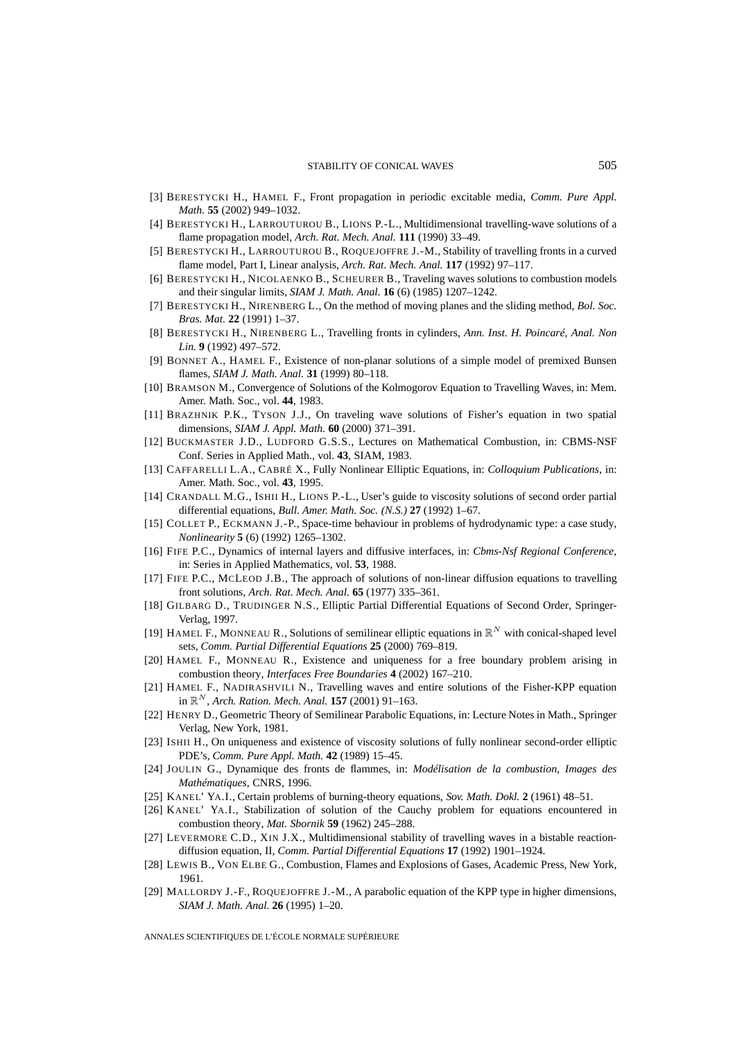- [3] BERESTYCKI H., HAMEL F., Front propagation in periodic excitable media, *Comm. Pure Appl. Math.* **55** (2002) 949–1032.
- [4] BERESTYCKI H., LARROUTUROU B., LIONS P.-L., Multidimensional travelling-wave solutions of a flame propagation model, *Arch. Rat. Mech. Anal.* **111** (1990) 33–49.
- [5] BERESTYCKI H., LARROUTUROU B., ROQUEJOFFRE J.-M., Stability of travelling fronts in a curved flame model, Part I, Linear analysis, *Arch. Rat. Mech. Anal.* **117** (1992) 97–117.
- [6] BERESTYCKI H., NICOLAENKO B., SCHEURER B., Traveling waves solutions to combustion models and their singular limits, *SIAM J. Math. Anal.* **16** (6) (1985) 1207–1242.
- [7] BERESTYCKI H., NIRENBERG L., On the method of moving planes and the sliding method, *Bol. Soc. Bras. Mat.* **22** (1991) 1–37.
- [8] BERESTYCKI H., NIRENBERG L., Travelling fronts in cylinders, *Ann. Inst. H. Poincaré, Anal. Non Lin.* **9** (1992) 497–572.
- [9] BONNET A., HAMEL F., Existence of non-planar solutions of a simple model of premixed Bunsen flames, *SIAM J. Math. Anal.* **31** (1999) 80–118.
- [10] BRAMSON M., Convergence of Solutions of the Kolmogorov Equation to Travelling Waves, in: Mem. Amer. Math. Soc., vol. **44**, 1983.
- [11] BRAZHNIK P.K., TYSON J.J., On traveling wave solutions of Fisher's equation in two spatial dimensions, *SIAM J. Appl. Math.* **60** (2000) 371–391.
- [12] BUCKMASTER J.D., LUDFORD G.S.S., Lectures on Mathematical Combustion, in: CBMS-NSF Conf. Series in Applied Math., vol. **43**, SIAM, 1983.
- [13] CAFFARELLI L.A., CABRÉ X., Fully Nonlinear Elliptic Equations, in: *Colloquium Publications*, in: Amer. Math. Soc., vol. **43**, 1995.
- [14] CRANDALL M.G., ISHII H., LIONS P.-L., User's guide to viscosity solutions of second order partial differential equations, *Bull. Amer. Math. Soc. (N.S.)* **27** (1992) 1–67.
- [15] COLLET P., ECKMANN J.-P., Space-time behaviour in problems of hydrodynamic type: a case study, *Nonlinearity* **5** (6) (1992) 1265–1302.
- [16] FIFE P.C., Dynamics of internal layers and diffusive interfaces, in: *Cbms-Nsf Regional Conference*, in: Series in Applied Mathematics, vol. **53**, 1988.
- [17] FIFE P.C., MCLEOD J.B., The approach of solutions of non-linear diffusion equations to travelling front solutions, *Arch. Rat. Mech. Anal.* **65** (1977) 335–361.
- [18] GILBARG D., TRUDINGER N.S., Elliptic Partial Differential Equations of Second Order, Springer-Verlag, 1997.
- [19] HAMEL F., MONNEAU R., Solutions of semilinear elliptic equations in  $\mathbb{R}^N$  with conical-shaped level sets, *Comm. Partial Differential Equations* **25** (2000) 769–819.
- [20] HAMEL F., MONNEAU R., Existence and uniqueness for a free boundary problem arising in combustion theory, *Interfaces Free Boundaries* **4** (2002) 167–210.
- [21] HAMEL F., NADIRASHVILI N., Travelling waves and entire solutions of the Fisher-KPP equation in  $\mathbb{R}^N$ , *Arch. Ration. Mech. Anal.* **157** (2001) 91–163.
- [22] HENRY D., Geometric Theory of Semilinear Parabolic Equations, in: Lecture Notes in Math., Springer Verlag, New York, 1981.
- [23] ISHII H., On uniqueness and existence of viscosity solutions of fully nonlinear second-order elliptic PDE's, *Comm. Pure Appl. Math.* **42** (1989) 15–45.
- [24] JOULIN G., Dynamique des fronts de flammes, in: *Modélisation de la combustion, Images des Mathématiques*, CNRS, 1996.
- [25] KANEL' YA.I., Certain problems of burning-theory equations, *Sov. Math. Dokl.* **2** (1961) 48–51.
- [26] KANEL' YA.I., Stabilization of solution of the Cauchy problem for equations encountered in combustion theory, *Mat. Sbornik* **59** (1962) 245–288.
- [27] LEVERMORE C.D., XIN J.X., Multidimensional stability of travelling waves in a bistable reactiondiffusion equation, II, *Comm. Partial Differential Equations* **17** (1992) 1901–1924.
- [28] LEWIS B., VON ELBE G., Combustion, Flames and Explosions of Gases, Academic Press, New York, 1961.
- [29] MALLORDY J.-F., ROQUEJOFFRE J.-M., A parabolic equation of the KPP type in higher dimensions, *SIAM J. Math. Anal.* **26** (1995) 1–20.